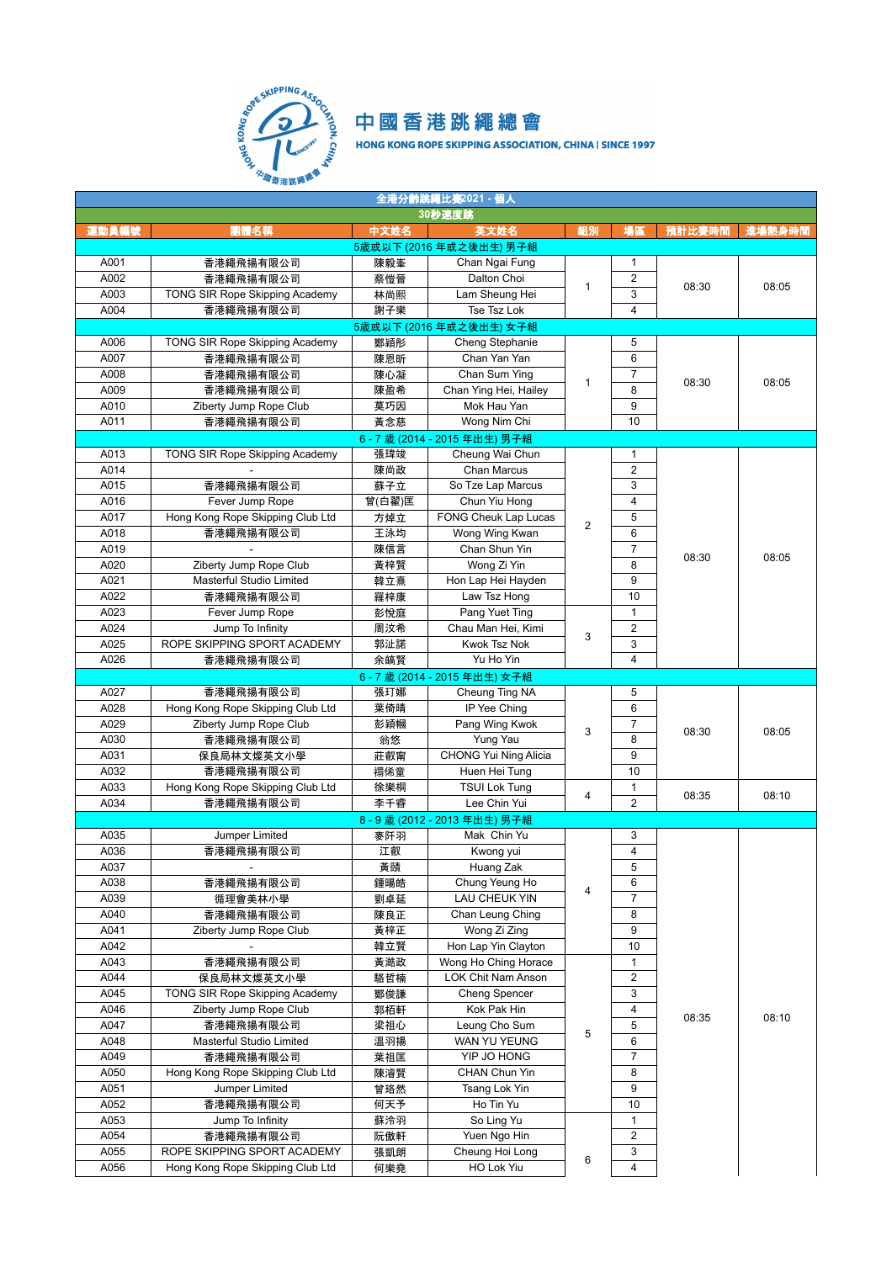

| 全港分齡跳繩比赛2021 - 個人 |                                  |        |                           |                |                |        |        |  |  |  |
|-------------------|----------------------------------|--------|---------------------------|----------------|----------------|--------|--------|--|--|--|
|                   | 30秒速度跳                           |        |                           |                |                |        |        |  |  |  |
| 運動員編號             | 團體名稱                             | 中文姓名   | 英文姓名                      | 組別             | 場區             | 預計比賽時間 | 進場熱身時間 |  |  |  |
|                   |                                  |        | 5歲或以下 (2016年或之後出生) 男子組    |                |                |        |        |  |  |  |
| A001              | 香港繩飛揚有限公司                        | 陳毅峯    | Chan Ngai Fung            |                | 1              |        |        |  |  |  |
| A002              | 香港繩飛揚有限公司                        | 蔡愷晉    | Dalton Choi               |                | 2              |        |        |  |  |  |
| A003              | TONG SIR Rope Skipping Academy   | 林尚熙    | Lam Sheung Hei            | $\mathbf{1}$   | 3              | 08:30  | 08:05  |  |  |  |
| A004              | 香港繩飛揚有限公司                        | 謝子樂    | Tse Tsz Lok               |                | 4              |        |        |  |  |  |
|                   |                                  |        | 5歲或以下 (2016年或之後出生) 女子組    |                |                |        |        |  |  |  |
| A006              | TONG SIR Rope Skipping Academy   | 鄭穎彤    | Cheng Stephanie           |                | 5              |        |        |  |  |  |
| A007              | 香港繩飛揚有限公司                        | 陳恩昕    | Chan Yan Yan              |                | 6              |        |        |  |  |  |
| A008              |                                  |        | Chan Sum Ying             |                |                |        |        |  |  |  |
|                   | 香港繩飛揚有限公司                        | 陳心凝    | Chan Ying Hei, Hailey     | $\mathbf{1}$   | 7              | 08:30  | 08:05  |  |  |  |
| A009              | 香港繩飛揚有限公司                        | 陳盈希    |                           |                | 8              |        |        |  |  |  |
| A010              | Ziberty Jump Rope Club           | 莫巧因    | Mok Hau Yan               |                | 9              |        |        |  |  |  |
| A011              | 香港繩飛揚有限公司                        | 黃念慈    | Wong Nim Chi              |                | 10             |        |        |  |  |  |
|                   |                                  |        | 6-7歳 (2014 - 2015年出生) 男子組 |                |                |        |        |  |  |  |
| A013              | TONG SIR Rope Skipping Academy   | 張瑋竣    | Cheung Wai Chun           |                | $\mathbf{1}$   |        |        |  |  |  |
| A014              |                                  | 陳尚政    | Chan Marcus               |                | $\overline{2}$ |        |        |  |  |  |
| A015              | 香港繩飛揚有限公司                        | 蘇子立    | So Tze Lap Marcus         |                | 3              |        |        |  |  |  |
| A016              | Fever Jump Rope                  | 曾(白翟)匡 | Chun Yiu Hong             |                | 4              |        |        |  |  |  |
| A017              | Hong Kong Rope Skipping Club Ltd | 方焯立    | FONG Cheuk Lap Lucas      | $\overline{2}$ | 5              |        | 08:05  |  |  |  |
| A018              | 香港繩飛揚有限公司                        | 王泳均    | Wong Wing Kwan            |                | 6              |        |        |  |  |  |
| A019              |                                  | 陳信言    | Chan Shun Yin             |                | $\overline{7}$ | 08:30  |        |  |  |  |
| A020              | Ziberty Jump Rope Club           | 黃梓賢    | Wong Zi Yin               |                | 8              |        |        |  |  |  |
| A021              | Masterful Studio Limited         | 韓立熹    | Hon Lap Hei Hayden        |                | 9              |        |        |  |  |  |
| A022              | 香港繩飛揚有限公司                        | 羅梓康    | Law Tsz Hong              |                | 10             |        |        |  |  |  |
| A023              | Fever Jump Rope                  | 彭悅庭    | Pang Yuet Ting            |                | $\mathbf{1}$   |        |        |  |  |  |
| A024              | Jump To Infinity                 | 周汶希    | Chau Man Hei, Kimi        |                | 2              |        |        |  |  |  |
| A025              | ROPE SKIPPING SPORT ACADEMY      | 郭沚諾    | Kwok Tsz Nok              | 3              | 3              |        |        |  |  |  |
| A026              | 香港繩飛揚有限公司                        | 余皜賢    | Yu Ho Yin                 |                | $\overline{4}$ |        |        |  |  |  |
|                   |                                  |        | 6-7歲 (2014 - 2015年出生) 女子組 |                |                |        |        |  |  |  |
| A027              | 香港繩飛揚有限公司                        | 張玎娜    | Cheung Ting NA            |                | 5              |        |        |  |  |  |
| A028              | Hong Kong Rope Skipping Club Ltd | 葉倚晴    | IP Yee Ching              |                | 6              | 08:30  | 08:05  |  |  |  |
| A029              | Ziberty Jump Rope Club           | 彭穎幗    | Pang Wing Kwok            |                | 7              |        |        |  |  |  |
| A030              | 香港繩飛揚有限公司                        | 翁悠     | Yung Yau                  | 3              | 8              |        |        |  |  |  |
| A031              | 保良局林文燦英文小學                       | 莊叡甯    | CHONG Yui Ning Alicia     |                | 9              |        |        |  |  |  |
| A032              |                                  | 禤俙童    | Huen Hei Tung             |                | 10             |        |        |  |  |  |
| A033              | 香港繩飛揚有限公司                        |        | <b>TSUI Lok Tung</b>      |                | $\mathbf{1}$   |        |        |  |  |  |
|                   | Hong Kong Rope Skipping Club Ltd | 徐樂桐    |                           | $\overline{4}$ | $\overline{2}$ | 08:35  | 08:10  |  |  |  |
| A034              | 香港繩飛揚有限公司                        | 李千睿    | Lee Chin Yui              |                |                |        |        |  |  |  |
|                   |                                  |        | 8-9歲 (2012-2013年出生) 男子組   |                |                |        |        |  |  |  |
| A035              | Jumper Limited                   | 麥阡羽    | Mak Chin Yu               |                | 3              |        |        |  |  |  |
| A036              | 香港繩飛揚有限公司                        | 江叡     | Kwong yui                 |                | $\overline{4}$ |        |        |  |  |  |
| A037              |                                  | 黃賾     | Huang Zak                 |                | 5              |        |        |  |  |  |
| A038              | 香港繩飛揚有限公司                        | 鍾暘皓    | Chung Yeung Ho            | 4              | 6              |        |        |  |  |  |
| A039              | 循理會美林小學                          | 劉卓延    | <b>LAU CHEUK YIN</b>      |                | $\overline{7}$ |        |        |  |  |  |
| A040              | 香港繩飛揚有限公司                        | 陳良正    | Chan Leung Ching          |                | 8              |        |        |  |  |  |
| A041              | Ziberty Jump Rope Club           | 黃梓正    | Wong Zi Zing              |                | 9              |        |        |  |  |  |
| A042              |                                  | 韓立賢    | Hon Lap Yin Clayton       |                | 10             |        |        |  |  |  |
| A043              | 香港繩飛揚有限公司                        | 黃澔政    | Wong Ho Ching Horace      |                | $\mathbf{1}$   |        |        |  |  |  |
| A044              | 保良局林文燦英文小學                       | 駱哲楠    | LOK Chit Nam Anson        |                | 2              |        |        |  |  |  |
| A045              | TONG SIR Rope Skipping Academy   | 鄭俊謙    | Cheng Spencer             |                | 3              |        |        |  |  |  |
| A046              | Ziberty Jump Rope Club           | 郭栢軒    | Kok Pak Hin               |                | 4              |        |        |  |  |  |
| A047              | 香港繩飛揚有限公司                        | 梁祖心    | Leung Cho Sum             |                | 5              | 08:35  | 08:10  |  |  |  |
| A048              | Masterful Studio Limited         | 溫羽揚    | WAN YU YEUNG              | 5              | 6              |        |        |  |  |  |
| A049              | 香港繩飛揚有限公司                        | 葉祖匡    | YIP JO HONG               |                | 7              |        |        |  |  |  |
| A050              | Hong Kong Rope Skipping Club Ltd | 陳濬賢    | CHAN Chun Yin             |                | 8              |        |        |  |  |  |
| A051              | Jumper Limited                   | 曾珞然    | Tsang Lok Yin             |                | 9              |        |        |  |  |  |
| A052              | 香港繩飛揚有限公司                        | 何天予    | Ho Tin Yu                 |                | 10             |        |        |  |  |  |
| A053              | Jump To Infinity                 | 蘇泠羽    | So Ling Yu                |                | 1              |        |        |  |  |  |
| A054              | 香港繩飛揚有限公司                        | 阮傲軒    | Yuen Ngo Hin              |                | 2              |        |        |  |  |  |
| A055              | ROPE SKIPPING SPORT ACADEMY      | 張凱朗    | Cheung Hoi Long           |                | 3              |        |        |  |  |  |
| A056              | Hong Kong Rope Skipping Club Ltd | 何樂堯    | HO Lok Yiu                | 6              | 4              |        |        |  |  |  |
|                   |                                  |        |                           |                |                |        |        |  |  |  |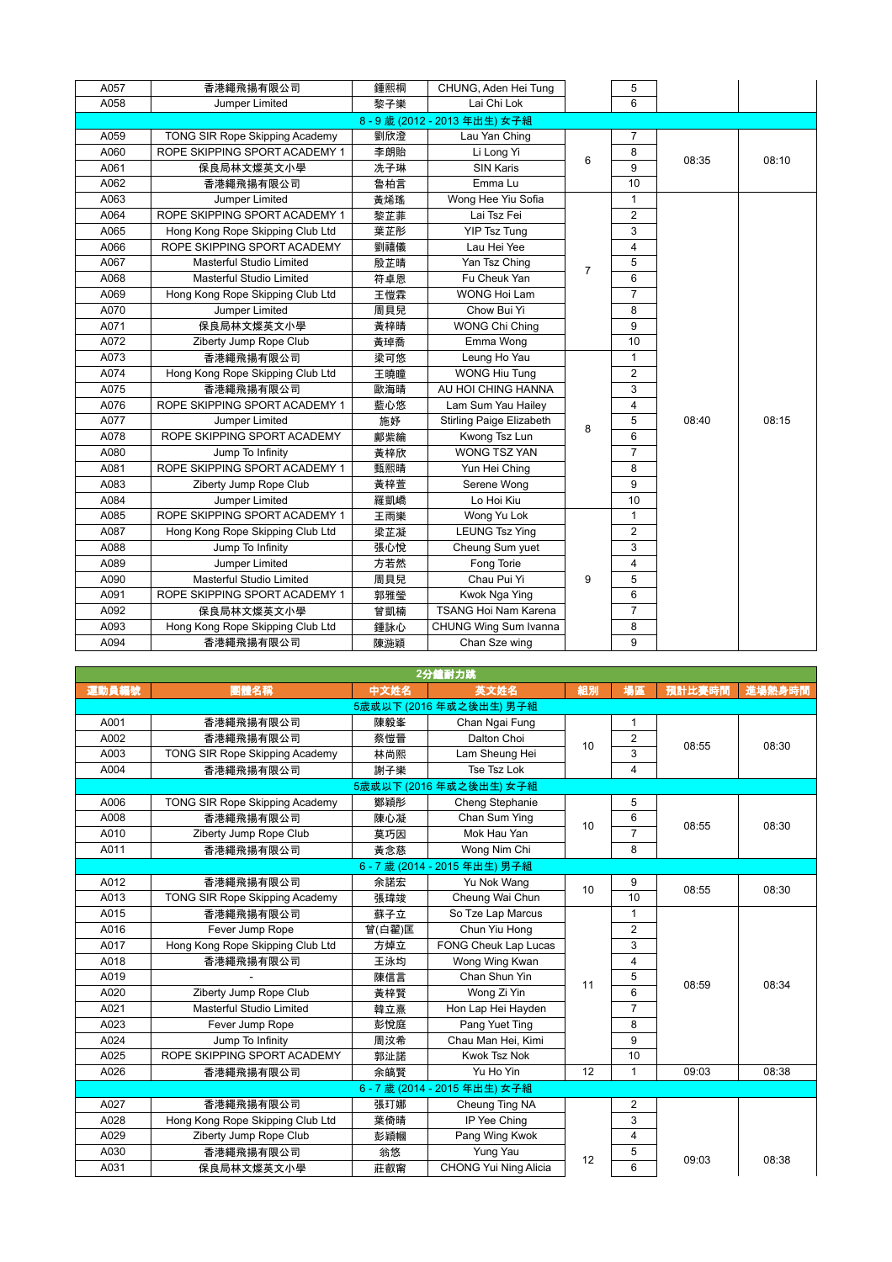| A057 | 香港繩飛揚有限公司                        | 鍾熙桐 | CHUNG, Aden Hei Tung            |                | 5              |       |       |
|------|----------------------------------|-----|---------------------------------|----------------|----------------|-------|-------|
| A058 | Jumper Limited                   | 黎子樂 | Lai Chi Lok                     |                | 6              |       |       |
|      |                                  |     | 8-9歲 (2012-2013年出生) 女子組         |                |                |       |       |
| A059 | TONG SIR Rope Skipping Academy   | 劉欣澄 | Lau Yan Ching                   |                | $\overline{7}$ |       |       |
| A060 | ROPE SKIPPING SPORT ACADEMY 1    | 李朗貽 | Li Long Yi                      | 6              | 8              | 08:35 | 08:10 |
| A061 | 保良局林文燦英文小學                       | 冼子琳 | <b>SIN Karis</b>                |                | 9              |       |       |
| A062 | 香港繩飛揚有限公司                        | 魯柏言 | Emma Lu                         |                | 10             |       |       |
| A063 | Jumper Limited                   | 黃烯瑤 | Wong Hee Yiu Sofia              |                | $\mathbf{1}$   |       |       |
| A064 | ROPE SKIPPING SPORT ACADEMY 1    | 黎芷菲 | Lai Tsz Fei                     |                | $\overline{2}$ |       |       |
| A065 | Hong Kong Rope Skipping Club Ltd | 葉芷彤 | YIP Tsz Tung                    |                | 3              |       |       |
| A066 | ROPE SKIPPING SPORT ACADEMY      | 劉禧儀 | Lau Hei Yee                     |                | $\overline{4}$ |       |       |
| A067 | Masterful Studio Limited         | 殷芷晴 | Yan Tsz Ching                   | $\overline{7}$ | 5              |       |       |
| A068 | <b>Masterful Studio Limited</b>  | 符卓恩 | Fu Cheuk Yan                    |                | 6              |       |       |
| A069 | Hong Kong Rope Skipping Club Ltd | 王愷霖 | <b>WONG Hoi Lam</b>             |                | $\overline{7}$ |       |       |
| A070 | Jumper Limited                   | 周貝兒 | Chow Bui Yi                     |                | 8              |       |       |
| A071 | 保良局林文燦英文小學                       | 黃梓晴 | <b>WONG Chi Ching</b>           |                | 9              |       |       |
| A072 | Ziberty Jump Rope Club           | 黃琸喬 | Emma Wong                       |                | 10             |       | 08:15 |
| A073 | 香港繩飛揚有限公司                        | 梁可悠 | Leung Ho Yau                    |                | $\mathbf{1}$   |       |       |
| A074 | Hong Kong Rope Skipping Club Ltd | 王曉瞳 | <b>WONG Hiu Tung</b>            |                | $\overline{2}$ |       |       |
| A075 | 香港繩飛揚有限公司                        | 歐海晴 | AU HOI CHING HANNA              |                | 3              |       |       |
| A076 | ROPE SKIPPING SPORT ACADEMY 1    | 藍心悠 | Lam Sum Yau Hailey              |                | $\overline{4}$ |       |       |
| A077 | Jumper Limited                   | 施好  | <b>Stirling Paige Elizabeth</b> | 8              | 5              | 08:40 |       |
| A078 | ROPE SKIPPING SPORT ACADEMY      | 鄺紫綸 | Kwong Tsz Lun                   |                | 6              |       |       |
| A080 | Jump To Infinity                 | 黃梓欣 | <b>WONG TSZ YAN</b>             |                | $\overline{7}$ |       |       |
| A081 | ROPE SKIPPING SPORT ACADEMY 1    | 甄熙晴 | Yun Hei Ching                   |                | 8              |       |       |
| A083 | Ziberty Jump Rope Club           | 黃梓萱 | Serene Wong                     |                | 9              |       |       |
| A084 | Jumper Limited                   | 羅凱嶠 | Lo Hoi Kiu                      |                | 10             |       |       |
| A085 | ROPE SKIPPING SPORT ACADEMY 1    | 王雨樂 | Wong Yu Lok                     |                | $\mathbf{1}$   |       |       |
| A087 | Hong Kong Rope Skipping Club Ltd | 梁芷凝 | <b>LEUNG Tsz Ying</b>           |                | $\overline{c}$ |       |       |
| A088 | Jump To Infinity                 | 張心悅 | Cheung Sum yuet                 |                | 3              |       |       |
| A089 | Jumper Limited                   | 方若然 | Fong Torie                      |                | $\overline{4}$ |       |       |
| A090 | Masterful Studio Limited         | 周貝兒 | Chau Pui Yi                     | 9              | 5              |       |       |
| A091 | ROPE SKIPPING SPORT ACADEMY 1    | 郭雅瑩 | Kwok Nga Ying                   |                | 6              |       |       |
| A092 | 保良局林文燦英文小學                       | 曾凱楠 | <b>TSANG Hoi Nam Karena</b>     |                | $\overline{7}$ |       |       |
| A093 | Hong Kong Rope Skipping Club Ltd | 鍾詠心 | CHUNG Wing Sum Ivanna           |                | 8              |       |       |
| A094 | 香港繩飛揚有限公司                        | 陳湤穎 | Chan Sze wing                   |                | 9              |       |       |

| 2分鐘耐力跳 |                                  |        |                              |    |                |        |        |  |  |  |
|--------|----------------------------------|--------|------------------------------|----|----------------|--------|--------|--|--|--|
| 運動員編號  | 團體名稱                             | 中文姓名   | 英文姓名                         | 組別 | 場區             | 預計比賽時間 | 進場熱身時間 |  |  |  |
|        |                                  |        | 5歲或以下 (2016年或之後出生) 男子組       |    |                |        |        |  |  |  |
| A001   | 香港繩飛揚有限公司                        | 陳毅峯    | Chan Ngai Fung               |    | 1              |        |        |  |  |  |
| A002   | 香港繩飛揚有限公司                        | 蔡愷晉    | Dalton Choi                  | 10 | 2              | 08:55  | 08:30  |  |  |  |
| A003   | TONG SIR Rope Skipping Academy   | 林尚熙    | Lam Sheung Hei               |    | 3              |        |        |  |  |  |
| A004   | 香港繩飛揚有限公司                        | 謝子樂    | Tse Tsz Lok                  |    | 4              |        |        |  |  |  |
|        |                                  |        | 5歲或以下 (2016年或之後出生) 女子組       |    |                |        |        |  |  |  |
| A006   | TONG SIR Rope Skipping Academy   | 鄭穎彤    | Cheng Stephanie              |    | 5              |        |        |  |  |  |
| A008   | 香港繩飛揚有限公司                        | 陳心凝    | Chan Sum Ying                | 10 | 6              | 08:55  | 08:30  |  |  |  |
| A010   | Ziberty Jump Rope Club           | 莫巧因    | Mok Hau Yan                  |    | $\overline{7}$ |        |        |  |  |  |
| A011   | 香港繩飛揚有限公司                        | 黃念慈    | Wong Nim Chi                 |    | 8              |        |        |  |  |  |
|        |                                  |        | 6-7歲 (2014 - 2015年出生) 男子組    |    |                |        |        |  |  |  |
| A012   | 香港繩飛揚有限公司                        | 余諾宏    | Yu Nok Wang                  | 10 | 9              | 08:55  | 08:30  |  |  |  |
| A013   | TONG SIR Rope Skipping Academy   | 張瑋竣    | Cheung Wai Chun              |    | 10             |        |        |  |  |  |
| A015   | 香港繩飛揚有限公司                        | 蘇子立    | So Tze Lap Marcus            |    | 1              |        |        |  |  |  |
| A016   | Fever Jump Rope                  | 曾(白翟)匡 | Chun Yiu Hong                |    | $\overline{2}$ |        | 08:34  |  |  |  |
| A017   | Hong Kong Rope Skipping Club Ltd | 方焯立    | FONG Cheuk Lap Lucas         |    | 3              |        |        |  |  |  |
| A018   | 香港繩飛揚有限公司                        | 王泳均    | Wong Wing Kwan               |    | $\overline{4}$ |        |        |  |  |  |
| A019   |                                  | 陳信言    | Chan Shun Yin                | 11 | 5              | 08:59  |        |  |  |  |
| A020   | Ziberty Jump Rope Club           | 黃梓賢    | Wong Zi Yin                  |    | 6              |        |        |  |  |  |
| A021   | <b>Masterful Studio Limited</b>  | 韓立熹    | Hon Lap Hei Hayden           |    | $\overline{7}$ |        |        |  |  |  |
| A023   | Fever Jump Rope                  | 彭悅庭    | Pang Yuet Ting               |    | 8              |        |        |  |  |  |
| A024   | Jump To Infinity                 | 周汶希    | Chau Man Hei. Kimi           |    | 9              |        |        |  |  |  |
| A025   | ROPE SKIPPING SPORT ACADEMY      | 郭沚諾    | <b>Kwok Tsz Nok</b>          |    | 10             |        |        |  |  |  |
| A026   | 香港繩飛揚有限公司                        | 余皜腎    | Yu Ho Yin                    | 12 | 1              | 09:03  | 08:38  |  |  |  |
|        |                                  |        | 6-7歲 (2014 - 2015年出生) 女子組    |    |                |        |        |  |  |  |
| A027   | 香港繩飛揚有限公司                        | 張玎娜    | Cheung Ting NA               |    | $\overline{2}$ |        |        |  |  |  |
| A028   | Hong Kong Rope Skipping Club Ltd | 葉倚晴    | IP Yee Ching                 |    | 3              |        |        |  |  |  |
| A029   | Ziberty Jump Rope Club           | 彭穎幗    | Pang Wing Kwok               |    | 4              |        |        |  |  |  |
| A030   | 香港繩飛揚有限公司                        | 翁悠     | Yung Yau                     | 12 | 5              | 09:03  | 08:38  |  |  |  |
| A031   | 保良局林文燦英文小學                       | 莊叡甯    | <b>CHONG Yui Ning Alicia</b> |    | 6              |        |        |  |  |  |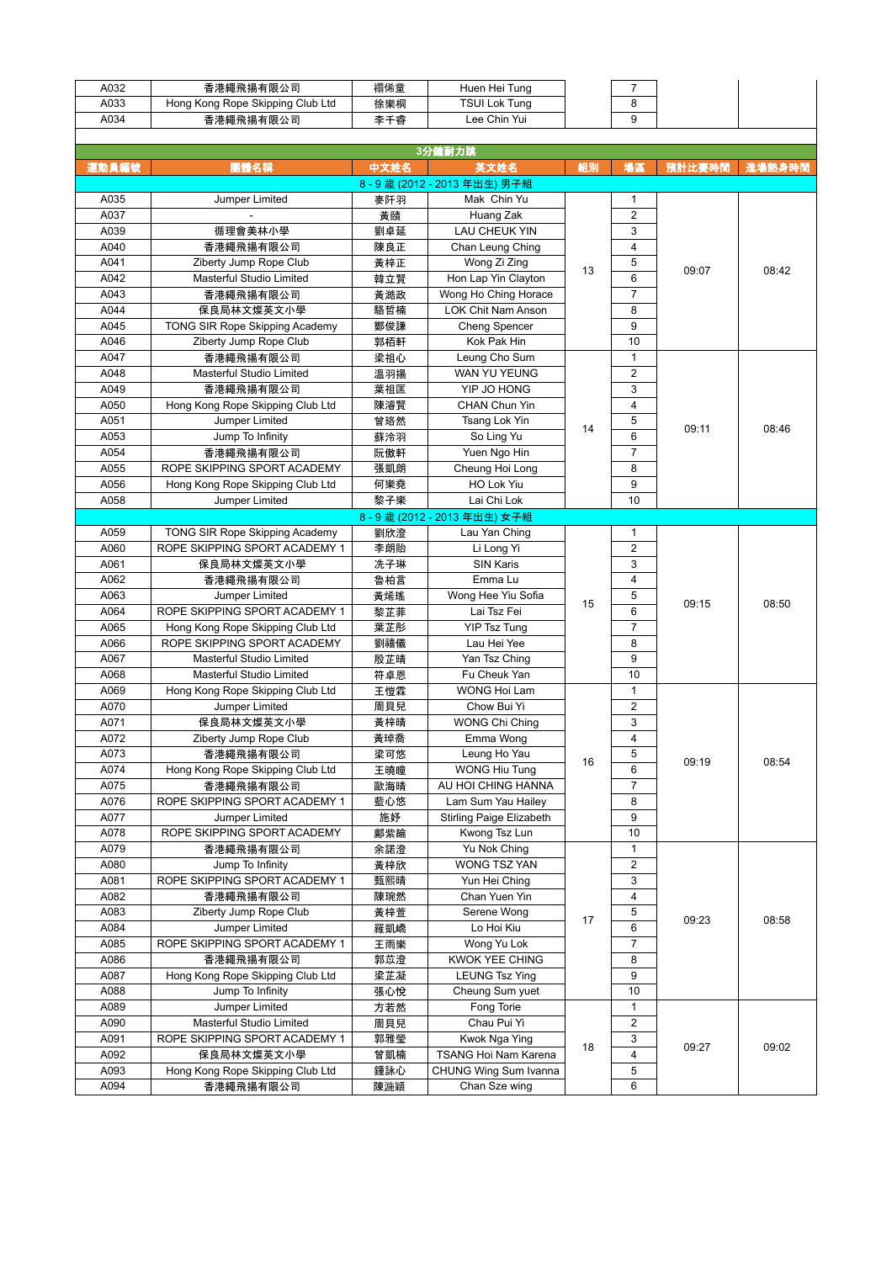| A032  | 香港繩飛揚有限公司                        | 禤俙童  | Huen Hei Tung            |    | $\overline{7}$ |        |        |
|-------|----------------------------------|------|--------------------------|----|----------------|--------|--------|
| A033  | Hong Kong Rope Skipping Club Ltd | 徐樂桐  | <b>TSUI Lok Tung</b>     |    | 8              |        |        |
| A034  | 香港繩飛揚有限公司                        | 李千睿  | Lee Chin Yui             |    | 9              |        |        |
|       |                                  |      |                          |    |                |        |        |
|       |                                  |      | 3分鐘耐力跳                   |    |                |        |        |
| 運動員編號 | 團體名稱                             | 中文姓名 | 英文姓名                     | 組別 | 場區             | 預計比賽時間 | 進場熱身時間 |
|       |                                  |      |                          |    |                |        |        |
|       |                                  |      | 8-9歲 (2012-2013年出生) 男子組  |    |                |        |        |
| A035  | Jumper Limited                   | 麥阡羽  | Mak Chin Yu              |    | 1              |        |        |
| A037  |                                  | 黃賾   | Huang Zak                |    | $\overline{c}$ |        |        |
| A039  | 循理會美林小學                          | 劉卓延  | <b>LAU CHEUK YIN</b>     |    | 3              |        |        |
| A040  | 香港繩飛揚有限公司                        | 陳良正  | Chan Leung Ching         |    | $\overline{4}$ |        |        |
| A041  | Ziberty Jump Rope Club           | 黃梓正  | Wong Zi Zing             |    | 5              |        |        |
|       |                                  |      |                          | 13 |                | 09:07  | 08:42  |
| A042  | Masterful Studio Limited         | 韓立賢  | Hon Lap Yin Clayton      |    | 6              |        |        |
| A043  | 香港繩飛揚有限公司                        | 黃澔政  | Wong Ho Ching Horace     |    | $\overline{7}$ |        |        |
| A044  | 保良局林文燦英文小學                       | 駱哲楠  | LOK Chit Nam Anson       |    | 8              |        |        |
| A045  | TONG SIR Rope Skipping Academy   | 鄭俊謙  | Cheng Spencer            |    | 9              |        |        |
| A046  | Ziberty Jump Rope Club           | 郭栢軒  | Kok Pak Hin              |    | 10             |        |        |
| A047  | 香港繩飛揚有限公司                        | 梁祖心  | Leung Cho Sum            |    | 1              |        |        |
|       |                                  |      |                          |    |                |        |        |
| A048  | Masterful Studio Limited         | 溫羽揚  | WAN YU YEUNG             |    | 2              |        |        |
| A049  | 香港繩飛揚有限公司                        | 葉祖匡  | YIP JO HONG              |    | 3              |        |        |
| A050  | Hong Kong Rope Skipping Club Ltd | 陳濬賢  | <b>CHAN Chun Yin</b>     |    | 4              |        |        |
| A051  | Jumper Limited                   | 曾珞然  | Tsang Lok Yin            |    | 5              |        |        |
| A053  | Jump To Infinity                 | 蘇泠羽  | So Ling Yu               | 14 | 6              | 09:11  | 08:46  |
| A054  | 香港繩飛揚有限公司                        | 阮傲軒  | Yuen Ngo Hin             |    | $\overline{7}$ |        |        |
|       |                                  |      |                          |    |                |        |        |
| A055  | ROPE SKIPPING SPORT ACADEMY      | 張凱朗  | Cheung Hoi Long          |    | 8              |        |        |
| A056  | Hong Kong Rope Skipping Club Ltd | 何樂堯  | HO Lok Yiu               |    | 9              |        |        |
| A058  | Jumper Limited                   | 黎子樂  | Lai Chi Lok              |    | 10             |        |        |
|       |                                  |      | 8-9歲 (2012-2013年出生) 女子組  |    |                |        |        |
| A059  | TONG SIR Rope Skipping Academy   | 劉欣澄  | Lau Yan Ching            |    | 1              |        |        |
| A060  | ROPE SKIPPING SPORT ACADEMY 1    | 李朗貽  | Li Long Yi               |    | $\overline{2}$ |        |        |
|       |                                  |      |                          |    |                |        |        |
| A061  | 保良局林文燦英文小學                       | 冼子琳  | <b>SIN Karis</b>         |    | 3              |        |        |
| A062  | 香港繩飛揚有限公司                        | 魯柏言  | Emma Lu                  |    | $\overline{4}$ |        |        |
| A063  | Jumper Limited                   | 黃烯瑤  | Wong Hee Yiu Sofia       |    | 5              |        |        |
| A064  | ROPE SKIPPING SPORT ACADEMY 1    | 黎芷菲  | Lai Tsz Fei              | 15 | 6              | 09:15  | 08:50  |
| A065  | Hong Kong Rope Skipping Club Ltd | 葉芷彤  | <b>YIP Tsz Tung</b>      |    | 7              |        |        |
| A066  | ROPE SKIPPING SPORT ACADEMY      |      |                          |    | 8              |        |        |
|       |                                  | 劉禧儀  | Lau Hei Yee              |    |                |        |        |
| A067  | Masterful Studio Limited         | 殷芷晴  | Yan Tsz Ching            |    | 9              |        |        |
| A068  | Masterful Studio Limited         | 符卓恩  | Fu Cheuk Yan             |    | 10             |        |        |
| A069  | Hong Kong Rope Skipping Club Ltd | 王愷霖  | <b>WONG Hoi Lam</b>      |    | $\mathbf{1}$   |        |        |
| A070  | Jumper Limited                   | 周貝兒  | Chow Bui Yi              |    | 2              |        |        |
| A071  | 保良局林文燦英文小學                       | 黃梓晴  | <b>WONG Chi Ching</b>    |    | 3              |        |        |
| A072  | Ziberty Jump Rope Club           | 黃琸喬  | Emma Wong                |    | $\overline{4}$ |        |        |
|       |                                  |      |                          |    |                |        |        |
| A073  | 香港繩飛揚有限公司                        | 梁可悠  | Leung Ho Yau             | 16 | 5              | 09:19  | 08:54  |
| A074  | Hong Kong Rope Skipping Club Ltd | 王曉瞳  | <b>WONG Hiu Tung</b>     |    | 6              |        |        |
| A075  | 香港繩飛揚有限公司                        | 歐海晴  | AU HOI CHING HANNA       |    | $\overline{7}$ |        |        |
| A076  | ROPE SKIPPING SPORT ACADEMY 1    | 藍心悠  | Lam Sum Yau Hailey       |    | 8              |        |        |
| A077  | Jumper Limited                   | 施妤   | Stirling Paige Elizabeth |    | 9              |        |        |
| A078  | ROPE SKIPPING SPORT ACADEMY      | 鄺紫綸  | Kwong Tsz Lun            |    | 10             |        |        |
|       |                                  |      |                          |    |                |        |        |
| A079  | 香港繩飛揚有限公司                        | 余諾澄  | Yu Nok Ching             |    | 1              |        |        |
| A080  | Jump To Infinity                 | 黃梓欣  | WONG TSZ YAN             |    | 2              |        |        |
| A081  | ROPE SKIPPING SPORT ACADEMY 1    | 甄熙晴  | Yun Hei Ching            |    | 3              |        |        |
| A082  | 香港繩飛揚有限公司                        | 陳琬然  | Chan Yuen Yin            |    | 4              |        |        |
| A083  | Ziberty Jump Rope Club           | 黃梓萱  | Serene Wong              |    | 5              |        |        |
| A084  | Jumper Limited                   | 羅凱嶠  | Lo Hoi Kiu               | 17 | 6              | 09:23  | 08:58  |
|       |                                  |      |                          |    |                |        |        |
| A085  | ROPE SKIPPING SPORT ACADEMY 1    | 王雨樂  | Wong Yu Lok              |    | $\overline{7}$ |        |        |
| A086  | 香港繩飛揚有限公司                        | 郭苡澄  | KWOK YEE CHING           |    | 8              |        |        |
| A087  | Hong Kong Rope Skipping Club Ltd | 梁芷凝  | <b>LEUNG Tsz Ying</b>    |    | 9              |        |        |
| A088  | Jump To Infinity                 | 張心悅  | Cheung Sum yuet          |    | 10             |        |        |
| A089  | Jumper Limited                   | 方若然  | Fong Torie               |    | 1              |        |        |
| A090  | Masterful Studio Limited         | 周貝兒  | Chau Pui Yi              |    | 2              |        |        |
|       |                                  |      |                          |    |                |        |        |
| A091  | ROPE SKIPPING SPORT ACADEMY 1    | 郭雅瑩  | Kwok Nga Ying            | 18 | 3              | 09:27  | 09:02  |
| A092  | 保良局林文燦英文小學                       | 曾凱楠  | TSANG Hoi Nam Karena     |    | $\overline{4}$ |        |        |
| A093  | Hong Kong Rope Skipping Club Ltd | 鍾詠心  | CHUNG Wing Sum Ivanna    |    | 5              |        |        |
| A094  | 香港繩飛揚有限公司                        | 陳湤穎  | Chan Sze wing            |    | 6              |        |        |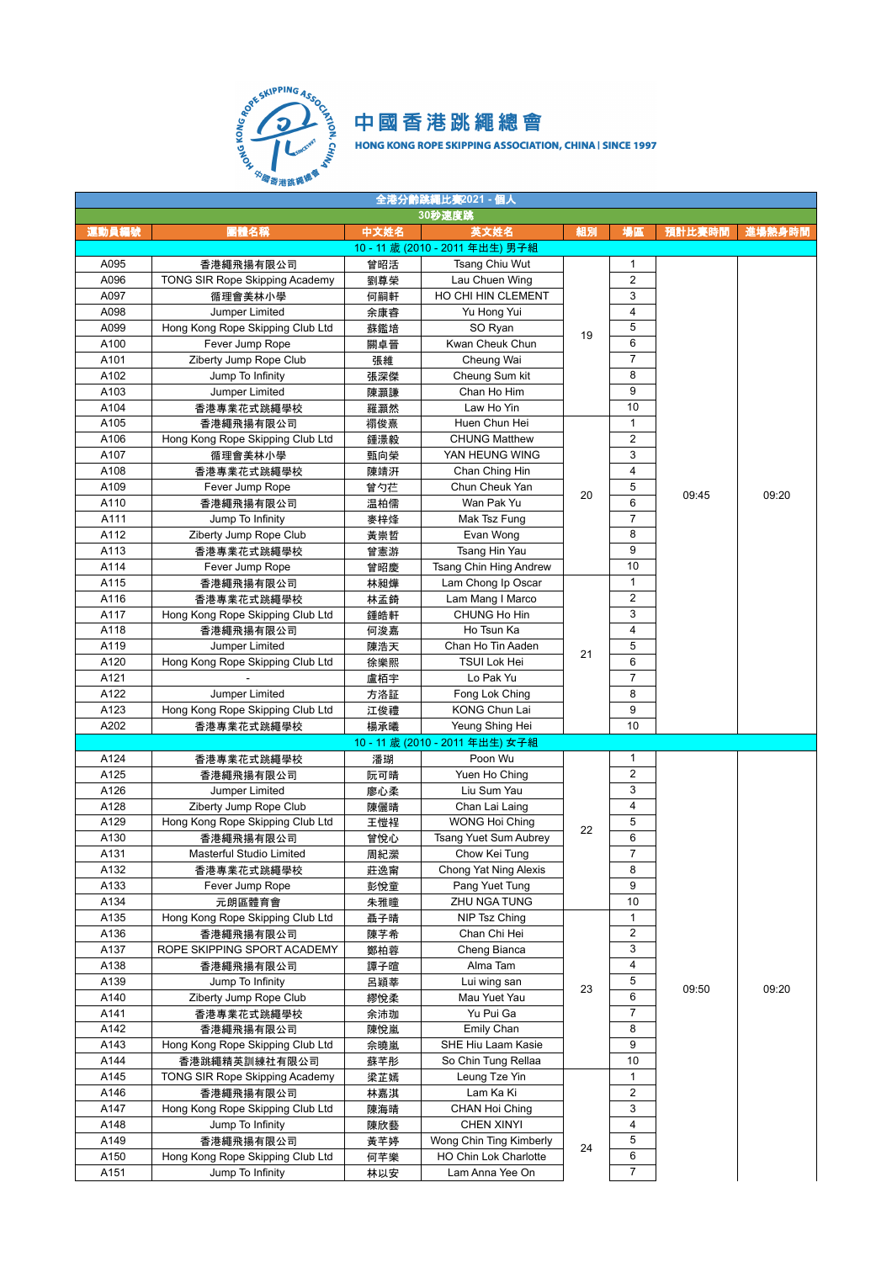

| 全港分齡跳繩比赛2021 - 個人 |                                                        |            |                                 |    |                |        |        |  |  |  |
|-------------------|--------------------------------------------------------|------------|---------------------------------|----|----------------|--------|--------|--|--|--|
|                   |                                                        |            | 30秒速度跳                          |    |                |        |        |  |  |  |
| 運動員編號             | 團體名稱                                                   | 中文姓名       | 英文姓名                            | 組別 | 場區             | 預計比賽時間 | 進場熱身時間 |  |  |  |
|                   |                                                        |            | 10-11歲 (2010-2011年出生) 男子組       |    |                |        |        |  |  |  |
| A095              | 香港繩飛揚有限公司                                              | 曾昭活        | Tsang Chiu Wut                  |    | 1              |        |        |  |  |  |
| A096              | TONG SIR Rope Skipping Academy                         | 劉尊榮        | Lau Chuen Wing                  |    | $\overline{2}$ |        |        |  |  |  |
| A097              | 循理會美林小學                                                | 何嗣軒        | HO CHI HIN CLEMENT              |    | 3              |        |        |  |  |  |
| A098              | Jumper Limited                                         | 余康睿        | Yu Hong Yui                     |    | 4              |        |        |  |  |  |
| A099              | Hong Kong Rope Skipping Club Ltd                       | 蘇鑑培        | SO Ryan                         |    | 5              |        |        |  |  |  |
| A100              | Fever Jump Rope                                        | 關卓晉        | Kwan Cheuk Chun                 | 19 | 6              |        |        |  |  |  |
| A101              | Ziberty Jump Rope Club                                 | 張維         | Cheung Wai                      |    | $\overline{7}$ |        |        |  |  |  |
| A102              | Jump To Infinity                                       | 張深傑        | Cheung Sum kit                  |    | 8              |        |        |  |  |  |
| A103              | Jumper Limited                                         | 陳灝謙        | Chan Ho Him                     |    | 9              |        |        |  |  |  |
| A104              | 香港專業花式跳繩學校                                             | 羅灝然        | Law Ho Yin                      |    | 10             |        |        |  |  |  |
| A105              | 香港繩飛揚有限公司                                              | 禤俊熹        | Huen Chun Hei                   |    | 1              |        |        |  |  |  |
| A106              | Hong Kong Rope Skipping Club Ltd                       | 鍾澋毅        | <b>CHUNG Matthew</b>            |    | $\overline{2}$ |        |        |  |  |  |
| A107              |                                                        |            | YAN HEUNG WING                  |    | 3              |        |        |  |  |  |
|                   | 循理會美林小學                                                | 甄向榮        |                                 |    | 4              |        |        |  |  |  |
| A108              | 香港專業花式跳繩學校<br>Fever Jump Rope                          | 陳靖汧        | Chan Ching Hin                  |    | 5              | 09:45  |        |  |  |  |
| A109              |                                                        | 曾勺芢        | Chun Cheuk Yan<br>Wan Pak Yu    | 20 | 6              |        | 09:20  |  |  |  |
| A110              | 香港繩飛揚有限公司                                              | 温柏儒        |                                 |    | 7              |        |        |  |  |  |
| A111              | Jump To Infinity                                       | 麥梓烽        | Mak Tsz Fung                    |    |                |        |        |  |  |  |
| A112              | Ziberty Jump Rope Club                                 | 黃崇哲        | Evan Wong                       |    | 8              |        |        |  |  |  |
| A113              | 香港專業花式跳繩學校                                             | 曾憲游        | Tsang Hin Yau                   |    | 9              |        |        |  |  |  |
| A114              | Fever Jump Rope                                        | 曾昭慶        | Tsang Chin Hing Andrew          |    | 10             |        |        |  |  |  |
| A115              | 香港繩飛揚有限公司                                              | 林昶燁        | Lam Chong Ip Oscar              |    | 1              |        |        |  |  |  |
| A116              | 香港專業花式跳繩學校                                             | 林孟錡        | Lam Mang I Marco                |    | 2              |        |        |  |  |  |
| A117              | Hong Kong Rope Skipping Club Ltd                       | 鍾皓軒        | CHUNG Ho Hin                    |    | 3              |        |        |  |  |  |
| A118              | 香港繩飛揚有限公司                                              | 何浚嘉        | Ho Tsun Ka                      |    | 4              |        |        |  |  |  |
| A119              | Jumper Limited                                         | 陳浩天        | Chan Ho Tin Aaden               | 21 | 5              |        |        |  |  |  |
| A120              | Hong Kong Rope Skipping Club Ltd                       | 徐樂熙        | TSUI Lok Hei                    |    | 6              |        |        |  |  |  |
| A121              |                                                        | 盧栢宇        | Lo Pak Yu                       |    | 7              |        |        |  |  |  |
| A122              | Jumper Limited                                         | 方洛証        | Fong Lok Ching                  |    | 8              |        |        |  |  |  |
| A123              | Hong Kong Rope Skipping Club Ltd                       | 江俊禮        | <b>KONG Chun Lai</b>            |    | 9              |        |        |  |  |  |
| A202              | 香港專業花式跳繩學校                                             | 楊承曦        | Yeung Shing Hei                 |    | 10             |        |        |  |  |  |
|                   |                                                        |            | 10 - 11 歲 (2010 - 2011 年出生) 女子組 |    |                |        |        |  |  |  |
| A124              | 香港專業花式跳繩學校                                             | 潘瑚         | Poon Wu                         |    | 1              |        |        |  |  |  |
| A125              | 香港繩飛揚有限公司                                              | 阮可晴        | Yuen Ho Ching                   |    | $\overline{2}$ |        |        |  |  |  |
| A126              | Jumper Limited                                         | 廖心柔        | Liu Sum Yau                     |    | 3              |        |        |  |  |  |
| A128              | Ziberty Jump Rope Club                                 | 陳儷晴        | Chan Lai Laing                  |    | 4              |        |        |  |  |  |
| A129              | Hong Kong Rope Skipping Club Ltd                       | 王愷裎        | <b>WONG Hoi Ching</b>           | 22 | 5              |        |        |  |  |  |
| A130              | 香港繩飛揚有限公司                                              | 曾悅心        | Tsang Yuet Sum Aubrey           |    | 6              |        |        |  |  |  |
| A131              | <b>Masterful Studio Limited</b>                        | 周紀瀠        | Chow Kei Tung                   |    | $\overline{7}$ |        |        |  |  |  |
| A132              | 香港專業花式跳繩學校                                             | 莊逸甯        | Chong Yat Ning Alexis           |    | 8              |        |        |  |  |  |
| A133              | Fever Jump Rope                                        | 彭悅童        | Pang Yuet Tung                  |    | 9              |        |        |  |  |  |
| A134              | 元朗區體育會                                                 | 朱雅瞳        | ZHU NGA TUNG                    |    | 10             |        |        |  |  |  |
| A135              | Hong Kong Rope Skipping Club Ltd                       | 聶子晴        | NIP Tsz Ching                   |    | 1              |        |        |  |  |  |
| A136              | 香港繩飛揚有限公司                                              | 陳芋希        | Chan Chi Hei                    |    | $\overline{2}$ |        |        |  |  |  |
| A137              | ROPE SKIPPING SPORT ACADEMY                            | 鄭柏蓉        | Cheng Bianca                    |    | 3              |        |        |  |  |  |
| A138              | 香港繩飛揚有限公司                                              | 譚子暄        | Alma Tam                        |    | 4              |        |        |  |  |  |
| A139              | Jump To Infinity                                       | 呂穎莘        | Lui wing san                    |    | 5              |        |        |  |  |  |
| A140              | Ziberty Jump Rope Club                                 | 繆悅柔        | Mau Yuet Yau                    | 23 | 6              | 09:50  | 09:20  |  |  |  |
| A141              | 香港專業花式跳繩學校                                             | 余沛珈        | Yu Pui Ga                       |    | 7              |        |        |  |  |  |
| A142              | 香港繩飛揚有限公司                                              | 陳悅嵐        | Emily Chan                      |    | 8              |        |        |  |  |  |
| A143              | Hong Kong Rope Skipping Club Ltd                       | 佘曉嵐        | SHE Hiu Laam Kasie              |    | 9              |        |        |  |  |  |
| A144              |                                                        |            | So Chin Tung Rellaa             |    | 10             |        |        |  |  |  |
| A145              | 香港跳繩精英訓練社有限公司<br><b>TONG SIR Rope Skipping Academy</b> | 蘇芊彤<br>梁芷嫣 | Leung Tze Yin                   |    | 1              |        |        |  |  |  |
| A146              | 香港繩飛揚有限公司                                              |            | Lam Ka Ki                       |    | 2              |        |        |  |  |  |
| A147              | Hong Kong Rope Skipping Club Ltd                       | 林嘉淇        |                                 |    | 3              |        |        |  |  |  |
|                   |                                                        | 陳海晴        | CHAN Hoi Ching                  |    | 4              |        |        |  |  |  |
| A148              | Jump To Infinity                                       | 陳欣藝        | <b>CHEN XINYI</b>               |    | 5              |        |        |  |  |  |
| A149              | 香港繩飛揚有限公司                                              | 黃芊婷        | Wong Chin Ting Kimberly         | 24 |                |        |        |  |  |  |
| A150              | Hong Kong Rope Skipping Club Ltd                       | 何芊樂        | HO Chin Lok Charlotte           |    | 6              |        |        |  |  |  |
| A151              | Jump To Infinity                                       | 林以安        | Lam Anna Yee On                 |    | $\overline{7}$ |        |        |  |  |  |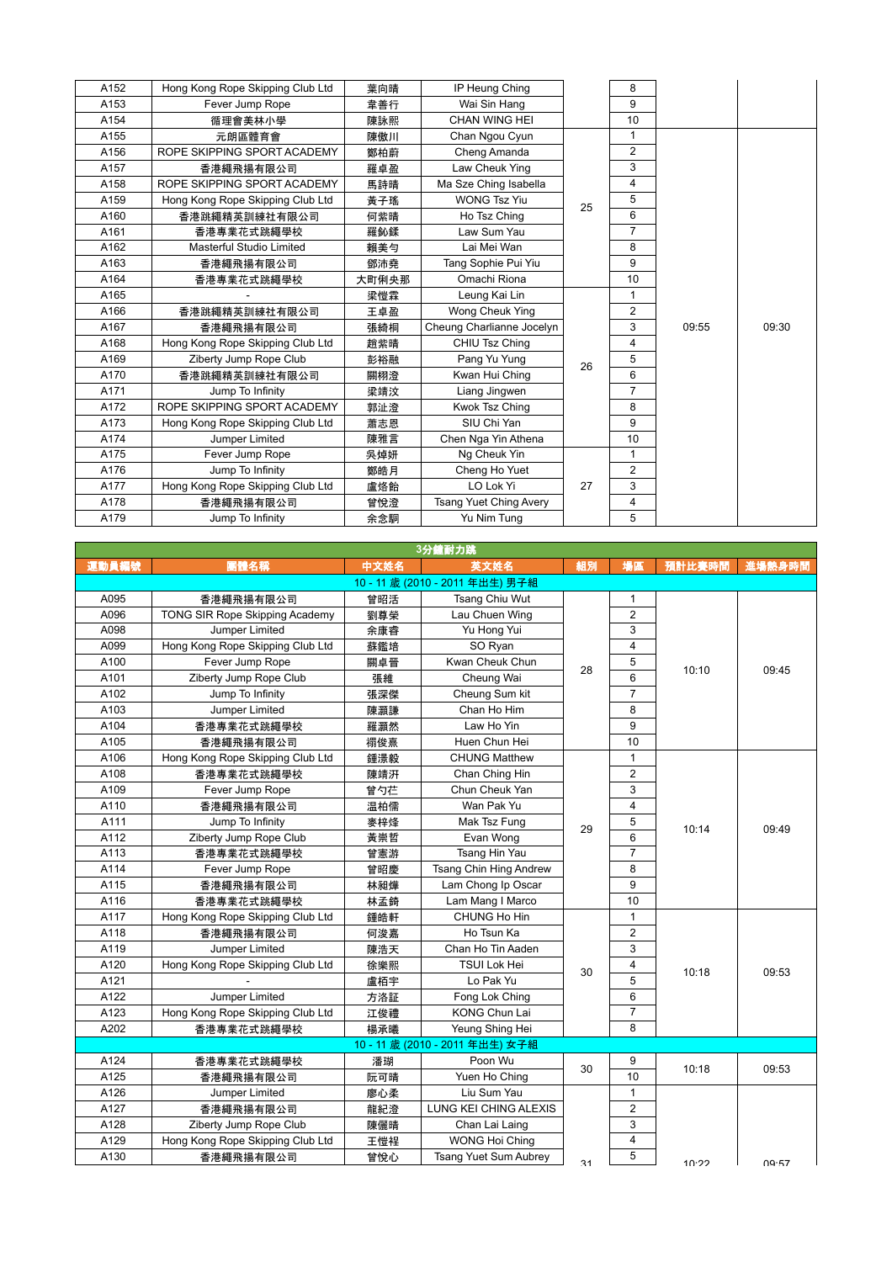| A152 | Hong Kong Rope Skipping Club Ltd | 葉向晴   | IP Heung Ching                |    | 8              |       |       |
|------|----------------------------------|-------|-------------------------------|----|----------------|-------|-------|
| A153 | Fever Jump Rope                  | 韋善行   | Wai Sin Hang                  |    | 9              |       |       |
| A154 | 循理會美林小學                          | 陳詠熙   | CHAN WING HEI                 |    | 10             |       |       |
| A155 | 元朗區體育會                           | 陳傲川   | Chan Ngou Cyun                |    | $\mathbf{1}$   |       |       |
| A156 | ROPE SKIPPING SPORT ACADEMY      | 鄭柏蔚   | Cheng Amanda                  |    | $\overline{2}$ |       |       |
| A157 | 香港繩飛揚有限公司                        | 羅卓盈   | Law Cheuk Ying                |    | 3              |       |       |
| A158 | ROPE SKIPPING SPORT ACADEMY      | 馬詩晴   | Ma Sze Ching Isabella         |    | $\overline{4}$ |       |       |
| A159 | Hong Kong Rope Skipping Club Ltd | 黃子瑤   | <b>WONG Tsz Yiu</b>           | 25 | 5              |       |       |
| A160 | 香港跳繩精英訓練社有限公司                    | 何紫晴   | Ho Tsz Ching                  |    | 6              |       |       |
| A161 | 香港專業花式跳繩學校                       | 羅鈊鍒   | Law Sum Yau                   |    | $\overline{7}$ |       |       |
| A162 | Masterful Studio Limited         | 賴美勻   | Lai Mei Wan                   |    | 8              |       |       |
| A163 | 香港繩飛揚有限公司                        | 鄧沛堯   | Tang Sophie Pui Yiu           |    | 9              |       |       |
| A164 | 香港專業花式跳繩學校                       | 大町俐央那 | Omachi Riona                  |    | 10             |       |       |
| A165 |                                  | 梁愷霖   | Leung Kai Lin                 |    | $\mathbf{1}$   |       |       |
| A166 | 香港跳繩精英訓練社有限公司                    | 王卓盈   | Wong Cheuk Ying               |    | $\overline{2}$ |       |       |
| A167 | 香港繩飛揚有限公司                        | 張綺桐   | Cheung Charlianne Jocelyn     |    | 3              | 09:55 | 09:30 |
| A168 | Hong Kong Rope Skipping Club Ltd | 趙紫晴   | CHIU Tsz Ching                |    | 4              |       |       |
| A169 | Ziberty Jump Rope Club           | 彭裕融   | Pang Yu Yung                  | 26 | 5              |       |       |
| A170 | 香港跳繩精英訓練社有限公司                    | 關栩澄   | Kwan Hui Ching                |    | 6              |       |       |
| A171 | Jump To Infinity                 | 梁靖汶   | Liang Jingwen                 |    | $\overline{7}$ |       |       |
| A172 | ROPE SKIPPING SPORT ACADEMY      | 郭沚澄   | Kwok Tsz Ching                |    | 8              |       |       |
| A173 | Hong Kong Rope Skipping Club Ltd | 蕭志恩   | SIU Chi Yan                   |    | 9              |       |       |
| A174 | Jumper Limited                   | 陳雅言   | Chen Nga Yin Athena           |    | 10             |       |       |
|      |                                  |       |                               |    |                |       |       |
| A175 | Fever Jump Rope                  | 吳焯妍   | Ng Cheuk Yin                  |    | $\mathbf{1}$   |       |       |
| A176 | Jump To Infinity                 | 鄭皓月   | Cheng Ho Yuet                 |    | $\overline{2}$ |       |       |
| A177 | Hong Kong Rope Skipping Club Ltd | 盧烙飴   | LO Lok Yi                     | 27 | 3              |       |       |
| A178 | 香港繩飛揚有限公司                        | 曾悅澄   | <b>Tsang Yuet Ching Avery</b> |    | 4              |       |       |
| A179 | Jump To Infinity                 | 余念駧   | Yu Nim Tung                   |    | 5              |       |       |

| 3分鐘耐力跳 |                                  |      |                                 |    |                 |        |        |  |  |
|--------|----------------------------------|------|---------------------------------|----|-----------------|--------|--------|--|--|
| 運動員編號  | 團體名稱                             | 中文姓名 | 英文姓名                            | 組別 | 場區              | 預計比賽時間 | 進場熱身時間 |  |  |
|        |                                  |      | 10 - 11 歲 (2010 - 2011 年出生) 男子組 |    |                 |        |        |  |  |
| A095   | 香港繩飛揚有限公司                        | 曾昭活  | Tsang Chiu Wut                  |    | $\mathbf{1}$    |        |        |  |  |
| A096   | TONG SIR Rope Skipping Academy   | 劉尊榮  | Lau Chuen Wing                  |    | $\overline{2}$  |        |        |  |  |
| A098   | Jumper Limited                   | 余康睿  | Yu Hong Yui                     |    | 3               |        |        |  |  |
| A099   | Hong Kong Rope Skipping Club Ltd | 蘇鑑培  | SO Ryan                         |    | $\overline{4}$  |        | 09:45  |  |  |
| A100   | Fever Jump Rope                  | 關卓晉  | Kwan Cheuk Chun                 | 28 | 5               | 10:10  |        |  |  |
| A101   | Ziberty Jump Rope Club           | 張維   | Cheung Wai                      |    | 6               |        |        |  |  |
| A102   | Jump To Infinity                 | 張深傑  | Cheung Sum kit                  |    | $\overline{7}$  |        |        |  |  |
| A103   | Jumper Limited                   | 陳灝謙  | Chan Ho Him                     |    | 8               |        |        |  |  |
| A104   | 香港專業花式跳繩學校                       | 羅灝然  | Law Ho Yin                      |    | 9               |        |        |  |  |
| A105   | 香港繩飛揚有限公司                        | 禤俊熹  | Huen Chun Hei                   |    | 10              |        |        |  |  |
| A106   | Hong Kong Rope Skipping Club Ltd | 鍾澋毅  | <b>CHUNG Matthew</b>            |    | $\mathbf{1}$    |        |        |  |  |
| A108   | 香港專業花式跳繩學校                       | 陳靖汧  | Chan Ching Hin                  |    | $\overline{2}$  |        |        |  |  |
| A109   | Fever Jump Rope                  | 曾勺芢  | Chun Cheuk Yan                  |    | 3               |        | 09:49  |  |  |
| A110   | 香港繩飛揚有限公司                        | 温柏儒  | Wan Pak Yu                      |    | $\overline{4}$  | 10:14  |        |  |  |
| A111   | Jump To Infinity                 | 麥梓烽  | Mak Tsz Fung                    | 29 | 5               |        |        |  |  |
| A112   | Ziberty Jump Rope Club           | 黃崇哲  | Evan Wong                       |    | $6\overline{6}$ |        |        |  |  |
| A113   | 香港專業花式跳繩學校                       | 曾憲游  | Tsang Hin Yau                   |    | $\overline{7}$  |        |        |  |  |
| A114   | Fever Jump Rope                  | 曾昭慶  | Tsang Chin Hing Andrew          |    | 8               |        |        |  |  |
| A115   | 香港繩飛揚有限公司                        | 林昶燁  | Lam Chong Ip Oscar              |    | 9               |        |        |  |  |
| A116   | 香港專業花式跳繩學校                       | 林孟錡  | Lam Mang I Marco                |    | 10              |        |        |  |  |
| A117   | Hong Kong Rope Skipping Club Ltd | 鍾皓軒  | CHUNG Ho Hin                    |    | $\mathbf{1}$    |        |        |  |  |
| A118   | 香港繩飛揚有限公司                        | 何浚嘉  | Ho Tsun Ka                      |    | $\overline{2}$  |        |        |  |  |
| A119   | Jumper Limited                   | 陳浩天  | Chan Ho Tin Aaden               |    | 3               |        |        |  |  |
| A120   | Hong Kong Rope Skipping Club Ltd | 徐樂熙  | <b>TSUI Lok Hei</b>             | 30 | 4               | 10:18  | 09:53  |  |  |
| A121   |                                  | 盧栢宇  | Lo Pak Yu                       |    | 5               |        |        |  |  |
| A122   | Jumper Limited                   | 方洛証  | Fong Lok Ching                  |    | $6\phantom{a}$  |        |        |  |  |
| A123   | Hong Kong Rope Skipping Club Ltd | 江俊禮  | KONG Chun Lai                   |    | $\overline{7}$  |        |        |  |  |
| A202   | 香港專業花式跳繩學校                       | 楊承曦  | Yeung Shing Hei                 |    | 8               |        |        |  |  |
|        |                                  |      | 10-11 歲 (2010 - 2011 年出生) 女子組   |    |                 |        |        |  |  |
| A124   | 香港專業花式跳繩學校                       | 潘瑚   | Poon Wu                         | 30 | 9               | 10:18  | 09:53  |  |  |
| A125   | 香港繩飛揚有限公司                        | 阮可晴  | Yuen Ho Ching                   |    | 10              |        |        |  |  |
| A126   | Jumper Limited                   | 廖心柔  | Liu Sum Yau                     |    | $\mathbf{1}$    |        |        |  |  |
| A127   | 香港繩飛揚有限公司                        | 龍紀澄  | LUNG KEI CHING ALEXIS           |    | $\overline{2}$  |        |        |  |  |
| A128   | Ziberty Jump Rope Club           | 陳儷晴  | Chan Lai Laing                  |    | 3               |        |        |  |  |
| A129   | Hong Kong Rope Skipping Club Ltd | 王愷裎  | <b>WONG Hoi Ching</b>           |    | $\overline{4}$  |        |        |  |  |
| A130   | 香港繩飛揚有限公司                        | 曾悅心  | <b>Tsang Yuet Sum Aubrey</b>    | 31 | 5               | 10.22  | 00.57  |  |  |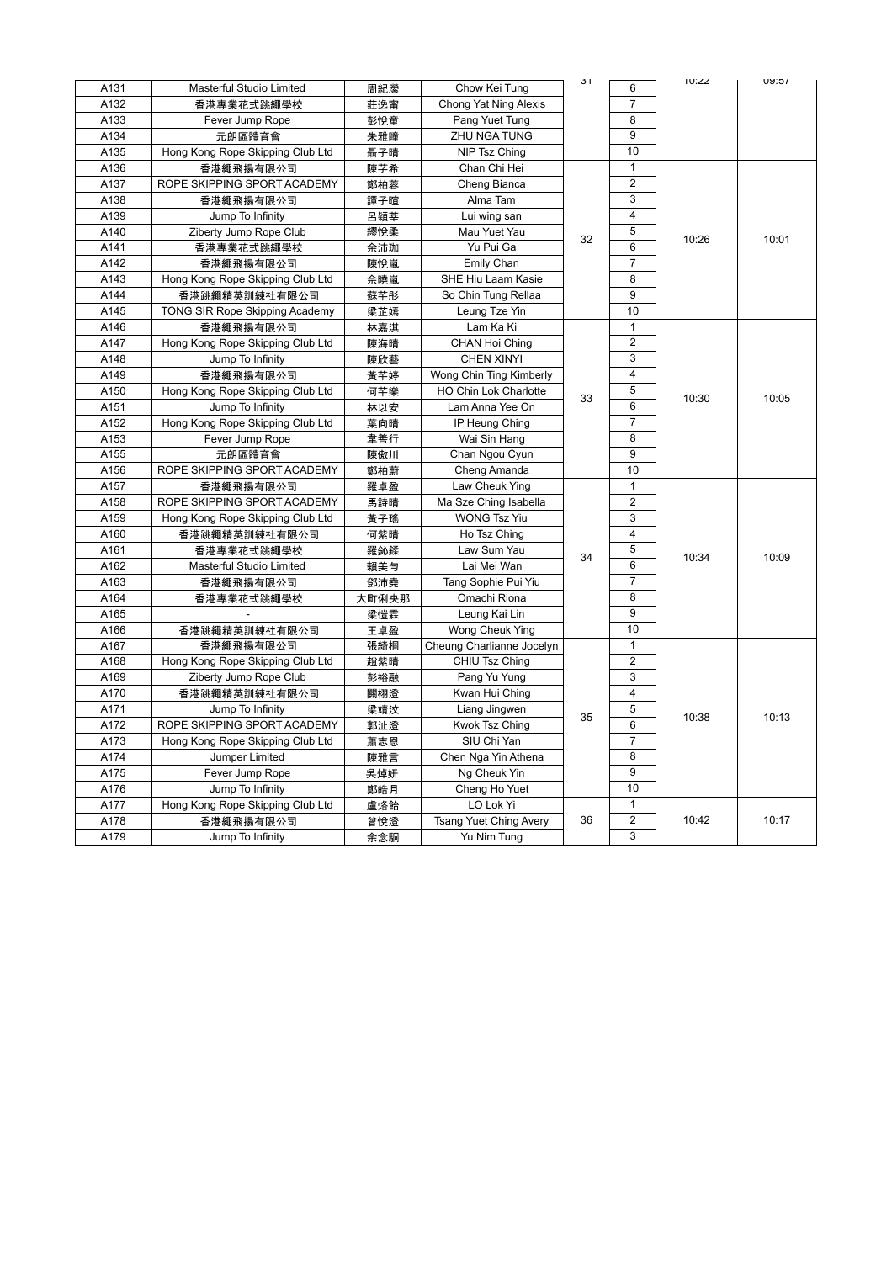| A131 | <b>Masterful Studio Limited</b>  | 周紀瀠   | Chow Kei Tung                 | 31 | 6              | <b>TU:22</b> | וכ:עט |
|------|----------------------------------|-------|-------------------------------|----|----------------|--------------|-------|
| A132 | 香港專業花式跳繩學校                       | 莊逸甯   | Chong Yat Ning Alexis         |    | $\overline{7}$ |              |       |
| A133 | Fever Jump Rope                  | 彭悅童   | Pang Yuet Tung                |    | 8              |              |       |
| A134 | 元朗區體育會                           | 朱雅瞳   | <b>ZHU NGA TUNG</b>           |    | 9              |              |       |
| A135 | Hong Kong Rope Skipping Club Ltd | 聶子晴   | NIP Tsz Ching                 |    | 10             |              |       |
| A136 | 香港繩飛揚有限公司                        | 陳芓希   | Chan Chi Hei                  |    | $\mathbf{1}$   |              |       |
| A137 | ROPE SKIPPING SPORT ACADEMY      | 鄭柏蓉   | Cheng Bianca                  |    | $\overline{2}$ |              |       |
| A138 | 香港繩飛揚有限公司                        | 譚子暄   | Alma Tam                      |    | 3              |              |       |
| A139 | Jump To Infinity                 | 呂穎莘   | Lui wing san                  |    | 4              |              |       |
| A140 | Ziberty Jump Rope Club           | 繆悅柔   | Mau Yuet Yau                  | 32 | 5              | 10:26        |       |
| A141 | 香港專業花式跳繩學校                       | 余沛珈   | Yu Pui Ga                     |    | 6              |              | 10:01 |
| A142 | 香港繩飛揚有限公司                        | 陳悅嵐   | Emily Chan                    |    | $\overline{7}$ |              |       |
| A143 | Hong Kong Rope Skipping Club Ltd | 佘曉嵐   | SHE Hiu Laam Kasie            |    | 8              |              |       |
| A144 | 香港跳繩精英訓練社有限公司                    | 蘇芊彤   | So Chin Tung Rellaa           |    | 9              |              |       |
| A145 | TONG SIR Rope Skipping Academy   | 梁芷嫣   | Leung Tze Yin                 |    | 10             |              |       |
| A146 | 香港繩飛揚有限公司                        | 林嘉淇   | Lam Ka Ki                     |    | $\mathbf{1}$   |              |       |
| A147 | Hong Kong Rope Skipping Club Ltd | 陳海晴   | CHAN Hoi Ching                |    | $\overline{2}$ |              |       |
| A148 | Jump To Infinity                 | 陳欣藝   | CHEN XINYI                    |    | 3              |              |       |
| A149 | 香港繩飛揚有限公司                        | 黃芊婷   | Wong Chin Ting Kimberly       |    | $\overline{4}$ |              |       |
| A150 | Hong Kong Rope Skipping Club Ltd | 何芊樂   | HO Chin Lok Charlotte         | 33 | 5              | 10:30        | 10:05 |
| A151 | Jump To Infinity                 | 林以安   | Lam Anna Yee On               |    | 6              |              |       |
| A152 | Hong Kong Rope Skipping Club Ltd | 葉向晴   | IP Heung Ching                |    | $\overline{7}$ |              |       |
| A153 | Fever Jump Rope                  | 韋善行   | Wai Sin Hang                  |    | 8              |              |       |
| A155 | 元朗區體育會                           | 陳傲川   | Chan Ngou Cyun                |    | 9              |              |       |
| A156 | ROPE SKIPPING SPORT ACADEMY      | 鄭柏蔚   | Cheng Amanda                  |    | 10             |              |       |
| A157 | 香港繩飛揚有限公司                        | 羅卓盈   | Law Cheuk Ying                |    | $\mathbf{1}$   |              |       |
| A158 | ROPE SKIPPING SPORT ACADEMY      | 馬詩晴   | Ma Sze Ching Isabella         |    | $\overline{2}$ |              | 10:09 |
| A159 | Hong Kong Rope Skipping Club Ltd | 黃子瑤   | <b>WONG Tsz Yiu</b>           |    | 3              |              |       |
| A160 | 香港跳繩精英訓練社有限公司                    | 何紫晴   | Ho Tsz Ching                  |    | $\overline{4}$ |              |       |
| A161 | 香港專業花式跳繩學校                       | 羅鈊鍒   | Law Sum Yau                   | 34 | 5              | 10:34        |       |
| A162 | Masterful Studio Limited         | 賴美勻   | Lai Mei Wan                   |    | 6              |              |       |
| A163 | 香港繩飛揚有限公司                        | 鄧沛堯   | Tang Sophie Pui Yiu           |    | $\overline{7}$ |              |       |
| A164 | 香港專業花式跳繩學校                       | 大町俐央那 | Omachi Riona                  |    | 8              |              |       |
| A165 |                                  | 梁愷霖   | Leung Kai Lin                 |    | 9              |              |       |
| A166 | 香港跳繩精英訓練社有限公司                    | 王卓盈   | Wong Cheuk Ying               |    | 10             |              |       |
| A167 | 香港繩飛揚有限公司                        | 張綺桐   | Cheung Charlianne Jocelyn     |    | $\mathbf{1}$   |              |       |
| A168 | Hong Kong Rope Skipping Club Ltd | 趙紫晴   | CHIU Tsz Ching                |    | $\overline{2}$ |              |       |
| A169 | Ziberty Jump Rope Club           | 彭裕融   | Pang Yu Yung                  |    | 3              |              |       |
| A170 | 香港跳繩精英訓練社有限公司                    | 關栩澄   | Kwan Hui Ching                |    | $\overline{4}$ |              |       |
| A171 | Jump To Infinity                 | 梁靖汶   | Liang Jingwen                 | 35 | 5              | 10:38        | 10:13 |
| A172 | ROPE SKIPPING SPORT ACADEMY      | 郭沚澄   | Kwok Tsz Ching                |    | 6              |              |       |
| A173 | Hong Kong Rope Skipping Club Ltd | 蕭志恩   | SIU Chi Yan                   |    | $\overline{7}$ |              |       |
| A174 | Jumper Limited                   | 陳雅言   | Chen Nga Yin Athena           |    | 8              |              |       |
| A175 | Fever Jump Rope                  | 吳焯妍   | Ng Cheuk Yin                  |    | 9              |              |       |
| A176 | Jump To Infinity                 | 鄭皓月   | Cheng Ho Yuet                 |    | 10             |              |       |
| A177 | Hong Kong Rope Skipping Club Ltd | 盧烙飴   | LO Lok Yi                     |    | $\mathbf{1}$   |              |       |
| A178 | 香港繩飛揚有限公司                        | 曾悅澄   | <b>Tsang Yuet Ching Avery</b> | 36 | $\overline{2}$ | 10:42        | 10:17 |
| A179 | Jump To Infinity                 | 余念駧   | Yu Nim Tung                   |    | 3              |              |       |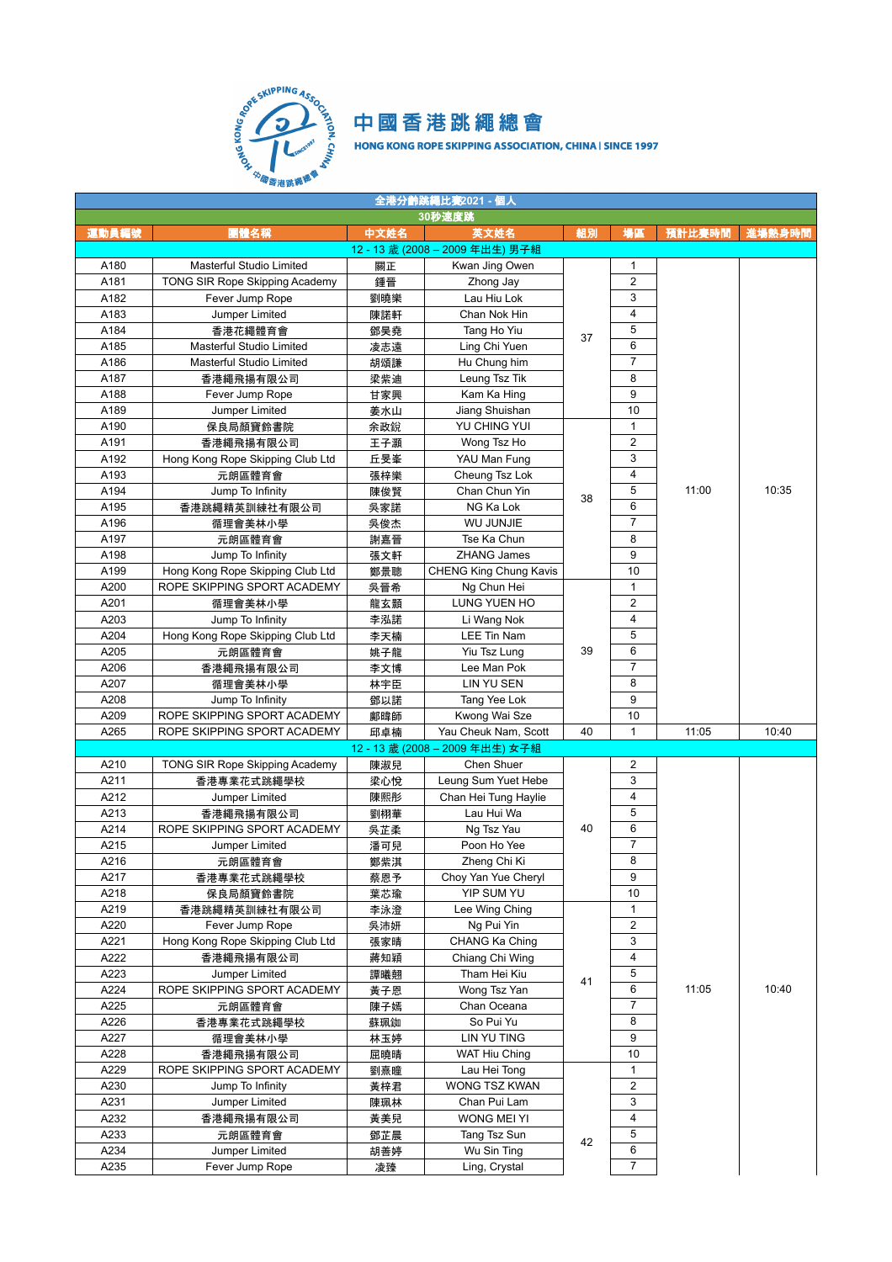

| 全港分齡跳繩比賽2021 - 個人 |                                  |      |                                 |    |                |        |        |  |  |  |
|-------------------|----------------------------------|------|---------------------------------|----|----------------|--------|--------|--|--|--|
|                   |                                  |      | 30秒速度跳                          |    |                |        |        |  |  |  |
| 運動員編號             | 團體名稱                             | 中文姓名 | 英文姓名                            | 組別 | 場區             | 預計比賽時間 | 進場熱身時間 |  |  |  |
|                   |                                  |      | 12 - 13 歲 (2008 – 2009 年出生) 男子組 |    |                |        |        |  |  |  |
| A180              | Masterful Studio Limited         | 關正   | Kwan Jing Owen                  |    | 1              |        |        |  |  |  |
| A181              | TONG SIR Rope Skipping Academy   | 鍾晉   | Zhong Jay                       |    | $\overline{2}$ |        |        |  |  |  |
| A182              | Fever Jump Rope                  | 劉曉樂  | Lau Hiu Lok                     |    | 3              |        |        |  |  |  |
| A183              | Jumper Limited                   | 陳諾軒  | Chan Nok Hin                    |    | $\overline{4}$ |        |        |  |  |  |
| A184              | 香港花繩體育會                          | 鄧昊堯  | Tang Ho Yiu                     |    | 5              |        |        |  |  |  |
| A185              | Masterful Studio Limited         | 凌志遠  | Ling Chi Yuen                   | 37 | 6              |        |        |  |  |  |
| A186              | Masterful Studio Limited         | 胡頌謙  | Hu Chung him                    |    | 7              |        |        |  |  |  |
| A187              | 香港繩飛揚有限公司                        | 梁紫迪  | Leung Tsz Tik                   |    | 8              |        |        |  |  |  |
| A188              | Fever Jump Rope                  | 甘家興  | Kam Ka Hing                     |    | 9              |        |        |  |  |  |
| A189              | Jumper Limited                   | 姜水山  | Jiang Shuishan                  |    | 10             |        |        |  |  |  |
| A190              | 保良局顏寶鈴書院                         | 余政銳  | YU CHING YUI                    |    | $\mathbf{1}$   |        |        |  |  |  |
| A191              | 香港繩飛揚有限公司                        | 王子灝  | Wong Tsz Ho                     |    | $\overline{2}$ |        |        |  |  |  |
| A192              | Hong Kong Rope Skipping Club Ltd | 丘旻峯  | YAU Man Fung                    |    | 3              |        |        |  |  |  |
| A193              | 元朗區體育會                           | 張梓樂  | Cheung Tsz Lok                  |    | 4              |        |        |  |  |  |
| A194              | Jump To Infinity                 | 陳俊賢  | Chan Chun Yin                   |    | 5              | 11:00  | 10:35  |  |  |  |
| A195              | 香港跳繩精英訓練社有限公司                    | 吳家諾  | NG Ka Lok                       | 38 | 6              |        |        |  |  |  |
| A196              | 循理會美林小學                          | 吳俊杰  | <b>WU JUNJIE</b>                |    | 7              |        |        |  |  |  |
| A197              | 元朗區體育會                           | 謝嘉晉  | Tse Ka Chun                     |    | 8              |        |        |  |  |  |
| A198              | Jump To Infinity                 | 張文軒  | <b>ZHANG James</b>              |    | 9              |        |        |  |  |  |
| A199              | Hong Kong Rope Skipping Club Ltd | 鄭景聰  | <b>CHENG King Chung Kavis</b>   |    | 10             |        |        |  |  |  |
| A200              | ROPE SKIPPING SPORT ACADEMY      | 吳晉希  | Ng Chun Hei                     |    | 1              |        |        |  |  |  |
| A201              | 循理會美林小學                          | 龍玄顥  | LUNG YUEN HO                    |    | $\overline{2}$ |        |        |  |  |  |
| A203              | Jump To Infinity                 | 李泓諾  | Li Wang Nok                     |    | $\overline{4}$ |        |        |  |  |  |
| A204              | Hong Kong Rope Skipping Club Ltd | 李天楠  | LEE Tin Nam                     |    | 5              |        |        |  |  |  |
| A205              | 元朗區體育會                           | 姚子龍  | Yiu Tsz Lung                    | 39 | 6              |        |        |  |  |  |
| A206              | 香港繩飛揚有限公司                        | 李文博  | Lee Man Pok                     |    | $\overline{7}$ |        |        |  |  |  |
| A207              | 循理會美林小學                          | 林宇臣  | LIN YU SEN                      |    | 8              |        |        |  |  |  |
| A208              | Jump To Infinity                 | 鄧以諾  | Tang Yee Lok                    |    | 9              |        |        |  |  |  |
| A209              | ROPE SKIPPING SPORT ACADEMY      | 鄺暐師  | Kwong Wai Sze                   |    | 10             |        |        |  |  |  |
| A265              | ROPE SKIPPING SPORT ACADEMY      | 邱卓楠  | Yau Cheuk Nam, Scott            | 40 | $\mathbf{1}$   | 11:05  | 10:40  |  |  |  |
|                   |                                  |      | 12 - 13 歲 (2008 – 2009 年出生) 女子組 |    |                |        |        |  |  |  |
| A210              | TONG SIR Rope Skipping Academy   | 陳淑兒  | Chen Shuer                      |    | 2              |        |        |  |  |  |
| A211              | 香港專業花式跳繩學校                       | 梁心悅  | Leung Sum Yuet Hebe             |    | 3              |        |        |  |  |  |
| A212              | Jumper Limited                   | 陳熙彤  | Chan Hei Tung Haylie            |    | 4              |        |        |  |  |  |
| A213              | 香港繩飛揚有限公司                        | 劉栩華  | Lau Hui Wa                      |    | 5              |        |        |  |  |  |
| A214              | ROPE SKIPPING SPORT ACADEMY      | 吳芷柔  | Ng Tsz Yau                      | 40 | 6              |        |        |  |  |  |
| A215              | Jumper Limited                   | 潘可兒  | Poon Ho Yee                     |    | $\overline{7}$ |        |        |  |  |  |
| A216              | 元朗區體育會                           | 鄭紫淇  | Zheng Chi Ki                    |    | 8              |        |        |  |  |  |
| A217              | 香港專業花式跳繩學校                       | 蔡恩予  | Choy Yan Yue Cheryl             |    | 9              |        |        |  |  |  |
| A218              | 保良局顏寶鈴書院                         | 葉芯瑜  | YIP SUM YU                      |    | 10             |        |        |  |  |  |
| A219              | 香港跳繩精英訓練社有限公司                    | 李泳澄  | Lee Wing Ching                  |    | 1              |        |        |  |  |  |
| A220              | Fever Jump Rope                  | 吳沛妍  | Ng Pui Yin                      |    | $\overline{2}$ |        |        |  |  |  |
| A221              | Hong Kong Rope Skipping Club Ltd | 張家晴  | CHANG Ka Ching                  |    | 3              |        |        |  |  |  |
| A222              | 香港繩飛揚有限公司                        | 蔣知穎  | Chiang Chi Wing                 |    | 4              |        |        |  |  |  |
| A223              | Jumper Limited                   | 譚曦翹  | Tham Hei Kiu                    |    | 5              |        |        |  |  |  |
| A224              | ROPE SKIPPING SPORT ACADEMY      | 黃子恩  | Wong Tsz Yan                    | 41 | 6              | 11:05  | 10:40  |  |  |  |
| A225              | 元朗區體育會                           | 陳子嫣  | Chan Oceana                     |    | 7              |        |        |  |  |  |
| A226              | 香港專業花式跳繩學校                       | 蘇珮銣  | So Pui Yu                       |    | 8              |        |        |  |  |  |
| A227              | 循理會美林小學                          | 林玉婷  | LIN YU TING                     | 9  |                |        |        |  |  |  |
| A228              | 香港繩飛揚有限公司                        | 屈曉晴  | <b>WAT Hiu Ching</b>            |    | 10             |        |        |  |  |  |
| A229              | ROPE SKIPPING SPORT ACADEMY      | 劉熹瞳  | Lau Hei Tong                    | 1  |                |        |        |  |  |  |
| A230              | Jump To Infinity                 | 黃梓君  | WONG TSZ KWAN                   |    | 2              |        |        |  |  |  |
| A231              | Jumper Limited                   | 陳珮林  | Chan Pui Lam                    |    | 3              |        |        |  |  |  |
| A232              | 香港繩飛揚有限公司                        | 黃美兒  | WONG MEI YI                     |    | 4              |        |        |  |  |  |
| A233              | 元朗區體育會                           | 鄧芷晨  | Tang Tsz Sun                    |    | 5              |        |        |  |  |  |
| A234              | Jumper Limited                   | 胡善婷  | Wu Sin Ting                     | 42 | 6              |        |        |  |  |  |
| A235              | Fever Jump Rope                  | 凌臻   | Ling, Crystal                   |    | $\overline{7}$ |        |        |  |  |  |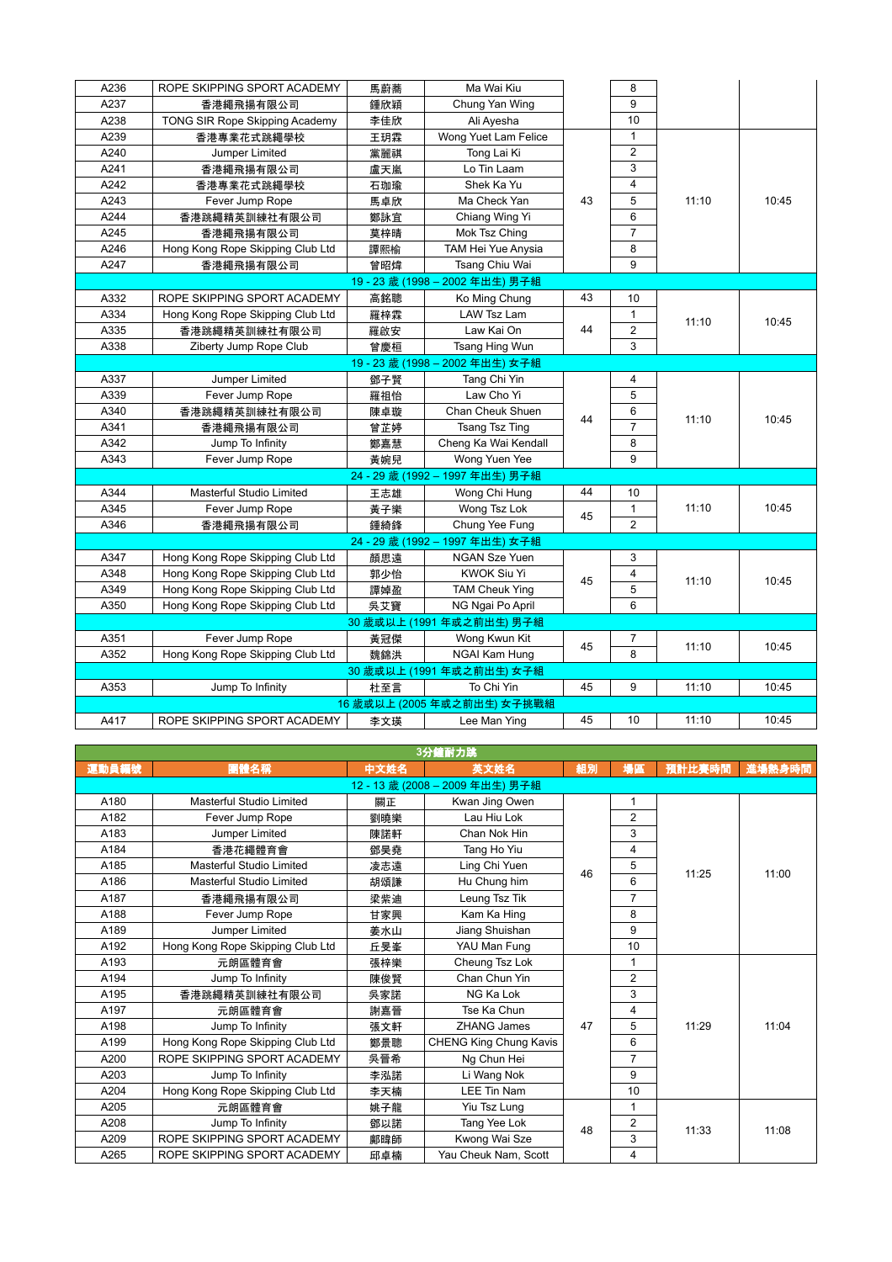| A236 | ROPE SKIPPING SPORT ACADEMY      | 馬蔚蕎 | Ma Wai Kiu                  |    | 8                       |       |       |
|------|----------------------------------|-----|-----------------------------|----|-------------------------|-------|-------|
| A237 | 香港繩飛揚有限公司                        | 鍾欣穎 | Chung Yan Wing              |    | 9                       |       |       |
| A238 | TONG SIR Rope Skipping Academy   | 李佳欣 | Ali Ayesha                  |    | 10                      |       |       |
| A239 | 香港專業花式跳繩學校                       | 王玥霖 | Wong Yuet Lam Felice        |    | $\mathbf{1}$            |       |       |
| A240 | Jumper Limited                   | 黨麗祺 | Tong Lai Ki                 |    | $\overline{2}$          |       |       |
| A241 | 香港繩飛揚有限公司                        | 盧天嵐 | Lo Tin Laam                 |    | 3                       |       |       |
| A242 | 香港專業花式跳繩學校                       | 石珈瑜 | Shek Ka Yu                  |    | $\overline{4}$          |       |       |
| A243 | Fever Jump Rope                  | 馬卓欣 | Ma Check Yan                | 43 | 5                       | 11:10 | 10:45 |
| A244 | 香港跳繩精英訓練社有限公司                    | 鄭詠宜 | Chiang Wing Yi              |    | 6                       |       |       |
| A245 | 香港繩飛揚有限公司                        | 莫梓晴 | Mok Tsz Ching               |    | $\overline{7}$          |       |       |
| A246 | Hong Kong Rope Skipping Club Ltd | 譚熙榆 | TAM Hei Yue Anysia          |    | 8                       |       |       |
| A247 | 香港繩飛揚有限公司                        | 曾昭煒 | Tsang Chiu Wai              |    | 9                       |       |       |
|      |                                  |     | 19-23 歲 (1998-2002年出生) 男子組  |    |                         |       |       |
| A332 | ROPE SKIPPING SPORT ACADEMY      | 高銘聰 | Ko Ming Chung               | 43 | 10                      |       |       |
| A334 | Hong Kong Rope Skipping Club Ltd | 羅梓霖 | LAW Tsz Lam                 |    | $\mathbf{1}$            | 11:10 | 10:45 |
| A335 | 香港跳繩精英訓練社有限公司                    | 羅啟安 | Law Kai On                  | 44 | 2                       |       |       |
| A338 | Ziberty Jump Rope Club           | 曾慶桓 | Tsang Hing Wun              |    | 3                       |       |       |
|      |                                  |     | 19-23 歲 (1998-2002年出生) 女子組  |    |                         |       |       |
| A337 | Jumper Limited                   | 鄧子賢 | Tang Chi Yin                |    | 4                       |       |       |
| A339 | Fever Jump Rope                  | 羅祖怡 | Law Cho Yi                  |    | 5                       |       |       |
| A340 | 香港跳繩精英訓練社有限公司                    | 陳卓璇 | Chan Cheuk Shuen            | 44 | 6                       |       |       |
| A341 | 香港繩飛揚有限公司                        | 曾芷婷 | <b>Tsang Tsz Ting</b>       |    | $\overline{7}$          | 11:10 | 10:45 |
| A342 | Jump To Infinity                 | 鄭嘉慧 | Cheng Ka Wai Kendall        |    | 8                       |       |       |
| A343 | Fever Jump Rope                  | 黃婉兒 | Wong Yuen Yee               |    | 9                       |       |       |
|      |                                  |     | 24-29 歳 (1992-1997年出生) 男子組  |    |                         |       |       |
| A344 | Masterful Studio Limited         | 王志雄 | Wong Chi Hung               | 44 | 10                      |       |       |
| A345 | Fever Jump Rope                  | 黃子樂 | Wong Tsz Lok                | 45 | $\mathbf{1}$            | 11:10 | 10:45 |
| A346 | 香港繩飛揚有限公司                        | 鍾綺鋒 | Chung Yee Fung              |    | $\overline{2}$          |       |       |
|      |                                  |     | 24-29 歲 (1992-1997年出生) 女子組  |    |                         |       |       |
| A347 | Hong Kong Rope Skipping Club Ltd | 顏思遠 | <b>NGAN Sze Yuen</b>        |    | 3                       |       |       |
| A348 | Hong Kong Rope Skipping Club Ltd | 郭少怡 | <b>KWOK Siu Yi</b>          | 45 | $\overline{\mathbf{4}}$ |       | 10:45 |
| A349 | Hong Kong Rope Skipping Club Ltd | 譚婥盈 | <b>TAM Cheuk Ying</b>       |    | 5                       | 11:10 |       |
| A350 | Hong Kong Rope Skipping Club Ltd | 吳艾寶 | NG Ngai Po April            |    | 6                       |       |       |
|      |                                  |     | 30 歲或以上 (1991 年或之前出生) 男子組   |    |                         |       |       |
| A351 | Fever Jump Rope                  | 黃冠傑 | Wong Kwun Kit               |    | 7                       |       |       |
| A352 | Hong Kong Rope Skipping Club Ltd | 魏錦洪 | NGAI Kam Hung               | 45 | 8                       | 11:10 | 10:45 |
|      |                                  |     | 30 歲或以上 (1991 年或之前出生) 女子組   |    |                         |       |       |
| A353 | Jump To Infinity                 | 杜至言 | To Chi Yin                  | 45 | 9                       | 11:10 | 10:45 |
|      |                                  |     | 16 歲或以上 (2005 年或之前出生) 女子挑戰組 |    |                         |       |       |
| A417 | ROPE SKIPPING SPORT ACADEMY      | 李文瑛 | Lee Man Ying                | 45 | 10                      | 11:10 | 10:45 |

| 3分鐘耐力跳 |                                  |      |                               |    |                |        |        |  |  |  |
|--------|----------------------------------|------|-------------------------------|----|----------------|--------|--------|--|--|--|
| 運動員編號  | 團體名稱                             | 中文姓名 | 英文姓名                          | 組別 | 場區             | 預計比賽時間 | 進場熱身時間 |  |  |  |
|        |                                  |      | 12-13 歳 (2008-2009年出生) 男子組    |    |                |        |        |  |  |  |
| A180   | <b>Masterful Studio Limited</b>  | 關正   | Kwan Jing Owen                |    |                |        |        |  |  |  |
| A182   | Fever Jump Rope                  | 劉曉樂  | Lau Hiu Lok                   |    | $\overline{2}$ |        |        |  |  |  |
| A183   | Jumper Limited                   | 陳諾軒  | Chan Nok Hin                  |    | 3              |        |        |  |  |  |
| A184   | 香港花繩體育會                          | 鄧昊堯  | Tang Ho Yiu                   |    | 4              |        |        |  |  |  |
| A185   | Masterful Studio Limited         | 凌志遠  | Ling Chi Yuen                 | 46 | 5              | 11:25  | 11:00  |  |  |  |
| A186   | Masterful Studio Limited         | 胡頌謙  | Hu Chung him                  |    | 6              |        |        |  |  |  |
| A187   | 香港繩飛揚有限公司                        | 梁紫迪  | Leung Tsz Tik                 |    | 7              |        |        |  |  |  |
| A188   | Fever Jump Rope                  | 甘家興  | Kam Ka Hing                   |    | 8              |        |        |  |  |  |
| A189   | Jumper Limited                   | 姜水山  | Jiang Shuishan                |    | 9              |        |        |  |  |  |
| A192   | Hong Kong Rope Skipping Club Ltd | 丘旻峯  | YAU Man Fung                  |    | 10             |        |        |  |  |  |
| A193   | 元朗區體育會                           | 張梓樂  | Cheung Tsz Lok                |    | 1              |        |        |  |  |  |
| A194   | Jump To Infinity                 | 陳俊腎  | Chan Chun Yin                 |    | 2              |        |        |  |  |  |
| A195   | 香港跳繩精英訓練社有限公司                    | 吳家諾  | NG Ka Lok                     |    | 3              |        |        |  |  |  |
| A197   | 元朗區體育會                           | 謝嘉晉  | Tse Ka Chun                   |    | 4              |        |        |  |  |  |
| A198   | Jump To Infinity                 | 張文軒  | <b>ZHANG James</b>            | 47 | 5              | 11:29  | 11:04  |  |  |  |
| A199   | Hong Kong Rope Skipping Club Ltd | 鄭景聰  | <b>CHENG King Chung Kavis</b> |    | 6              |        |        |  |  |  |
| A200   | ROPE SKIPPING SPORT ACADEMY      | 吳晉希  | Ng Chun Hei                   |    | $\overline{7}$ |        |        |  |  |  |
| A203   | Jump To Infinity                 | 李泓諾  | Li Wang Nok                   |    | 9              |        |        |  |  |  |
| A204   | Hong Kong Rope Skipping Club Ltd | 李天楠  | <b>LEE Tin Nam</b>            |    | 10             |        |        |  |  |  |
| A205   | 元朗區體育會                           | 姚子龍  | Yiu Tsz Lung                  |    | 1              |        |        |  |  |  |
| A208   | Jump To Infinity                 | 鄧以諾  | Tang Yee Lok                  | 48 | 2              | 11:33  |        |  |  |  |
| A209   | ROPE SKIPPING SPORT ACADEMY      | 鄺暐師  | Kwong Wai Sze                 |    | 3              |        | 11:08  |  |  |  |
| A265   | ROPE SKIPPING SPORT ACADEMY      | 邱卓楠  | Yau Cheuk Nam, Scott          |    | 4              |        |        |  |  |  |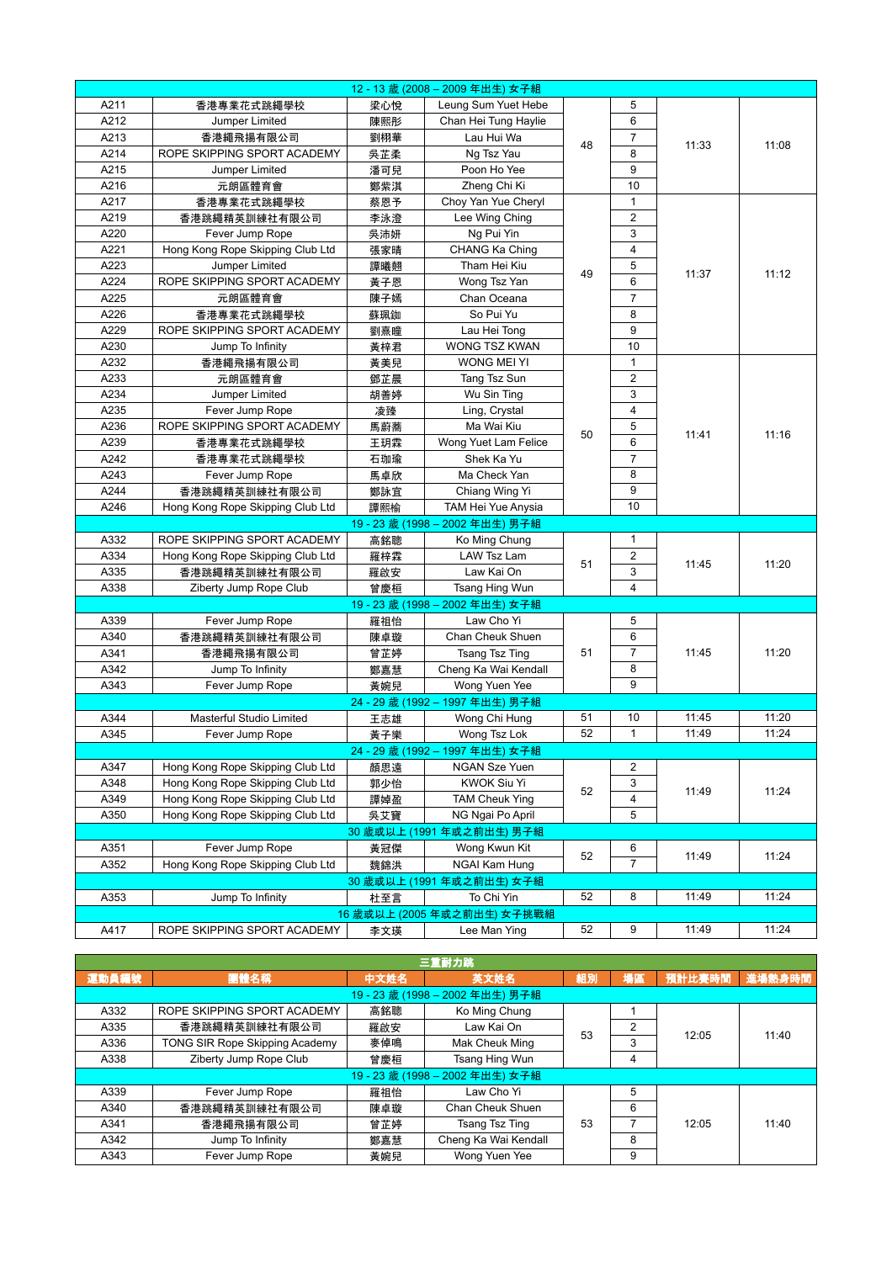|      |                                  |     | 12-13 歲 (2008-2009年出生) 女子組      |    |                |       |       |
|------|----------------------------------|-----|---------------------------------|----|----------------|-------|-------|
| A211 | 香港專業花式跳繩學校                       | 梁心悅 | Leung Sum Yuet Hebe             |    | 5              |       |       |
| A212 | Jumper Limited                   | 陳熙彤 | Chan Hei Tung Haylie            |    | 6              |       |       |
| A213 | 香港繩飛揚有限公司                        | 劉栩華 | Lau Hui Wa                      |    | $\overline{7}$ |       |       |
| A214 | ROPE SKIPPING SPORT ACADEMY      | 吳芷柔 | Ng Tsz Yau                      | 48 | 8              | 11:33 | 11:08 |
| A215 | Jumper Limited                   | 潘可兒 | Poon Ho Yee                     |    | 9              |       |       |
| A216 | 元朗區體育會                           | 鄭紫淇 | Zheng Chi Ki                    |    | 10             |       |       |
| A217 | 香港專業花式跳繩學校                       | 蔡恩予 | Choy Yan Yue Cheryl             |    | $\mathbf{1}$   |       |       |
| A219 | 香港跳繩精英訓練社有限公司                    | 李泳澄 | Lee Wing Ching                  |    | $\overline{2}$ |       |       |
| A220 | Fever Jump Rope                  | 吳沛妍 | Ng Pui Yin                      |    | 3              |       |       |
| A221 | Hong Kong Rope Skipping Club Ltd | 張家晴 | CHANG Ka Ching                  |    | 4              |       |       |
| A223 | Jumper Limited                   | 譚曦翹 | Tham Hei Kiu                    |    | 5              |       |       |
| A224 | ROPE SKIPPING SPORT ACADEMY      | 黃子恩 | Wong Tsz Yan                    | 49 | 6              | 11:37 | 11:12 |
| A225 | 元朗區體育會                           | 陳子嫣 | Chan Oceana                     |    | $\overline{7}$ |       |       |
| A226 | 香港專業花式跳繩學校                       | 蘇珮銣 | So Pui Yu                       |    | 8              |       |       |
| A229 | ROPE SKIPPING SPORT ACADEMY      | 劉熹瞳 | Lau Hei Tong                    |    | 9              |       |       |
| A230 | Jump To Infinity                 | 黃梓君 | WONG TSZ KWAN                   |    | 10             |       |       |
| A232 | 香港繩飛揚有限公司                        | 黃美兒 | WONG MEI YI                     |    | $\mathbf{1}$   |       |       |
| A233 | 元朗區體育會                           | 鄧芷晨 | Tang Tsz Sun                    |    | $\overline{2}$ |       |       |
| A234 | Jumper Limited                   | 胡善婷 | Wu Sin Ting                     |    | 3              |       |       |
| A235 | Fever Jump Rope                  | 凌臻  | Ling, Crystal                   |    | $\overline{4}$ |       |       |
| A236 | ROPE SKIPPING SPORT ACADEMY      | 馬蔚蕎 | Ma Wai Kiu                      |    | 5              |       |       |
| A239 | 香港專業花式跳繩學校                       | 王玥霖 | Wong Yuet Lam Felice            | 50 | 6              | 11:41 | 11:16 |
| A242 | 香港專業花式跳繩學校                       | 石珈瑜 | Shek Ka Yu                      |    | $\overline{7}$ |       |       |
| A243 | Fever Jump Rope                  | 馬卓欣 | Ma Check Yan                    |    | 8              |       |       |
| A244 | 香港跳繩精英訓練社有限公司                    | 鄭詠宜 | Chiang Wing Yi                  |    | 9              |       |       |
| A246 | Hong Kong Rope Skipping Club Ltd | 譚熙榆 | TAM Hei Yue Anysia              |    | 10             |       |       |
|      |                                  |     | 19 - 23 歲 (1998 – 2002 年出生) 男子組 |    |                |       |       |
| A332 | ROPE SKIPPING SPORT ACADEMY      | 高銘聰 | Ko Ming Chung                   |    | $\mathbf 1$    |       |       |
| A334 | Hong Kong Rope Skipping Club Ltd | 羅梓霖 | LAW Tsz Lam                     |    | $\overline{2}$ |       |       |
| A335 | 香港跳繩精英訓練社有限公司                    | 羅啟安 | Law Kai On                      | 51 | 3              | 11:45 | 11:20 |
| A338 | Ziberty Jump Rope Club           | 曾慶桓 | Tsang Hing Wun                  |    | 4              |       |       |
|      |                                  |     | 19 - 23 歲 (1998 – 2002 年出生) 女子組 |    |                |       |       |
| A339 | Fever Jump Rope                  | 羅祖怡 | Law Cho Yi                      |    | 5              |       |       |
| A340 | 香港跳繩精英訓練社有限公司                    | 陳卓璇 | Chan Cheuk Shuen                |    | 6              |       |       |
| A341 | 香港繩飛揚有限公司                        | 曾芷婷 | Tsang Tsz Ting                  | 51 | $\overline{7}$ | 11:45 | 11:20 |
| A342 | Jump To Infinity                 | 鄭嘉慧 | Cheng Ka Wai Kendall            |    | 8              |       |       |
| A343 | Fever Jump Rope                  | 黃婉兒 | Wong Yuen Yee                   |    | 9              |       |       |
|      |                                  |     | 24-29 歳 (1992-1997年出生) 男子組      |    |                |       |       |
| A344 | <b>Masterful Studio Limited</b>  | 王志雄 | Wong Chi Hung                   | 51 | 10             | 11:45 | 11:20 |
| A345 | Fever Jump Rope                  | 黃子樂 | Wong Tsz Lok                    | 52 | $\mathbf{1}$   | 11:49 | 11:24 |
|      |                                  |     | 24 - 29 歲 (1992 - 1997 年出生) 女子組 |    |                |       |       |
| A347 | Hong Kong Rope Skipping Club Ltd | 顏思遠 | NGAN Sze Yuen                   |    | 2              |       |       |
| A348 | Hong Kong Rope Skipping Club Ltd | 郭少怡 | KWOK Siu Yi                     |    | 3              |       |       |
| A349 | Hong Kong Rope Skipping Club Ltd | 譚婥盈 | <b>TAM Cheuk Ying</b>           | 52 | 4              | 11:49 | 11:24 |
| A350 | Hong Kong Rope Skipping Club Ltd | 吳艾寶 | NG Ngai Po April                |    | 5              |       |       |
|      |                                  |     | 30 歲或以上 (1991 年或之前出生) 男子組       |    |                |       |       |
| A351 | Fever Jump Rope                  | 黃冠傑 | Wong Kwun Kit                   |    | 6              |       |       |
| A352 | Hong Kong Rope Skipping Club Ltd | 魏錦洪 | NGAI Kam Hung                   | 52 | $\overline{7}$ | 11:49 | 11:24 |
|      |                                  |     | 30 歲或以上 (1991 年或之前出生) 女子組       |    |                |       |       |
| A353 | Jump To Infinity                 | 杜至言 | To Chi Yin                      | 52 | 8              | 11:49 | 11:24 |
|      |                                  |     | 16 歲或以上 (2005 年或之前出生) 女子挑戰組     |    |                |       |       |
| A417 | ROPE SKIPPING SPORT ACADEMY      | 李文瑛 | Lee Man Ying                    | 52 | 9              | 11:49 | 11:24 |
|      |                                  |     |                                 |    |                |       |       |

| 三重耐力跳                      |                                       |      |                            |    |    |        |        |  |  |  |  |
|----------------------------|---------------------------------------|------|----------------------------|----|----|--------|--------|--|--|--|--|
| 運動員編號                      | 團體名稱                                  | 中文姓名 | 英文姓名                       | 組別 | 場區 | 預計比賽時間 | 進場熱身時間 |  |  |  |  |
| 19-23 歳 (1998-2002年出生) 男子組 |                                       |      |                            |    |    |        |        |  |  |  |  |
| A332                       | ROPE SKIPPING SPORT ACADEMY           | 高銘聰  | Ko Ming Chung              |    |    |        |        |  |  |  |  |
| A335                       | 香港跳繩精英訓練社有限公司                         | 羅啟安  | Law Kai On                 | 53 | 2  | 12:05  | 11:40  |  |  |  |  |
| A336                       | <b>TONG SIR Rope Skipping Academy</b> | 麥倬鳴  | Mak Cheuk Ming             |    | 3  |        |        |  |  |  |  |
| A338                       | Ziberty Jump Rope Club                | 曾慶桓  | Tsang Hing Wun             |    | 4  |        |        |  |  |  |  |
|                            |                                       |      | 19-23 歲 (1998-2002年出生) 女子組 |    |    |        |        |  |  |  |  |
| A339                       | Fever Jump Rope                       | 羅祖怡  | Law Cho Yi                 |    | 5  |        |        |  |  |  |  |
| A340                       | 香港跳繩精英訓練社有限公司                         | 陳卓璇  | Chan Cheuk Shuen           |    | 6  |        |        |  |  |  |  |
| A341                       | 香港繩飛揚有限公司                             | 曾芷婷  | Tsang Tsz Ting             | 53 |    | 12:05  | 11:40  |  |  |  |  |
| A342                       | Jump To Infinity                      | 鄭嘉慧  | Cheng Ka Wai Kendall       |    | 8  |        |        |  |  |  |  |
| A343                       | Fever Jump Rope                       | 黃婉兒  | Wong Yuen Yee              |    | 9  |        |        |  |  |  |  |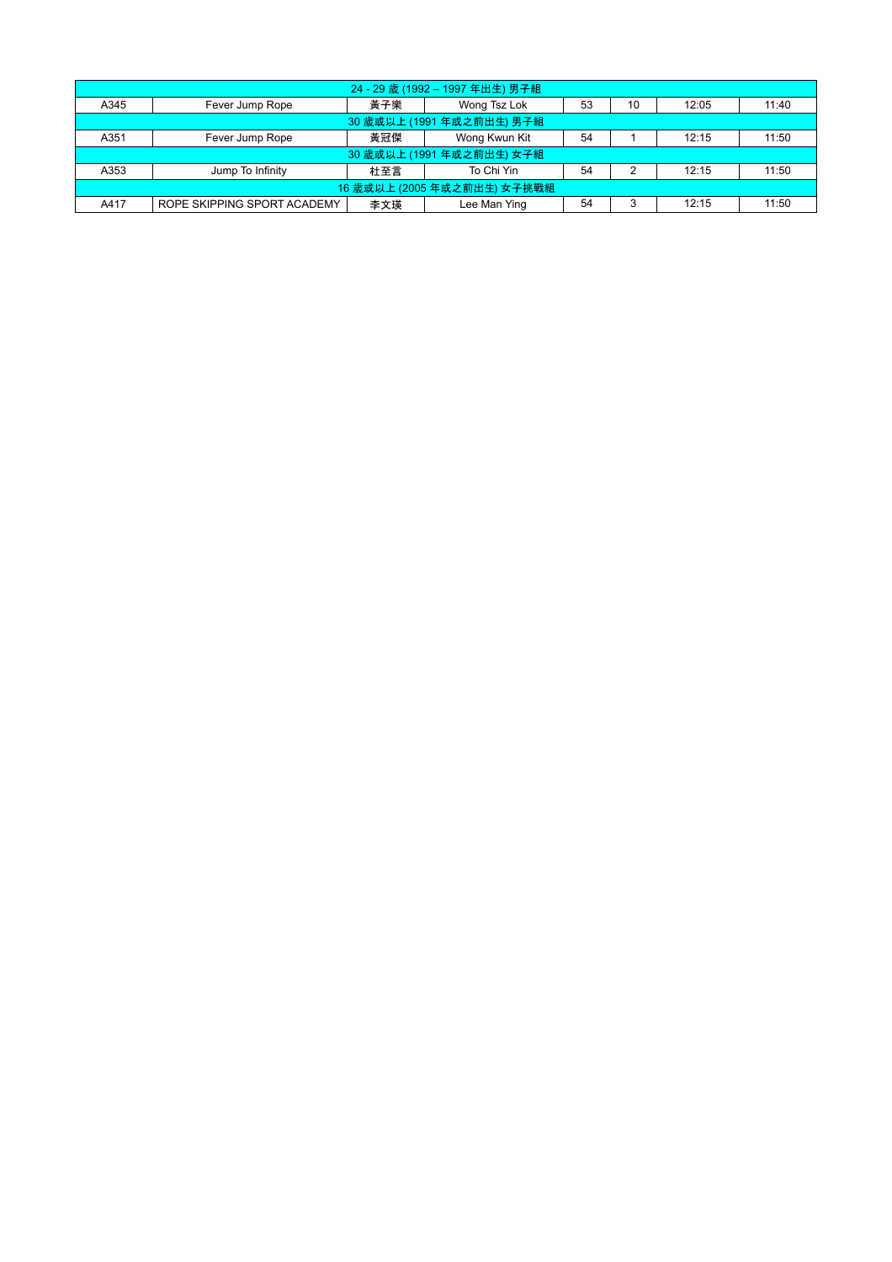| 24 - 29 歲 (1992 - 1997 年出生) 男子組 |                                                                 |     |                           |    |    |       |       |  |  |  |  |
|---------------------------------|-----------------------------------------------------------------|-----|---------------------------|----|----|-------|-------|--|--|--|--|
| A345                            | Fever Jump Rope                                                 | 黃子樂 | Wong Tsz Lok              | 53 | 10 | 12:05 | 11:40 |  |  |  |  |
| 30 歲或以上 (1991 年或之前出生) 男子組       |                                                                 |     |                           |    |    |       |       |  |  |  |  |
| A351                            | Wong Kwun Kit<br>54<br>黃冠傑<br>11:50<br>Fever Jump Rope<br>12:15 |     |                           |    |    |       |       |  |  |  |  |
|                                 |                                                                 |     | 30 歲或以上 (1991 年或之前出生) 女子組 |    |    |       |       |  |  |  |  |
| A353                            | Jump To Infinity                                                | 杜至言 | To Chi Yin                | 54 | 2  | 12:15 | 11:50 |  |  |  |  |
| 16 歲或以上 (2005 年或之前出生) 女子挑戰組     |                                                                 |     |                           |    |    |       |       |  |  |  |  |
| A417                            | ROPE SKIPPING SPORT ACADEMY                                     | 李文瑛 | Lee Man Ying              | 54 | 3  | 12:15 | 11:50 |  |  |  |  |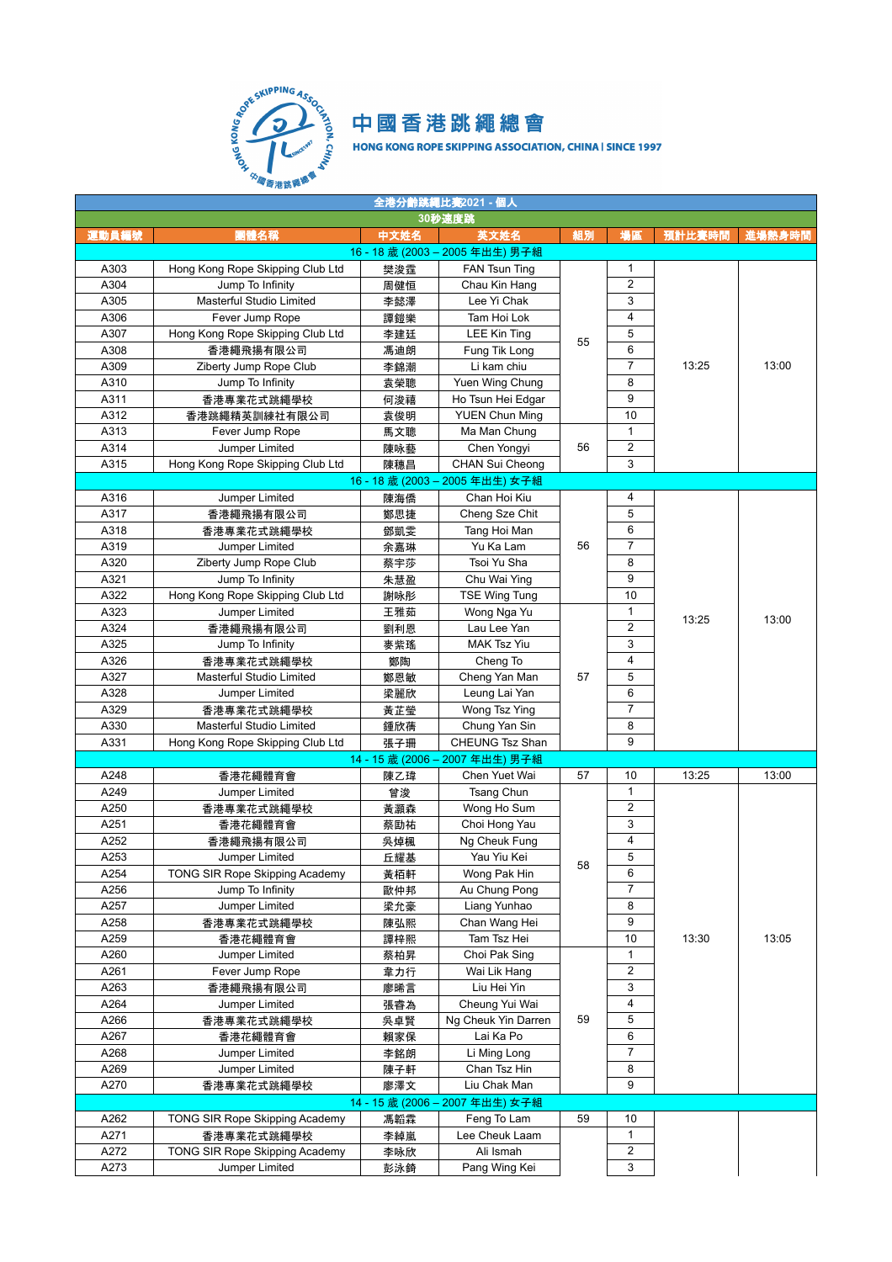

| 全港分齡跳繩比賽2021 - 個人 |                                        |           |                                 |         |                         |        |        |  |  |  |
|-------------------|----------------------------------------|-----------|---------------------------------|---------|-------------------------|--------|--------|--|--|--|
|                   |                                        |           | 30秒速度跳                          |         |                         |        |        |  |  |  |
| 運動員編號             | 團體名稱                                   | 中文姓名      | 英文姓名                            | 組別      | 場區                      | 預計比賽時間 | 進場熱身時間 |  |  |  |
|                   |                                        |           | 16 - 18 歲 (2003 - 2005 年出生) 男子組 |         |                         |        |        |  |  |  |
| A303              | Hong Kong Rope Skipping Club Ltd       | 樊浚霆       | FAN Tsun Ting                   |         | 1                       |        |        |  |  |  |
| A304              | Jump To Infinity                       | 周健恒       | Chau Kin Hang                   |         | $\boldsymbol{2}$        |        |        |  |  |  |
| A305              | Masterful Studio Limited               | 李懿澤       | Lee Yi Chak                     |         | 3                       |        |        |  |  |  |
| A306              | Fever Jump Rope                        | 譚鎧樂       | Tam Hoi Lok                     |         | $\overline{\mathbf{4}}$ |        |        |  |  |  |
| A307              | Hong Kong Rope Skipping Club Ltd       | 李建廷       | LEE Kin Ting                    | 55      | 5                       |        |        |  |  |  |
| A308              | 香港繩飛揚有限公司                              | 馮迪朗       | Fung Tik Long                   |         | 6                       |        |        |  |  |  |
| A309              | Ziberty Jump Rope Club                 | 李錦潮       | Li kam chiu                     |         | $\overline{7}$          | 13:25  | 13:00  |  |  |  |
| A310              | Jump To Infinity                       | 袁榮聰       | Yuen Wing Chung                 |         | 8                       |        |        |  |  |  |
| A311              | 香港專業花式跳繩學校                             | 何浚禧       | Ho Tsun Hei Edgar               |         | 9                       |        |        |  |  |  |
| A312              | 香港跳繩精英訓練社有限公司                          | 袁俊明       | <b>YUEN Chun Ming</b>           |         | 10                      |        |        |  |  |  |
| A313              | Fever Jump Rope                        | 馬文聰       | Ma Man Chung                    |         | $\mathbf{1}$            |        |        |  |  |  |
| A314              | Jumper Limited                         | 陳咏藝       | Chen Yongyi                     | 56      | $\overline{2}$          |        |        |  |  |  |
| A315              | Hong Kong Rope Skipping Club Ltd       | 陳穗昌       | CHAN Sui Cheong                 |         | 3                       |        |        |  |  |  |
|                   |                                        |           | 16 - 18 歳 (2003 - 2005 年出生) 女子組 |         |                         |        |        |  |  |  |
| A316              | Jumper Limited                         | 陳海僑       | Chan Hoi Kiu                    |         | 4                       |        |        |  |  |  |
| A317              | 香港繩飛揚有限公司                              | 鄭思捷       | Cheng Sze Chit                  |         | 5                       |        |        |  |  |  |
| A318              | 香港專業花式跳繩學校                             | 鄧凱雯       | Tang Hoi Man                    |         | 6                       |        |        |  |  |  |
| A319              | Jumper Limited                         | 余嘉琳       | Yu Ka Lam                       | 56      | $\overline{7}$          |        |        |  |  |  |
| A320              | Ziberty Jump Rope Club                 | 蔡宇莎       | Tsoi Yu Sha                     |         | 8                       |        |        |  |  |  |
| A321              | Jump To Infinity                       | 朱慧盈       | Chu Wai Ying                    |         | 9<br>10                 |        |        |  |  |  |
| A322<br>A323      | Hong Kong Rope Skipping Club Ltd       | 謝咏彤       | <b>TSE Wing Tung</b>            |         | 1                       |        |        |  |  |  |
| A324              | Jumper Limited                         | 王雅茹       | Wong Nga Yu<br>Lau Lee Yan      |         | $\overline{2}$          | 13:25  | 13:00  |  |  |  |
| A325              | 香港繩飛揚有限公司                              | 劉利恩       | <b>MAK Tsz Yiu</b>              | 3       |                         |        |        |  |  |  |
| A326              | Jump To Infinity                       | 麥紫瑤       | Cheng To                        |         | $\overline{4}$          |        |        |  |  |  |
| A327              | 香港專業花式跳繩學校<br>Masterful Studio Limited | 鄭陶<br>鄭恩敏 | Cheng Yan Man                   | 57      | 5                       |        |        |  |  |  |
| A328              | Jumper Limited                         | 梁麗欣       | Leung Lai Yan                   |         | 6                       |        |        |  |  |  |
| A329              | 香港專業花式跳繩學校                             | 黃芷瑩       | Wong Tsz Ying                   |         | $\overline{7}$          |        |        |  |  |  |
| A330              | Masterful Studio Limited               | 鍾欣蒨       | Chung Yan Sin                   |         | 8                       |        |        |  |  |  |
| A331              | Hong Kong Rope Skipping Club Ltd       | 張子珊       | <b>CHEUNG Tsz Shan</b>          |         | 9                       |        |        |  |  |  |
|                   |                                        |           | 14 - 15 歲 (2006 - 2007 年出生) 男子組 |         |                         |        |        |  |  |  |
| A248              | 香港花繩體育會                                | 陳乙瑋       | Chen Yuet Wai                   | 57      | 10                      | 13:25  | 13:00  |  |  |  |
| A249              | Jumper Limited                         | 曾浚        | Tsang Chun                      |         | $\mathbf{1}$            |        |        |  |  |  |
| A250              | 香港專業花式跳繩學校                             | 黃灝森       | Wong Ho Sum                     |         | $\overline{2}$          |        |        |  |  |  |
| A251              | 香港花繩體育會                                | 蔡劻祐       | Choi Hong Yau                   |         | 3                       |        |        |  |  |  |
| A252              | 香港繩飛揚有限公司                              | 吳焯楓       | Ng Cheuk Fung                   |         | 4                       |        |        |  |  |  |
| A253              | Jumper Limited                         | 丘耀基       | Yau Yiu Kei                     |         | 5                       |        |        |  |  |  |
| A254              | TONG SIR Rope Skipping Academy         | 黃栢軒       | Wong Pak Hin                    | 58      | 6                       |        |        |  |  |  |
| A256              | Jump To Infinity                       | 歐仲邦       | Au Chung Pong                   |         | $\overline{7}$          |        |        |  |  |  |
| A257              | Jumper Limited                         | 梁允豪       | Liang Yunhao                    |         | 8                       |        |        |  |  |  |
| A258              | 香港專業花式跳繩學校                             | 陳弘熙       | Chan Wang Hei                   |         | 9                       |        |        |  |  |  |
| A259              | 香港花繩體育會                                | 譚梓熙       | Tam Tsz Hei                     |         | 10                      | 13:30  | 13:05  |  |  |  |
| A260              | Jumper Limited                         | 蔡柏昇       | Choi Pak Sing                   |         | 1                       |        |        |  |  |  |
| A261              | Fever Jump Rope                        | 韋力行       | Wai Lik Hang                    |         | $\overline{\mathbf{c}}$ |        |        |  |  |  |
| A263              | 香港繩飛揚有限公司                              | 廖晞言       | Liu Hei Yin                     |         | 3                       |        |        |  |  |  |
| A264              | Jumper Limited                         | 張睿為       | Cheung Yui Wai                  |         | $\overline{\mathbf{4}}$ |        |        |  |  |  |
| A266              | 香港專業花式跳繩學校                             | 吳卓賢       | Ng Cheuk Yin Darren             | 5<br>59 |                         |        |        |  |  |  |
| A267              | 香港花繩體育會                                | 賴家保       | Lai Ka Po                       |         | 6                       |        |        |  |  |  |
| A268              | Jumper Limited                         | 李銘朗       | Li Ming Long                    |         | $\overline{7}$          |        |        |  |  |  |
| A269              | Jumper Limited                         | 陳子軒       | Chan Tsz Hin                    |         | 8                       |        |        |  |  |  |
| A270              | 香港專業花式跳繩學校                             | 廖澤文       | Liu Chak Man                    |         | 9                       |        |        |  |  |  |
|                   |                                        |           | 14 - 15 歲 (2006 - 2007 年出生) 女子組 |         |                         |        |        |  |  |  |
| A262              | TONG SIR Rope Skipping Academy         | 馮韜霖       | Feng To Lam                     | 59      | 10                      |        |        |  |  |  |
| A271              | 香港專業花式跳繩學校                             | 李綽嵐       | Lee Cheuk Laam                  |         | 1                       |        |        |  |  |  |
| A272              | TONG SIR Rope Skipping Academy         | 李咏欣       | Ali Ismah                       |         | $\overline{\mathbf{c}}$ |        |        |  |  |  |
| A273              | Jumper Limited                         | 彭泳錡       | Pang Wing Kei                   |         | 3                       |        |        |  |  |  |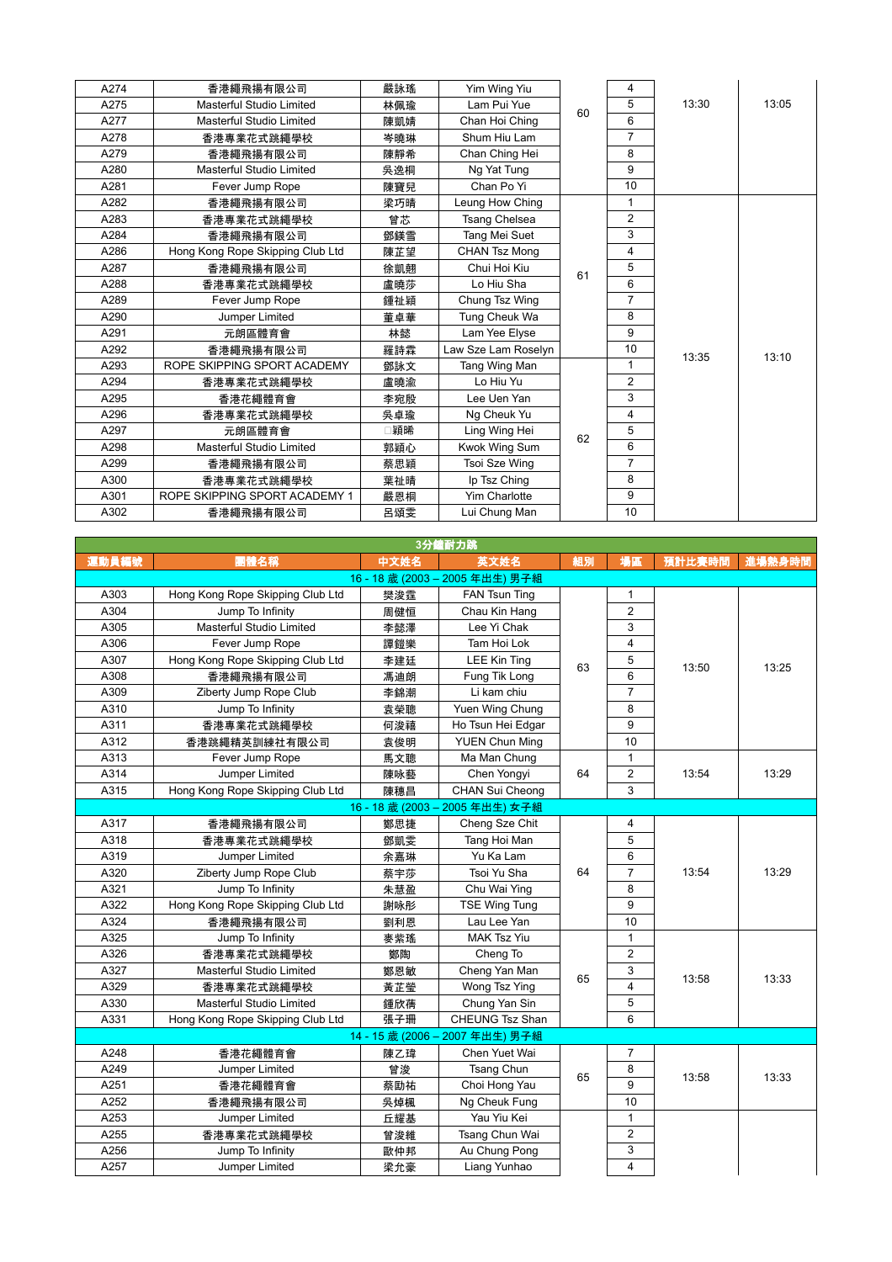| A274 | 香港繩飛揚有限公司                        | 嚴詠瑤 | Yim Wing Yiu         |         | 4              |       |       |
|------|----------------------------------|-----|----------------------|---------|----------------|-------|-------|
| A275 | Masterful Studio Limited         | 林佩瑜 | Lam Pui Yue          | 60      | 5              | 13:30 | 13:05 |
| A277 | Masterful Studio Limited         | 陳凱婧 | Chan Hoi Ching       |         | 6              |       |       |
| A278 | 香港專業花式跳繩學校                       | 岑曉琳 | Shum Hiu Lam         |         | $\overline{7}$ |       |       |
| A279 | 香港繩飛揚有限公司                        | 陳靜希 | Chan Ching Hei       |         | 8              |       |       |
| A280 | Masterful Studio Limited         | 吳逸桐 | Ng Yat Tung          |         | 9              |       |       |
| A281 | Fever Jump Rope                  | 陳寶兒 | Chan Po Yi           |         | 10             |       |       |
| A282 | 香港繩飛揚有限公司                        | 梁巧晴 | Leung How Ching      |         | 1              |       |       |
| A283 | 香港專業花式跳繩學校                       | 曾芯  | <b>Tsang Chelsea</b> |         | $\overline{2}$ |       |       |
| A284 | 香港繩飛揚有限公司                        | 鄧鎂雪 | Tang Mei Suet        |         | 3              |       |       |
| A286 | Hong Kong Rope Skipping Club Ltd | 陳芷望 | <b>CHAN Tsz Mong</b> |         | 4              |       |       |
| A287 | 香港繩飛揚有限公司                        | 徐凱翹 | Chui Hoi Kiu         | 5<br>61 |                |       |       |
| A288 | 香港專業花式跳繩學校                       | 盧曉莎 | Lo Hiu Sha           |         | 6              | 13:35 | 13:10 |
| A289 | Fever Jump Rope                  | 鍾祉穎 | Chung Tsz Wing       |         | $\overline{7}$ |       |       |
| A290 | Jumper Limited                   | 董卓華 | Tung Cheuk Wa        |         | 8              |       |       |
| A291 | 元朗區體育會                           | 林懿  | Lam Yee Elyse        |         | 9              |       |       |
| A292 | 香港繩飛揚有限公司                        | 羅詩霖 | Law Sze Lam Roselyn  |         | 10             |       |       |
| A293 | ROPE SKIPPING SPORT ACADEMY      | 鄧詠文 | Tang Wing Man        |         | 1              |       |       |
| A294 | 香港專業花式跳繩學校                       | 盧曉渝 | Lo Hiu Yu            |         | $\overline{2}$ |       |       |
| A295 | 香港花繩體育會                          | 李宛殷 | Lee Uen Yan          |         | 3              |       |       |
| A296 | 香港專業花式跳繩學校                       | 吳卓瑜 | Ng Cheuk Yu          |         | 4              |       |       |
| A297 | 元朗區體育會                           | 穎晞  | Ling Wing Hei        | 62      | 5              |       |       |
| A298 | Masterful Studio Limited         | 郭穎心 | Kwok Wing Sum        |         | 6              |       |       |
| A299 | 香港繩飛揚有限公司                        | 蔡思穎 | Tsoi Sze Wing        |         | $\overline{7}$ |       |       |
| A300 | 香港專業花式跳繩學校                       | 葉祉晴 | Ip Tsz Ching         |         | 8              |       |       |
| A301 | ROPE SKIPPING SPORT ACADEMY 1    | 嚴恩桐 | Yim Charlotte        |         | 9              |       |       |
| A302 | 香港繩飛揚有限公司                        | 呂頌雯 | Lui Chung Man        |         | 10             |       |       |

|       | 3分鐘耐力跳                           |      |                                 |    |                         |        |        |  |  |  |  |
|-------|----------------------------------|------|---------------------------------|----|-------------------------|--------|--------|--|--|--|--|
| 運動員編號 | 團體名稱                             | 中文姓名 | 英文姓名                            | 組別 | 場區                      | 預計比賽時間 | 進場熱身時間 |  |  |  |  |
|       |                                  |      | 16 - 18 歲 (2003 - 2005 年出生) 男子組 |    |                         |        |        |  |  |  |  |
| A303  | Hong Kong Rope Skipping Club Ltd | 樊浚霆  | <b>FAN Tsun Ting</b>            |    | 1                       |        |        |  |  |  |  |
| A304  | Jump To Infinity                 | 周健恒  | Chau Kin Hang                   |    | $\overline{2}$          |        |        |  |  |  |  |
| A305  | Masterful Studio Limited         | 李懿澤  | Lee Yi Chak                     |    | 3                       |        |        |  |  |  |  |
| A306  | Fever Jump Rope                  | 譚鎧樂  | Tam Hoi Lok                     |    | $\overline{\mathbf{4}}$ |        |        |  |  |  |  |
| A307  | Hong Kong Rope Skipping Club Ltd | 李建廷  | <b>LEE Kin Ting</b>             | 63 | 5                       | 13:50  | 13:25  |  |  |  |  |
| A308  | 香港繩飛揚有限公司                        | 馮迪朗  | Fung Tik Long                   |    | 6                       |        |        |  |  |  |  |
| A309  | Ziberty Jump Rope Club           | 李錦潮  | Li kam chiu                     |    | $\overline{7}$          |        |        |  |  |  |  |
| A310  | Jump To Infinity                 | 袁榮聰  | Yuen Wing Chung                 |    | 8                       |        |        |  |  |  |  |
| A311  | 香港專業花式跳繩學校                       | 何浚禧  | Ho Tsun Hei Edgar               |    | 9                       |        |        |  |  |  |  |
| A312  | 香港跳繩精英訓練社有限公司                    | 袁俊明  | <b>YUEN Chun Ming</b>           |    | 10                      |        |        |  |  |  |  |
| A313  | Fever Jump Rope                  | 馬文聰  | Ma Man Chung                    |    | 1                       |        |        |  |  |  |  |
| A314  | Jumper Limited                   | 陳咏藝  | Chen Yongyi                     | 64 | $\overline{2}$          | 13:54  | 13:29  |  |  |  |  |
| A315  | Hong Kong Rope Skipping Club Ltd | 陳穗昌  | CHAN Sui Cheong                 |    | 3                       |        |        |  |  |  |  |
|       |                                  |      | 16-18 歳 (2003-2005年出生) 女子組      |    |                         |        |        |  |  |  |  |
| A317  | 香港繩飛揚有限公司                        | 鄭思捷  | Cheng Sze Chit                  |    | 4                       |        |        |  |  |  |  |
| A318  | 香港專業花式跳繩學校                       | 鄧凱雯  | Tang Hoi Man                    |    | 5                       |        |        |  |  |  |  |
| A319  | Jumper Limited                   | 余嘉琳  | Yu Ka Lam                       |    | 6                       |        |        |  |  |  |  |
| A320  | Ziberty Jump Rope Club           | 蔡宇莎  | Tsoi Yu Sha                     | 64 | $\overline{7}$          | 13:54  | 13:29  |  |  |  |  |
| A321  | Jump To Infinity                 | 朱慧盈  | Chu Wai Ying                    |    | 8                       |        |        |  |  |  |  |
| A322  | Hong Kong Rope Skipping Club Ltd | 謝咏彤  | <b>TSE Wing Tung</b>            |    | 9                       |        |        |  |  |  |  |
| A324  | 香港繩飛揚有限公司                        | 劉利恩  | Lau Lee Yan                     |    | 10                      |        |        |  |  |  |  |
| A325  | Jump To Infinity                 | 麥紫瑤  | <b>MAK Tsz Yiu</b>              |    | 1                       |        |        |  |  |  |  |
| A326  | 香港專業花式跳繩學校                       | 鄭陶   | Cheng To                        |    | $\mathbf 2$             |        |        |  |  |  |  |
| A327  | Masterful Studio Limited         | 鄭恩敏  | Cheng Yan Man                   | 65 | 3                       | 13:58  | 13:33  |  |  |  |  |
| A329  | 香港專業花式跳繩學校                       | 黃芷瑩  | Wong Tsz Ying                   |    | 4                       |        |        |  |  |  |  |
| A330  | <b>Masterful Studio Limited</b>  | 鍾欣蒨  | Chung Yan Sin                   |    | 5                       |        |        |  |  |  |  |
| A331  | Hong Kong Rope Skipping Club Ltd | 張子珊  | CHEUNG Tsz Shan                 |    | 6                       |        |        |  |  |  |  |
|       |                                  |      | 14 - 15 歲 (2006 - 2007 年出生) 男子組 |    |                         |        |        |  |  |  |  |
| A248  | 香港花繩體育會                          | 陳乙瑋  | Chen Yuet Wai                   |    | 7                       |        |        |  |  |  |  |
| A249  | Jumper Limited                   | 曾浚   | <b>Tsang Chun</b>               | 65 | 8                       | 13:58  | 13:33  |  |  |  |  |
| A251  | 香港花繩體育會                          | 蔡劻祐  | Choi Hong Yau                   |    | 9                       |        |        |  |  |  |  |
| A252  | 香港繩飛揚有限公司                        | 吳焯楓  | Ng Cheuk Fung                   |    | 10                      |        |        |  |  |  |  |
| A253  | Jumper Limited                   | 丘耀基  | Yau Yiu Kei                     |    | 1                       |        |        |  |  |  |  |
| A255  | 香港專業花式跳繩學校                       | 曾浚維  | Tsang Chun Wai                  |    | $\overline{2}$          |        |        |  |  |  |  |
| A256  | Jump To Infinity                 | 歐仲邦  | Au Chung Pong                   |    | 3                       |        |        |  |  |  |  |
| A257  | Jumper Limited                   | 梁允豪  | Liang Yunhao                    |    | 4                       |        |        |  |  |  |  |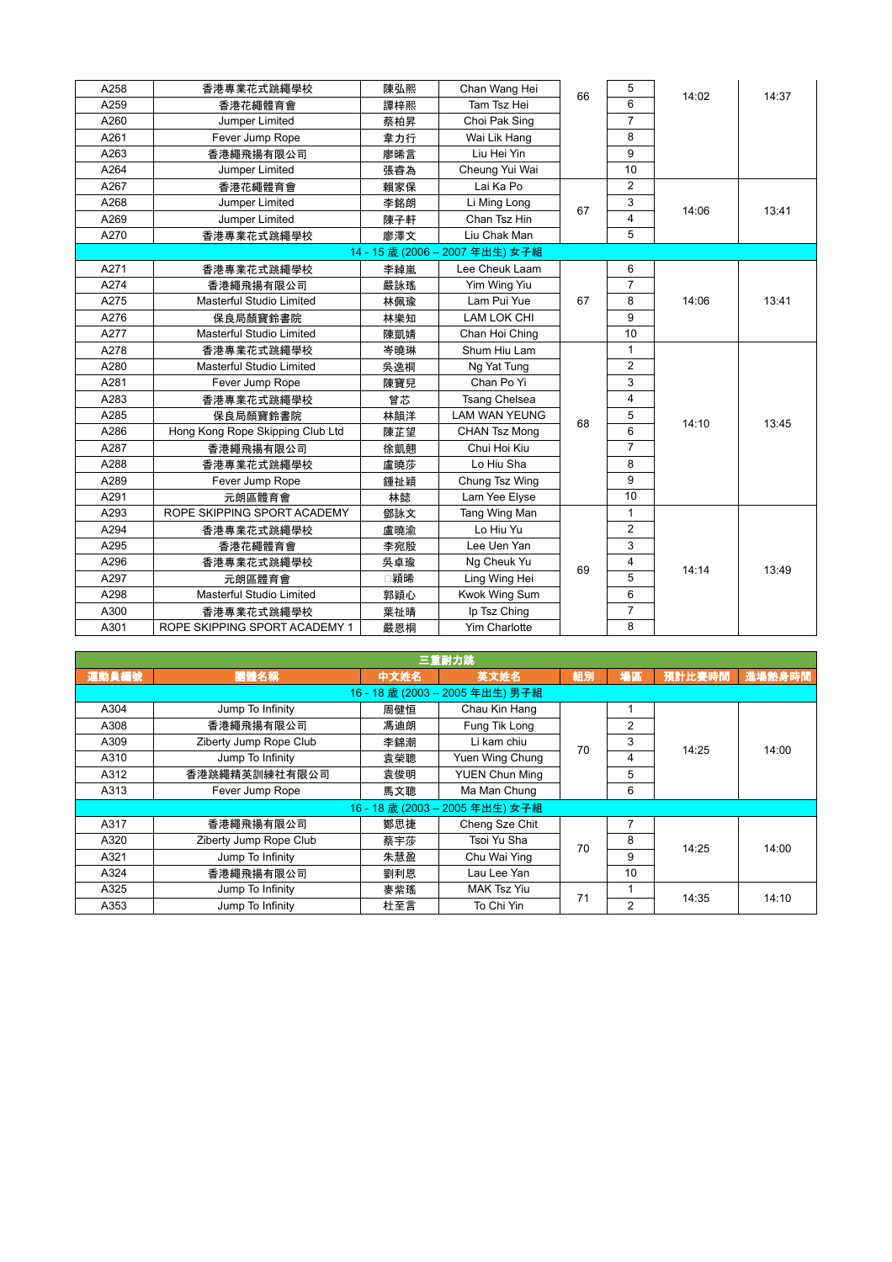| A258 | 香港專業花式跳繩學校                       | 陳弘熙 | Chan Wang Hei                   | 66 | 5              | 14:02 | 14:37 |
|------|----------------------------------|-----|---------------------------------|----|----------------|-------|-------|
| A259 | 香港花繩體育會                          | 譚梓熙 | Tam Tsz Hei                     |    | 6              |       |       |
| A260 | Jumper Limited                   | 蔡柏昇 | Choi Pak Sing                   |    | $\overline{7}$ |       |       |
| A261 | Fever Jump Rope                  | 韋力行 | Wai Lik Hang                    |    | 8              |       |       |
| A263 | 香港繩飛揚有限公司                        | 廖晞言 | Liu Hei Yin                     |    | 9              |       |       |
| A264 | Jumper Limited                   | 張睿為 | Cheung Yui Wai                  |    | 10             |       |       |
| A267 | 香港花繩體育會                          | 賴家保 | Lai Ka Po                       |    | $\overline{2}$ |       |       |
| A268 | Jumper Limited                   | 李銘朗 | Li Ming Long                    | 67 | 3              | 14:06 | 13:41 |
| A269 | Jumper Limited                   | 陳子軒 | Chan Tsz Hin                    |    | 4              |       |       |
| A270 | 香港專業花式跳繩學校                       | 廖澤文 | Liu Chak Man                    |    | 5              |       |       |
|      |                                  |     | 14 - 15 歲 (2006 - 2007 年出生) 女子組 |    |                |       |       |
| A271 | 香港專業花式跳繩學校                       | 李綽嵐 | Lee Cheuk Laam                  |    | 6              |       |       |
| A274 | 香港繩飛揚有限公司                        | 嚴詠瑤 | Yim Wing Yiu                    |    | $\overline{7}$ |       |       |
| A275 | <b>Masterful Studio Limited</b>  | 林佩瑜 | Lam Pui Yue                     | 67 | 8              | 14:06 | 13:41 |
| A276 | 保良局顏寶鈴書院                         | 林樂知 | <b>LAM LOK CHI</b>              |    | 9              |       |       |
| A277 | <b>Masterful Studio Limited</b>  | 陳凱婧 | Chan Hoi Ching                  |    | 10             |       |       |
| A278 | 香港專業花式跳繩學校                       | 岑曉琳 | Shum Hiu Lam                    |    | $\mathbf{1}$   |       |       |
| A280 | <b>Masterful Studio Limited</b>  | 吳逸桐 | Ng Yat Tung                     |    | $\overline{2}$ |       |       |
| A281 | Fever Jump Rope                  | 陳寶兒 | Chan Po Yi                      |    | 3              |       |       |
| A283 | 香港專業花式跳繩學校                       | 曾芯  | <b>Tsang Chelsea</b>            |    | $\overline{4}$ |       |       |
| A285 | 保良局顏寶鈴書院                         | 林韻洋 | <b>LAM WAN YEUNG</b>            | 68 | 5              | 14:10 | 13:45 |
| A286 | Hong Kong Rope Skipping Club Ltd | 陳芷望 | <b>CHAN Tsz Mong</b>            |    | 6              |       |       |
| A287 | 香港繩飛揚有限公司                        | 徐凱翹 | Chui Hoi Kiu                    |    | $\overline{7}$ |       |       |
| A288 | 香港專業花式跳繩學校                       | 盧曉莎 | Lo Hiu Sha                      |    | 8              |       |       |
| A289 | Fever Jump Rope                  | 鍾祉穎 | Chung Tsz Wing                  |    | 9              |       |       |
| A291 | 元朗區體育會                           | 林懿  | Lam Yee Elyse                   |    | 10             |       |       |
| A293 | ROPE SKIPPING SPORT ACADEMY      | 鄧詠文 | Tang Wing Man                   |    | 1              |       |       |
| A294 | 香港專業花式跳繩學校                       | 盧曉渝 | Lo Hiu Yu                       |    | $\overline{2}$ |       |       |
| A295 | 香港花繩體育會                          | 李宛殷 | Lee Uen Yan                     |    | 3              |       |       |
| A296 | 香港專業花式跳繩學校                       | 吳卓瑜 | Ng Cheuk Yu                     | 69 | 4              | 14:14 | 13:49 |
| A297 | 元朗區體育會                           | 穎晞  | Ling Wing Hei                   |    | 5              |       |       |
| A298 | Masterful Studio Limited         | 郭穎心 | Kwok Wing Sum                   |    | 6              |       |       |
| A300 | 香港專業花式跳繩學校                       | 葉祉晴 | Ip Tsz Ching                    |    | $\overline{7}$ |       |       |
| A301 | ROPE SKIPPING SPORT ACADEMY 1    | 嚴恩桐 | Yim Charlotte                   |    | 8              |       |       |

| 三重耐力跳                           |                        |      |                            |    |                |        |        |  |  |  |
|---------------------------------|------------------------|------|----------------------------|----|----------------|--------|--------|--|--|--|
| 運動員編號                           | 團體名稱                   | 中文姓名 | 英文姓名                       | 組別 | 場區             | 預計比賽時間 | 進場熱身時間 |  |  |  |
| 16 - 18 歲 (2003 - 2005 年出生) 男子組 |                        |      |                            |    |                |        |        |  |  |  |
| A304                            | Jump To Infinity       | 周健恒  | Chau Kin Hang              |    |                |        |        |  |  |  |
| A308                            | 香港繩飛揚有限公司              | 馮迪朗  | Fung Tik Long              |    | $\overline{2}$ |        | 14:00  |  |  |  |
| A309                            | Ziberty Jump Rope Club | 李錦潮  | Li kam chiu                | 70 | 3              | 14:25  |        |  |  |  |
| A310                            | Jump To Infinity       | 袁榮聰  | Yuen Wing Chung            |    | 4              |        |        |  |  |  |
| A312                            | 香港跳繩精英訓練社有限公司          | 袁俊明  | <b>YUEN Chun Ming</b>      |    | 5              |        |        |  |  |  |
| A313                            | Fever Jump Rope        | 馬文聰  | Ma Man Chung               |    | 6              |        |        |  |  |  |
|                                 |                        |      | 16-18 歲 (2003-2005年出生) 女子組 |    |                |        |        |  |  |  |
| A317                            | 香港繩飛揚有限公司              | 鄭思捷  | Cheng Sze Chit             |    | 7              |        |        |  |  |  |
| A320                            | Ziberty Jump Rope Club | 蔡宇莎  | Tsoi Yu Sha                | 70 | 8              | 14:25  | 14:00  |  |  |  |
| A321                            | Jump To Infinity       | 朱慧盈  | Chu Wai Ying               |    | 9              |        |        |  |  |  |
| A324                            | 香港繩飛揚有限公司              | 劉利恩  | Lau Lee Yan                |    | 10             |        |        |  |  |  |
| A325                            | Jump To Infinity       | 麥紫瑤  | <b>MAK Tsz Yiu</b>         | 71 |                |        |        |  |  |  |
| A353                            | Jump To Infinity       | 杜至言  | To Chi Yin                 |    | $\overline{2}$ | 14:35  | 14:10  |  |  |  |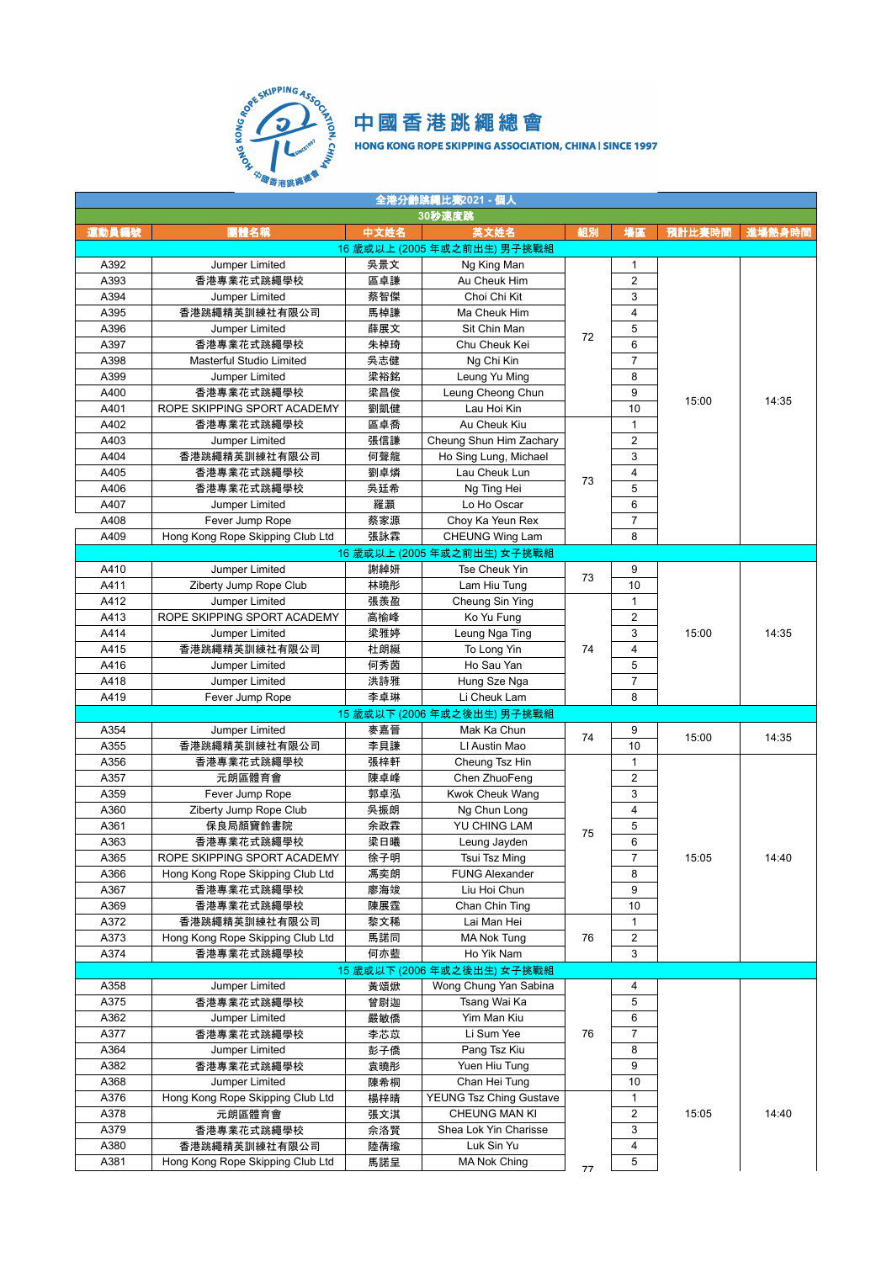

| 全港分齡跳繩比赛2021 - 個人 |                                  |      |                             |    |                         |        |        |  |  |  |
|-------------------|----------------------------------|------|-----------------------------|----|-------------------------|--------|--------|--|--|--|
|                   |                                  |      | 30秒速度跳                      |    |                         |        |        |  |  |  |
| 運動員編號             | 團體名稱                             | 中文姓名 | 英文姓名                        | 組別 | 場區                      | 預計比賽時間 | 進場熱身時間 |  |  |  |
|                   |                                  |      | 16 歲或以上 (2005 年或之前出生) 男子挑戰組 |    |                         |        |        |  |  |  |
| A392              | Jumper Limited                   | 吳景文  | Ng King Man                 |    | $\mathbf{1}$            |        |        |  |  |  |
| A393              | 香港專業花式跳繩學校                       | 區卓謙  | Au Cheuk Him                |    | $\overline{2}$          |        |        |  |  |  |
| A394              | Jumper Limited                   | 蔡智傑  | Choi Chi Kit                |    | 3                       |        |        |  |  |  |
| A395              | 香港跳繩精英訓練社有限公司                    | 馬棹謙  | Ma Cheuk Him                |    | $\overline{4}$          |        |        |  |  |  |
| A396              | Jumper Limited                   | 薛展文  | Sit Chin Man                |    | 5                       |        |        |  |  |  |
| A397              | 香港專業花式跳繩學校                       | 朱棹琦  | Chu Cheuk Kei               | 72 | 6                       |        |        |  |  |  |
| A398              | Masterful Studio Limited         | 吳志健  | Ng Chi Kin                  |    | $\overline{7}$          |        |        |  |  |  |
| A399              | Jumper Limited                   | 梁裕銘  | Leung Yu Ming               |    | 8                       |        |        |  |  |  |
| A400              | 香港專業花式跳繩學校                       | 梁昌俊  | Leung Cheong Chun           |    | 9                       |        |        |  |  |  |
| A401              | ROPE SKIPPING SPORT ACADEMY      | 劉凱健  | Lau Hoi Kin                 |    | 10                      | 15:00  | 14:35  |  |  |  |
| A402              | 香港專業花式跳繩學校                       | 區卓喬  | Au Cheuk Kiu                |    | $\mathbf{1}$            |        |        |  |  |  |
| A403              | Jumper Limited                   | 張信謙  | Cheung Shun Him Zachary     |    | $\overline{2}$          |        |        |  |  |  |
| A404              | 香港跳繩精英訓練社有限公司                    | 何聲龍  | Ho Sing Lung, Michael       |    | 3                       |        |        |  |  |  |
| A405              | 香港專業花式跳繩學校                       | 劉卓燐  | Lau Cheuk Lun               |    | $\overline{4}$          |        |        |  |  |  |
| A406              | 香港專業花式跳繩學校                       | 吳廷希  | Ng Ting Hei                 | 73 | 5                       |        |        |  |  |  |
| A407              | Jumper Limited                   | 羅灝   | Lo Ho Oscar                 |    | 6                       |        |        |  |  |  |
| A408              | Fever Jump Rope                  | 蔡家源  | Choy Ka Yeun Rex            |    | $\overline{7}$          |        |        |  |  |  |
|                   |                                  |      |                             |    | 8                       |        |        |  |  |  |
| A409              | Hong Kong Rope Skipping Club Ltd | 張詠霖  | CHEUNG Wing Lam             |    |                         |        |        |  |  |  |
|                   |                                  |      | 16 歲或以上 (2005 年或之前出生) 女子挑戰組 |    |                         |        |        |  |  |  |
| A410              | Jumper Limited                   | 謝綽妍  | Tse Cheuk Yin               | 73 | 9                       |        |        |  |  |  |
| A411              | Ziberty Jump Rope Club           | 林曉彤  | Lam Hiu Tung                |    | 10                      |        |        |  |  |  |
| A412              | Jumper Limited                   | 張羨盈  | Cheung Sin Ying             |    | $\mathbf{1}$            |        |        |  |  |  |
| A413              | ROPE SKIPPING SPORT ACADEMY      | 高榆峰  | Ko Yu Fung                  |    | $\overline{2}$          |        |        |  |  |  |
| A414              | Jumper Limited                   | 梁雅婷  | Leung Nga Ting              |    | 3                       | 15:00  | 14:35  |  |  |  |
| A415              | 香港跳繩精英訓練社有限公司                    | 杜朗綖  | To Long Yin                 | 74 | 4                       |        |        |  |  |  |
| A416              | Jumper Limited                   | 何秀茵  | Ho Sau Yan                  |    | 5                       |        |        |  |  |  |
| A418              | Jumper Limited                   | 洪詩雅  | Hung Sze Nga                |    | $\overline{7}$          |        |        |  |  |  |
| A419              | Fever Jump Rope                  | 李卓琳  | Li Cheuk Lam                |    | 8                       |        |        |  |  |  |
|                   |                                  |      | 15 歲或以下 (2006 年或之後出生) 男子挑戰組 |    |                         |        |        |  |  |  |
| A354              | Jumper Limited                   | 麥嘉晉  | Mak Ka Chun                 |    | 9                       |        |        |  |  |  |
| A355              | 香港跳繩精英訓練社有限公司                    | 李貝謙  | LI Austin Mao               | 74 | 10                      | 15:00  | 14:35  |  |  |  |
| A356              | 香港專業花式跳繩學校                       | 張梓軒  | Cheung Tsz Hin              |    | $\mathbf{1}$            |        |        |  |  |  |
| A357              | 元朗區體育會                           | 陳卓峰  | Chen ZhuoFeng               |    | $\overline{2}$          |        |        |  |  |  |
| A359              | Fever Jump Rope                  | 郭卓泓  | Kwok Cheuk Wang             |    | 3                       |        |        |  |  |  |
| A360              | Ziberty Jump Rope Club           | 吳振朗  | Ng Chun Long                |    | $\overline{4}$          |        |        |  |  |  |
| A361              | 保良局顏寶鈴書院                         | 余政霖  | YU CHING LAM                |    | 5                       |        |        |  |  |  |
| A363              | 香港專業花式跳繩學校                       | 梁日曦  | Leung Jayden                | 75 | 6                       |        |        |  |  |  |
| A365              | ROPE SKIPPING SPORT ACADEMY      | 徐子明  | Tsui Tsz Ming               |    | 7                       | 15:05  | 14:40  |  |  |  |
| A366              | Hong Kong Rope Skipping Club Ltd | 馮奕朗  | <b>FUNG Alexander</b>       |    | 8                       |        |        |  |  |  |
| A367              | 香港專業花式跳繩學校                       | 廖海竣  | Liu Hoi Chun                |    | 9                       |        |        |  |  |  |
| A369              | 香港專業花式跳繩學校                       | 陳展霆  | Chan Chin Ting              |    | 10                      |        |        |  |  |  |
| A372              | 香港跳繩精英訓練社有限公司                    | 黎文稀  | Lai Man Hei                 |    | $\mathbf{1}$            |        |        |  |  |  |
| A373              | Hong Kong Rope Skipping Club Ltd | 馬諾同  | <b>MA Nok Tung</b>          | 76 | $\overline{\mathbf{c}}$ |        |        |  |  |  |
| A374              |                                  |      | Ho Yik Nam                  |    | 3                       |        |        |  |  |  |
|                   | 香港專業花式跳繩學校                       | 何亦藍  |                             |    |                         |        |        |  |  |  |
|                   |                                  |      | 15 歲或以下 (2006 年或之後出生) 女子挑戰組 |    |                         |        |        |  |  |  |
| A358              | Jumper Limited                   | 黃頌焮  | Wong Chung Yan Sabina       |    | 4                       |        |        |  |  |  |
| A375              | 香港專業花式跳繩學校                       | 曾尉迦  | Tsang Wai Ka                |    | 5                       |        |        |  |  |  |
| A362              | Jumper Limited                   | 嚴敏僑  | Yim Man Kiu                 |    | 6                       |        |        |  |  |  |
| A377              | 香港專業花式跳繩學校                       | 李芯苡  | Li Sum Yee                  | 76 | $\overline{7}$          |        |        |  |  |  |
| A364              | Jumper Limited                   | 彭子僑  | Pang Tsz Kiu                |    | 8                       |        |        |  |  |  |
| A382              | 香港專業花式跳繩學校                       | 袁曉彤  | Yuen Hiu Tung               |    | 9                       |        |        |  |  |  |
| A368              | Jumper Limited                   | 陳希桐  | Chan Hei Tung               |    | 10                      |        |        |  |  |  |
| A376              | Hong Kong Rope Skipping Club Ltd | 楊梓晴  | YEUNG Tsz Ching Gustave     |    | $\mathbf{1}$            |        |        |  |  |  |
| A378              | 元朗區體育會                           | 張文淇  | CHEUNG MAN KI               |    | $\overline{\mathbf{c}}$ | 15:05  | 14:40  |  |  |  |
| A379              | 香港專業花式跳繩學校                       | 佘洛賢  | Shea Lok Yin Charisse       |    | 3                       |        |        |  |  |  |
| A380              | 香港跳繩精英訓練社有限公司                    | 陸蒨瑜  | Luk Sin Yu                  |    | 4                       |        |        |  |  |  |
| A381              | Hong Kong Rope Skipping Club Ltd | 馬諾呈  | MA Nok Ching                | 77 | 5                       |        |        |  |  |  |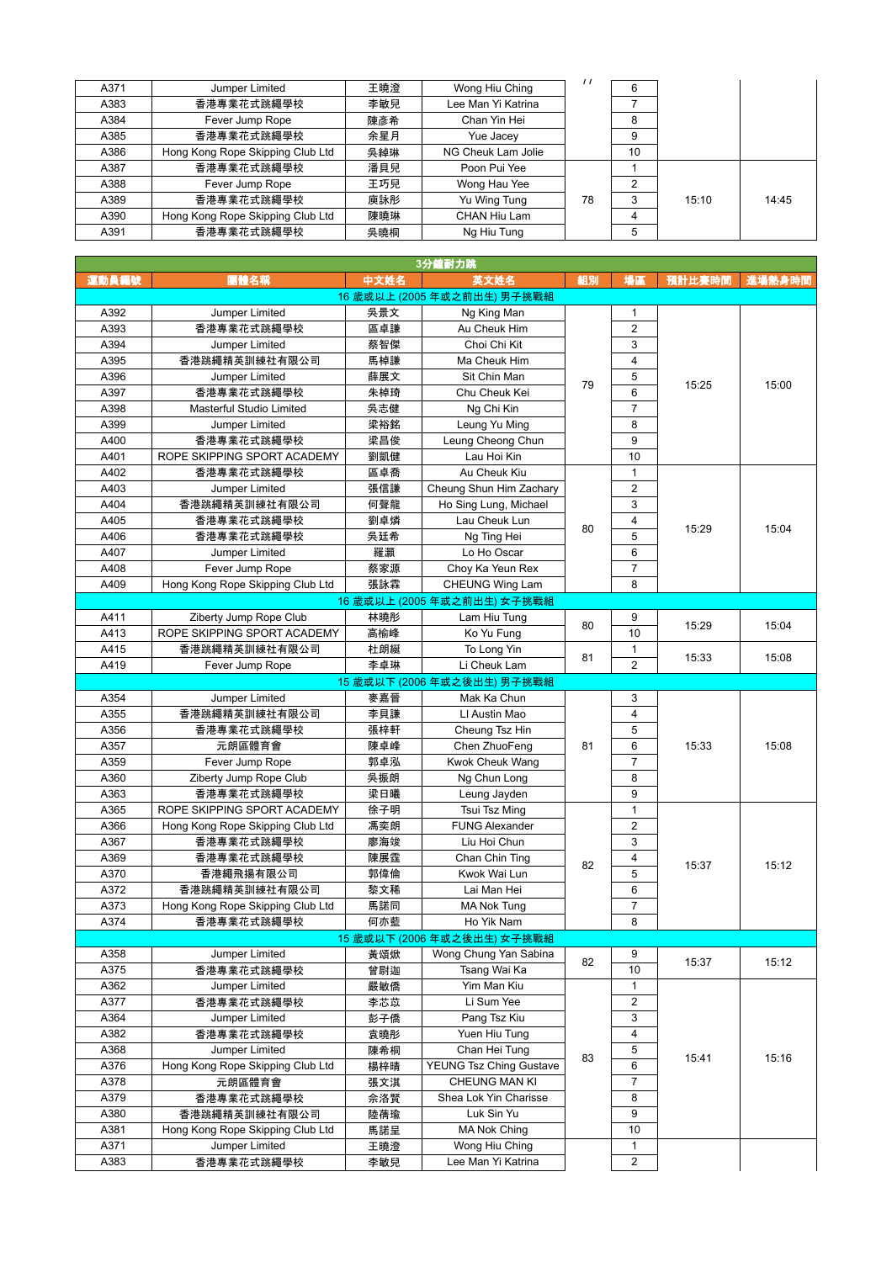| A371 | Jumper Limited                   | 王曉澄 | Wong Hiu Ching     | $\prime$ | 6  |       |       |
|------|----------------------------------|-----|--------------------|----------|----|-------|-------|
| A383 | 香港專業花式跳繩學校                       | 李敏兒 | Lee Man Yi Katrina |          |    |       |       |
| A384 | Fever Jump Rope                  | 陳彥希 | Chan Yin Hei       |          | 8  |       |       |
| A385 | 香港專業花式跳繩學校                       | 余星月 | Yue Jacey          |          | 9  |       |       |
| A386 | Hong Kong Rope Skipping Club Ltd | 吳綽琳 | NG Cheuk Lam Jolie |          | 10 |       |       |
| A387 | 香港專業花式跳繩學校                       | 潘貝兒 | Poon Pui Yee       |          |    |       |       |
| A388 | Fever Jump Rope                  | 王巧兒 | Wong Hau Yee       |          | 2  |       |       |
| A389 | 香港專業花式跳繩學校                       | 庾詠彤 | Yu Wing Tung       | 78       | 3  | 15:10 | 14:45 |
| A390 | Hong Kong Rope Skipping Club Ltd | 陳曉琳 | CHAN Hiu Lam       |          | 4  |       |       |
| A391 | 香港專業花式跳繩學校                       | 吳曉桐 | Ng Hiu Tung        |          | 5  |       |       |

|       |                                                   |      | 3分鐘耐力跳                      |    |                         |        |        |
|-------|---------------------------------------------------|------|-----------------------------|----|-------------------------|--------|--------|
| 運動員編號 | 團體名稱                                              | 中文姓名 | 英文姓名                        | 組別 | 場區                      | 預計比賽時間 | 進場熱身時間 |
|       |                                                   |      | 16 歲或以上 (2005 年或之前出生) 男子挑戰組 |    |                         |        |        |
| A392  | Jumper Limited                                    | 吳景文  | Ng King Man                 |    | 1                       |        |        |
| A393  | 香港專業花式跳繩學校                                        | 區卓謙  | Au Cheuk Him                |    | $\overline{2}$          |        |        |
| A394  | Jumper Limited                                    | 蔡智傑  | Choi Chi Kit                |    | 3                       |        |        |
| A395  | 香港跳繩精英訓練社有限公司                                     | 馬棹謙  | Ma Cheuk Him                |    | 4                       |        |        |
| A396  | Jumper Limited                                    | 薛展文  | Sit Chin Man                |    | 5                       |        |        |
| A397  | 香港專業花式跳繩學校                                        | 朱棹琦  | Chu Cheuk Kei               | 79 | 6                       | 15:25  | 15:00  |
| A398  | Masterful Studio Limited                          | 吳志健  | Ng Chi Kin                  |    | $\overline{7}$          |        |        |
| A399  | Jumper Limited                                    | 梁裕銘  | Leung Yu Ming               |    | 8                       |        |        |
| A400  | 香港專業花式跳繩學校                                        | 梁昌俊  | Leung Cheong Chun           |    | 9                       |        |        |
| A401  | ROPE SKIPPING SPORT ACADEMY                       | 劉凱健  | Lau Hoi Kin                 |    | 10                      |        |        |
| A402  | 香港專業花式跳繩學校                                        | 區卓喬  | Au Cheuk Kiu                |    | $\mathbf{1}$            |        |        |
| A403  | Jumper Limited                                    | 張信謙  | Cheung Shun Him Zachary     |    | $\overline{2}$          |        |        |
| A404  | 香港跳繩精英訓練社有限公司                                     | 何聲龍  | Ho Sing Lung, Michael       |    | 3                       |        |        |
| A405  | 香港專業花式跳繩學校                                        | 劉卓燐  | Lau Cheuk Lun               |    | 4                       |        |        |
| A406  | 香港專業花式跳繩學校                                        | 吳廷希  | Ng Ting Hei                 | 80 | 5                       | 15:29  | 15:04  |
| A407  | Jumper Limited                                    | 羅灝   | Lo Ho Oscar                 |    | 6                       |        |        |
| A408  | Fever Jump Rope                                   | 蔡家源  | Choy Ka Yeun Rex            |    | 7                       |        |        |
| A409  |                                                   | 張詠霖  |                             |    | 8                       |        |        |
|       | Hong Kong Rope Skipping Club Ltd                  |      | CHEUNG Wing Lam             |    |                         |        |        |
|       |                                                   |      | 16 歲或以上 (2005 年或之前出生) 女子挑戰組 |    |                         |        |        |
| A411  | Ziberty Jump Rope Club                            | 林曉彤  | Lam Hiu Tung                | 80 | 9                       | 15:29  | 15:04  |
| A413  | ROPE SKIPPING SPORT ACADEMY                       | 高榆峰  | Ko Yu Fung                  |    | 10                      |        |        |
| A415  | 香港跳繩精英訓練社有限公司                                     | 杜朗綖  | To Long Yin                 | 81 | 1                       | 15:33  | 15:08  |
| A419  | Fever Jump Rope                                   | 李卓琳  | Li Cheuk Lam                |    | $\overline{2}$          |        |        |
|       |                                                   |      | 15 歲或以下 (2006 年或之後出生) 男子挑戰組 |    |                         |        |        |
| A354  | Jumper Limited                                    | 麥嘉晉  | Mak Ka Chun                 |    | 3                       |        |        |
| A355  | 香港跳繩精英訓練社有限公司                                     | 李貝謙  | LI Austin Mao               |    | 4                       |        |        |
| A356  | 香港專業花式跳繩學校                                        | 張梓軒  | Cheung Tsz Hin              |    | 5                       |        |        |
| A357  | 元朗區體育會                                            | 陳卓峰  | Chen ZhuoFeng               | 81 | 6                       | 15:33  | 15:08  |
| A359  | Fever Jump Rope                                   | 郭卓泓  | Kwok Cheuk Wang             |    | $\overline{7}$          |        |        |
| A360  | Ziberty Jump Rope Club                            | 吳振朗  | Ng Chun Long                |    | 8                       |        |        |
| A363  | 香港專業花式跳繩學校                                        | 梁日曦  | Leung Jayden                |    | 9                       |        |        |
| A365  | ROPE SKIPPING SPORT ACADEMY                       | 徐子明  | Tsui Tsz Ming               |    | 1                       |        |        |
| A366  | Hong Kong Rope Skipping Club Ltd                  | 馮奕朗  | <b>FUNG Alexander</b>       |    | $\overline{2}$          |        |        |
| A367  | 香港專業花式跳繩學校                                        | 廖海竣  | Liu Hoi Chun                |    | 3                       |        |        |
| A369  | 香港專業花式跳繩學校                                        | 陳展霆  | Chan Chin Ting              |    | 4                       |        |        |
| A370  | 香港繩飛揚有限公司                                         | 郭偉倫  | Kwok Wai Lun                | 82 | 5                       | 15:37  | 15:12  |
| A372  | 香港跳繩精英訓練社有限公司                                     | 黎文稀  | Lai Man Hei                 |    | 6                       |        |        |
| A373  | Hong Kong Rope Skipping Club Ltd                  | 馬諾同  | <b>MA Nok Tung</b>          |    | $\overline{7}$          |        |        |
| A374  | 香港專業花式跳繩學校                                        | 何亦藍  | Ho Yik Nam                  |    | 8                       |        |        |
|       |                                                   |      | 15 歲或以下 (2006 年或之後出生) 女子挑戰組 |    |                         |        |        |
| A358  | Jumper Limited                                    | 黃頌焮  | Wong Chung Yan Sabina       |    | 9                       |        |        |
| A375  | 香港專業花式跳繩學校                                        | 曾尉迦  | Tsang Wai Ka                | 82 | 10                      | 15:37  | 15:12  |
| A362  | Jumper Limited                                    | 嚴敏僑  | Yim Man Kiu                 |    | $\mathbf{1}$            |        |        |
| A377  | 香港專業花式跳繩學校                                        | 李芯苡  | Li Sum Yee                  |    | $\overline{c}$          |        |        |
| A364  | Jumper Limited                                    | 彭子僑  | Pang Tsz Kiu                |    | 3                       |        |        |
| A382  | 香港專業花式跳繩學校                                        | 袁曉彤  | Yuen Hiu Tung               |    | 4                       |        |        |
| A368  | Jumper Limited                                    | 陳希桐  | Chan Hei Tung               |    | 5                       |        |        |
| A376  | Hong Kong Rope Skipping Club Ltd                  | 楊梓晴  | YEUNG Tsz Ching Gustave     | 83 | 6                       | 15:41  | 15:16  |
| A378  | 元朗區體育會                                            | 張文淇  | CHEUNG MAN KI               |    | $\overline{7}$          |        |        |
| A379  | 香港專業花式跳繩學校                                        | 佘洛賢  | Shea Lok Yin Charisse       |    | 8                       |        |        |
| A380  |                                                   | 陸蒨瑜  | Luk Sin Yu                  |    | 9                       |        |        |
| A381  | 香港跳繩精英訓練社有限公司<br>Hong Kong Rope Skipping Club Ltd |      | MA Nok Ching                |    | 10                      |        |        |
| A371  | Jumper Limited                                    | 馬諾呈  | Wong Hiu Ching              |    | 1                       |        |        |
|       |                                                   | 王曉澄  |                             |    | $\overline{\mathbf{c}}$ |        |        |
| A383  | 香港專業花式跳繩學校                                        | 李敏兒  | Lee Man Yi Katrina          |    |                         |        |        |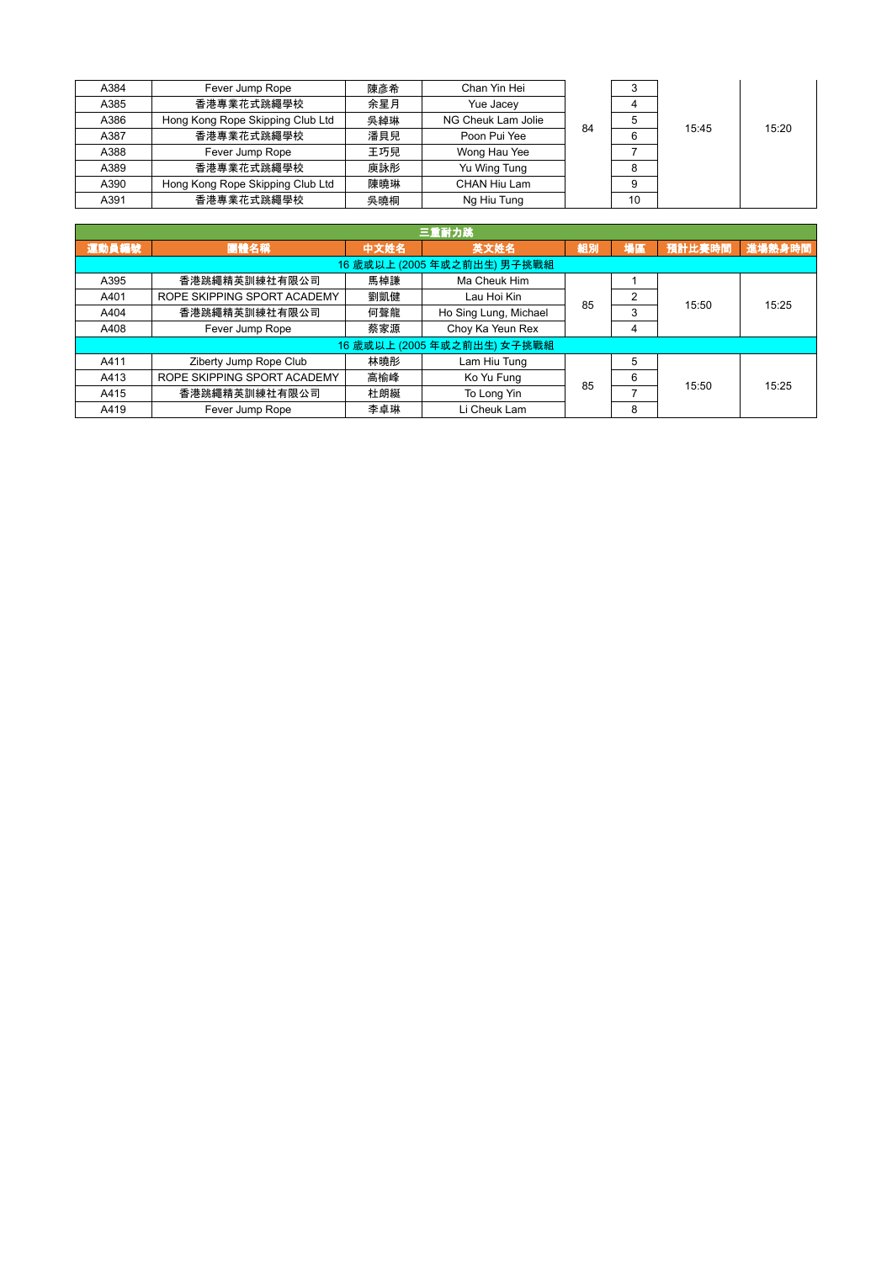| A384 | Fever Jump Rope                  | 陳彥希 | Chan Yin Hei       |    |    |       |       |
|------|----------------------------------|-----|--------------------|----|----|-------|-------|
| A385 | 香港專業花式跳繩學校                       | 余星月 | Yue Jacey          |    |    |       |       |
| A386 | Hong Kong Rope Skipping Club Ltd | 吳綽琳 | NG Cheuk Lam Jolie | 84 |    | 15:45 | 15:20 |
| A387 | 香港專業花式跳繩學校                       | 潘貝兒 | Poon Pui Yee       |    |    |       |       |
| A388 | Fever Jump Rope                  | 王巧兒 | Wong Hau Yee       |    |    |       |       |
| A389 | 香港專業花式跳繩學校                       | 庾詠彤 | Yu Wing Tung       |    |    |       |       |
| A390 | Hong Kong Rope Skipping Club Ltd | 陳曉琳 | CHAN Hiu Lam       |    |    |       |       |
| A391 | 香港專業花式跳繩學校                       | 吳曉桐 | Ng Hiu Tung        |    | 10 |       |       |

| 三重耐力跳                       |                             |      |                             |    |    |        |        |  |  |  |
|-----------------------------|-----------------------------|------|-----------------------------|----|----|--------|--------|--|--|--|
| 運動員編號                       | 團體名稱                        | 中文姓名 | 英文姓名                        | 組別 | 場區 | 預計比賽時間 | 進場熱身時間 |  |  |  |
| 16 歲或以上 (2005 年或之前出生) 男子挑戰組 |                             |      |                             |    |    |        |        |  |  |  |
| A395                        | 香港跳繩精英訓練社有限公司               | 馬棹謙  | Ma Cheuk Him                |    |    |        | 15:25  |  |  |  |
| A401                        | ROPE SKIPPING SPORT ACADEMY | 劉凱健  | Lau Hoi Kin                 | 85 | 2  | 15:50  |        |  |  |  |
| A404                        | 香港跳繩精英訓練社有限公司               | 何聲龍  | Ho Sing Lung, Michael       |    | 3  |        |        |  |  |  |
| A408                        | Fever Jump Rope             | 蔡家源  | Choy Ka Yeun Rex            |    | 4  |        |        |  |  |  |
|                             |                             |      | 16 歲或以上 (2005 年或之前出生) 女子挑戰組 |    |    |        |        |  |  |  |
| A411                        | Ziberty Jump Rope Club      | 林曉彤  | Lam Hiu Tung                |    | 5  |        |        |  |  |  |
| A413                        | ROPE SKIPPING SPORT ACADEMY | 高榆峰  | Ko Yu Fung                  | 85 | 6  | 15:50  | 15:25  |  |  |  |
| A415                        | 香港跳繩精英訓練社有限公司               | 杜朗綖  | To Long Yin                 |    |    |        |        |  |  |  |
| A419                        | Fever Jump Rope             | 李卓琳  | Li Cheuk Lam                |    | 8  |        |        |  |  |  |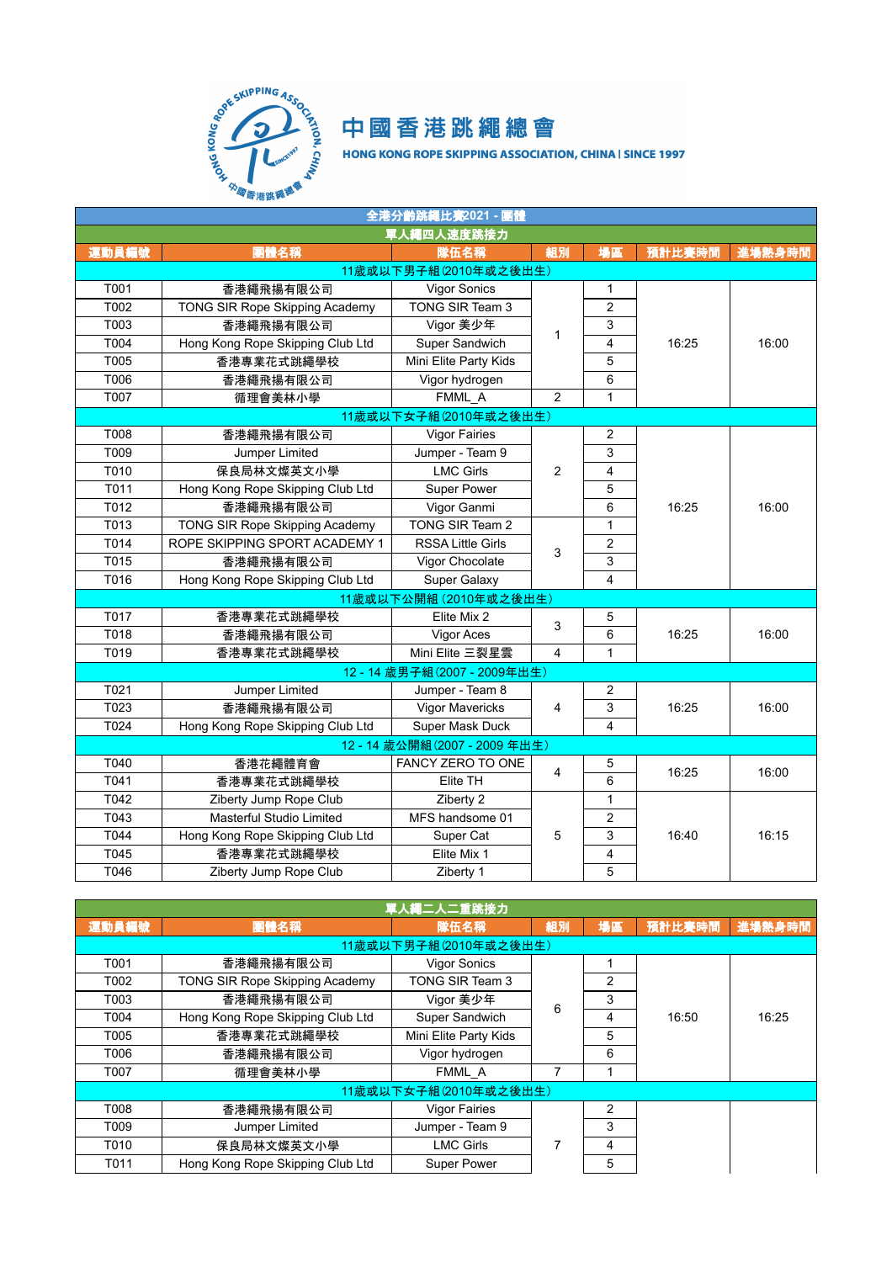

| 全港分齡跳繩比赛2021 - 團體 |                                  |                            |                |                         |        |        |  |
|-------------------|----------------------------------|----------------------------|----------------|-------------------------|--------|--------|--|
|                   |                                  | 單人繩四人速度跳接力                 |                |                         |        |        |  |
| 運動員編號             | 團體名稱                             | 隊伍名稱                       | 組別             | 場區                      | 預計比賽時間 | 進場熱身時間 |  |
|                   |                                  | 11歲或以下男子組(2010年或之後出生)      |                |                         |        |        |  |
| T001              | 香港繩飛揚有限公司                        | Vigor Sonics               |                | 1                       |        |        |  |
| T002              | TONG SIR Rope Skipping Academy   | TONG SIR Team 3            |                | $\overline{2}$          |        |        |  |
| T003              | 香港繩飛揚有限公司                        | Vigor 美少年                  |                | 3                       |        |        |  |
| T004              | Hong Kong Rope Skipping Club Ltd | Super Sandwich             | 1              | 4                       | 16:25  | 16:00  |  |
| T005              | 香港專業花式跳繩學校                       | Mini Elite Party Kids      |                | 5                       |        |        |  |
| T006              | 香港繩飛揚有限公司                        | Vigor hydrogen             |                | 6                       |        |        |  |
| T007              | 循理會美林小學                          | FMML A                     | $\overline{2}$ | $\mathbf{1}$            |        |        |  |
|                   |                                  | 11歲或以下女子組(2010年或之後出生)      |                |                         |        |        |  |
| T008              | 香港繩飛揚有限公司                        | <b>Vigor Fairies</b>       |                | $\overline{2}$          |        |        |  |
| T009              | Jumper Limited                   | Jumper - Team 9            |                | 3                       | 16:25  | 16:00  |  |
| T010              | 保良局林文燦英文小學                       | <b>LMC Girls</b>           | $\overline{2}$ | $\overline{\mathbf{4}}$ |        |        |  |
| T011              | Hong Kong Rope Skipping Club Ltd | Super Power                |                | 5                       |        |        |  |
| T012              | 香港繩飛揚有限公司                        | Vigor Ganmi                |                | 6                       |        |        |  |
| T013              | TONG SIR Rope Skipping Academy   | TONG SIR Team 2            |                | 1                       |        |        |  |
| T014              | ROPE SKIPPING SPORT ACADEMY 1    | <b>RSSA Little Girls</b>   |                | $\overline{2}$          |        |        |  |
| T015              | 香港繩飛揚有限公司                        | Vigor Chocolate            | 3              | 3                       |        |        |  |
| T016              | Hong Kong Rope Skipping Club Ltd | <b>Super Galaxy</b>        |                | 4                       |        |        |  |
|                   |                                  | 11歲或以下公開組 (2010年或之後出生)     |                |                         |        |        |  |
| T017              | 香港專業花式跳繩學校                       | Elite Mix 2                | 3              | 5                       |        |        |  |
| T018              | 香港繩飛揚有限公司                        | Vigor Aces                 |                | 6                       | 16:25  | 16:00  |  |
| T019              | 香港專業花式跳繩學校                       | Mini Elite 三裂星雲            | 4              | $\mathbf{1}$            |        |        |  |
|                   |                                  | 12-14 歲男子組(2007 - 2009年出生) |                |                         |        |        |  |
| T021              | Jumper Limited                   | Jumper - Team 8            |                | 2                       |        |        |  |
| T023              | 香港繩飛揚有限公司                        | Vigor Mavericks            | 4              | 3                       | 16:25  | 16:00  |  |
| T024              | Hong Kong Rope Skipping Club Ltd | Super Mask Duck            |                | $\overline{\mathbf{4}}$ |        |        |  |
|                   |                                  | 12-14 歲公開組(2007-2009年出生)   |                |                         |        |        |  |
| T040              | 香港花繩體育會                          | FANCY ZERO TO ONE          |                | 5                       |        |        |  |
| T041              | 香港專業花式跳繩學校                       | Elite TH                   | 4              | 6                       | 16:25  | 16:00  |  |
| T042              | Ziberty Jump Rope Club           | Ziberty 2                  |                | 1                       |        |        |  |
| T043              | Masterful Studio Limited         | MFS handsome 01            |                | 2                       |        |        |  |
| T044              | Hong Kong Rope Skipping Club Ltd | Super Cat                  | 5              | 3                       | 16:40  | 16:15  |  |
| T045              | 香港專業花式跳繩學校                       | Elite Mix 1                |                | 4                       |        |        |  |
| T046              | Ziberty Jump Rope Club           | Ziberty 1                  |                | 5                       |        |        |  |

| 單人繩二人二重跳接力 |                                  |                       |    |                |        |        |  |  |
|------------|----------------------------------|-----------------------|----|----------------|--------|--------|--|--|
| 運動員編號      | 團體名稱                             | 隊伍名稱                  | 組別 | 場區             | 預計比賽時間 | 進場熱身時間 |  |  |
|            | 11 歲或以下男子組 (2010年或之後出生)          |                       |    |                |        |        |  |  |
| T001       | 香港繩飛揚有限公司                        | <b>Vigor Sonics</b>   |    |                | 16:50  | 16:25  |  |  |
| T002       | TONG SIR Rope Skipping Academy   | TONG SIR Team 3       | 6  | 2              |        |        |  |  |
| T003       | 香港繩飛揚有限公司                        | Vigor 美少年             |    | 3              |        |        |  |  |
| T004       | Hong Kong Rope Skipping Club Ltd | Super Sandwich        |    | 4              |        |        |  |  |
| T005       | 香港專業花式跳繩學校                       | Mini Elite Party Kids |    | 5              |        |        |  |  |
| T006       | 香港繩飛揚有限公司                        | Vigor hydrogen        |    | 6              |        |        |  |  |
| T007       | 循理會美林小學                          | FMML A                |    |                |        |        |  |  |
|            | 11 歲或以下女子組 (2010年或之後出生)          |                       |    |                |        |        |  |  |
| T008       | 香港繩飛揚有限公司                        | <b>Vigor Fairies</b>  |    | $\overline{2}$ |        |        |  |  |
| T009       | Jumper Limited                   | Jumper - Team 9       |    | 3              |        |        |  |  |
| T010       | 保良局林文燦英文小學                       | <b>LMC Girls</b>      | 7  | 4              |        |        |  |  |
| T011       | Hong Kong Rope Skipping Club Ltd | <b>Super Power</b>    |    | 5              |        |        |  |  |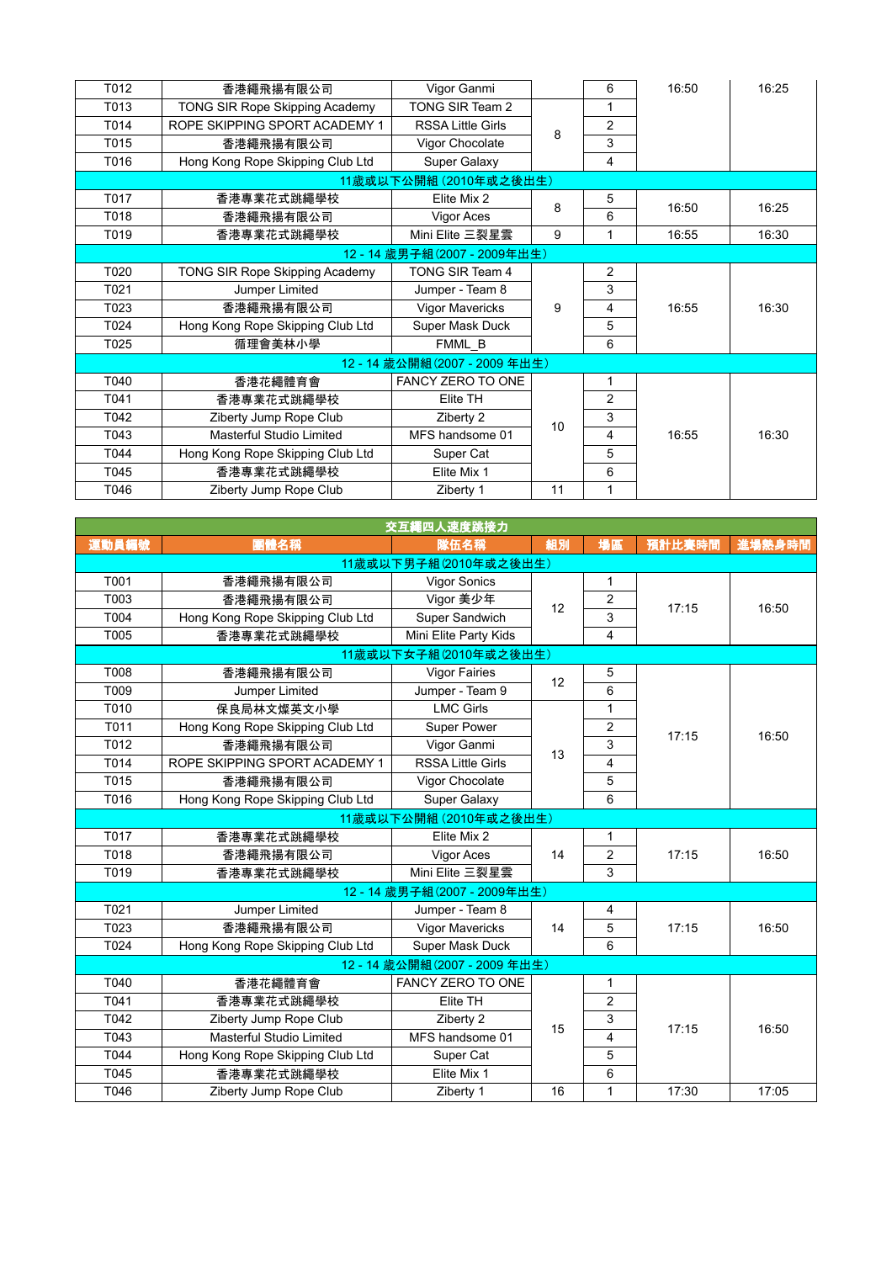| T012                       | 香港繩飛揚有限公司                        | Vigor Ganmi              |    | 6              | 16:50 | 16:25 |  |
|----------------------------|----------------------------------|--------------------------|----|----------------|-------|-------|--|
| T013                       | TONG SIR Rope Skipping Academy   | TONG SIR Team 2          |    | 1              |       |       |  |
| T014                       | ROPE SKIPPING SPORT ACADEMY 1    | <b>RSSA Little Girls</b> | 8  | 2              |       |       |  |
| T015                       | 香港繩飛揚有限公司                        | Vigor Chocolate          |    | 3              |       |       |  |
| T016                       | Hong Kong Rope Skipping Club Ltd | Super Galaxy             |    | 4              |       |       |  |
|                            |                                  | 11 歲或以下公開組 (2010年或之後出生)  |    |                |       |       |  |
| T017                       | 香港專業花式跳繩學校                       | Elite Mix 2              | 8  | 5              | 16:50 | 16:25 |  |
| T018                       | 香港繩飛揚有限公司                        | Vigor Aces               |    | 6              |       |       |  |
| T019                       | 香港專業花式跳繩學校                       | Mini Elite 三裂星雲          | 9  | 1              | 16:55 | 16:30 |  |
| 12-14 歲男子組(2007 - 2009年出生) |                                  |                          |    |                |       |       |  |
| T020                       | TONG SIR Rope Skipping Academy   | TONG SIR Team 4          |    | 2              |       |       |  |
| T021                       | Jumper Limited                   | Jumper - Team 8          |    | 3              | 16:55 | 16:30 |  |
| T023                       | 香港繩飛揚有限公司                        | <b>Vigor Mavericks</b>   | 9  | 4              |       |       |  |
| T024                       | Hong Kong Rope Skipping Club Ltd | Super Mask Duck          |    | 5              |       |       |  |
| T025                       | 循理會美林小學                          | FMML_B                   |    | 6              |       |       |  |
|                            |                                  | 12-14 歲公開組(2007-2009年出生) |    |                |       |       |  |
| T040                       | 香港花繩體育會                          | FANCY ZERO TO ONE        |    | 1              |       |       |  |
| T041                       | 香港專業花式跳繩學校                       | Elite TH                 |    | $\overline{2}$ |       |       |  |
| T042                       | Ziberty Jump Rope Club           | Ziberty 2                | 10 | 3              |       |       |  |
| T043                       | Masterful Studio Limited         | MFS handsome 01          |    | 4              | 16:55 | 16:30 |  |
| T044                       | Hong Kong Rope Skipping Club Ltd | Super Cat                |    | 5              |       |       |  |
| T045                       | 香港專業花式跳繩學校                       | Elite Mix 1              |    | 6              |       |       |  |
| T046                       | Ziberty Jump Rope Club           | Ziberty 1                | 11 | 1              |       |       |  |

| 交互繩四人速度跳接力 |                                  |                          |    |                |        |        |  |  |
|------------|----------------------------------|--------------------------|----|----------------|--------|--------|--|--|
| 運動員編號      | 團體名稱                             | 隊伍名稱                     | 組別 | 場區             | 預計比賽時間 | 進場熱身時間 |  |  |
|            |                                  | 11歲或以下男子組(2010年或之後出生)    |    |                |        |        |  |  |
| T001       | 香港繩飛揚有限公司                        | <b>Vigor Sonics</b>      |    | 1              |        | 16:50  |  |  |
| T003       | 香港繩飛揚有限公司                        | Vigor 美少年                | 12 | $\overline{2}$ | 17:15  |        |  |  |
| T004       | Hong Kong Rope Skipping Club Ltd | Super Sandwich           |    | 3              |        |        |  |  |
| T005       | 香港專業花式跳繩學校                       | Mini Elite Party Kids    |    | 4              |        |        |  |  |
|            | 11歲或以下女子組(2010年或之後出生)            |                          |    |                |        |        |  |  |
| T008       | 香港繩飛揚有限公司                        | <b>Vigor Fairies</b>     | 12 | 5              |        |        |  |  |
| T009       | Jumper Limited                   | Jumper - Team 9          |    | 6              |        |        |  |  |
| T010       | 保良局林文燦英文小學                       | <b>LMC Girls</b>         |    | 1              |        | 16:50  |  |  |
| T011       | Hong Kong Rope Skipping Club Ltd | Super Power              | 13 | $\overline{2}$ | 17:15  |        |  |  |
| T012       | 香港繩飛揚有限公司                        | Vigor Ganmi              |    | 3              |        |        |  |  |
| T014       | ROPE SKIPPING SPORT ACADEMY 1    | <b>RSSA Little Girls</b> |    | 4              |        |        |  |  |
| T015       | 香港繩飛揚有限公司                        | Vigor Chocolate          |    | 5              |        |        |  |  |
| T016       | Hong Kong Rope Skipping Club Ltd | Super Galaxy             |    | 6              |        |        |  |  |
|            |                                  | 11歲或以下公開組 (2010年或之後出生)   |    |                |        |        |  |  |
| T017       | 香港專業花式跳繩學校                       | Elite Mix 2              |    | $\mathbf{1}$   |        |        |  |  |
| T018       | 香港繩飛揚有限公司                        | Vigor Aces               | 14 | $\overline{2}$ | 17:15  | 16:50  |  |  |
| T019       | 香港專業花式跳繩學校                       | Mini Elite 三裂星雲          |    | 3              |        |        |  |  |
|            |                                  | 12-14 歲男子組(2007-2009年出生) |    |                |        |        |  |  |
| T021       | Jumper Limited                   | Jumper - Team 8          |    | 4              |        |        |  |  |
| T023       | 香港繩飛揚有限公司                        | <b>Vigor Mavericks</b>   | 14 | 5              | 17:15  | 16:50  |  |  |
| T024       | Hong Kong Rope Skipping Club Ltd | Super Mask Duck          |    | 6              |        |        |  |  |
|            |                                  | 12-14 歲公開組(2007-2009年出生) |    |                |        |        |  |  |
| T040       | 香港花繩體育會                          | FANCY ZERO TO ONE        |    | 1              |        |        |  |  |
| T041       | 香港專業花式跳繩學校                       | Elite TH                 |    | $\overline{2}$ |        |        |  |  |
| T042       | Ziberty Jump Rope Club           | Ziberty 2                | 15 | 3              | 17:15  | 16:50  |  |  |
| T043       | Masterful Studio Limited         | MFS handsome 01          |    | 4              |        |        |  |  |
| T044       | Hong Kong Rope Skipping Club Ltd | Super Cat                |    | 5              |        |        |  |  |
| T045       | 香港專業花式跳繩學校                       | Elite Mix 1              |    | 6              |        |        |  |  |
| T046       | Ziberty Jump Rope Club           | Ziberty 1                | 16 | $\mathbf{1}$   | 17:30  | 17:05  |  |  |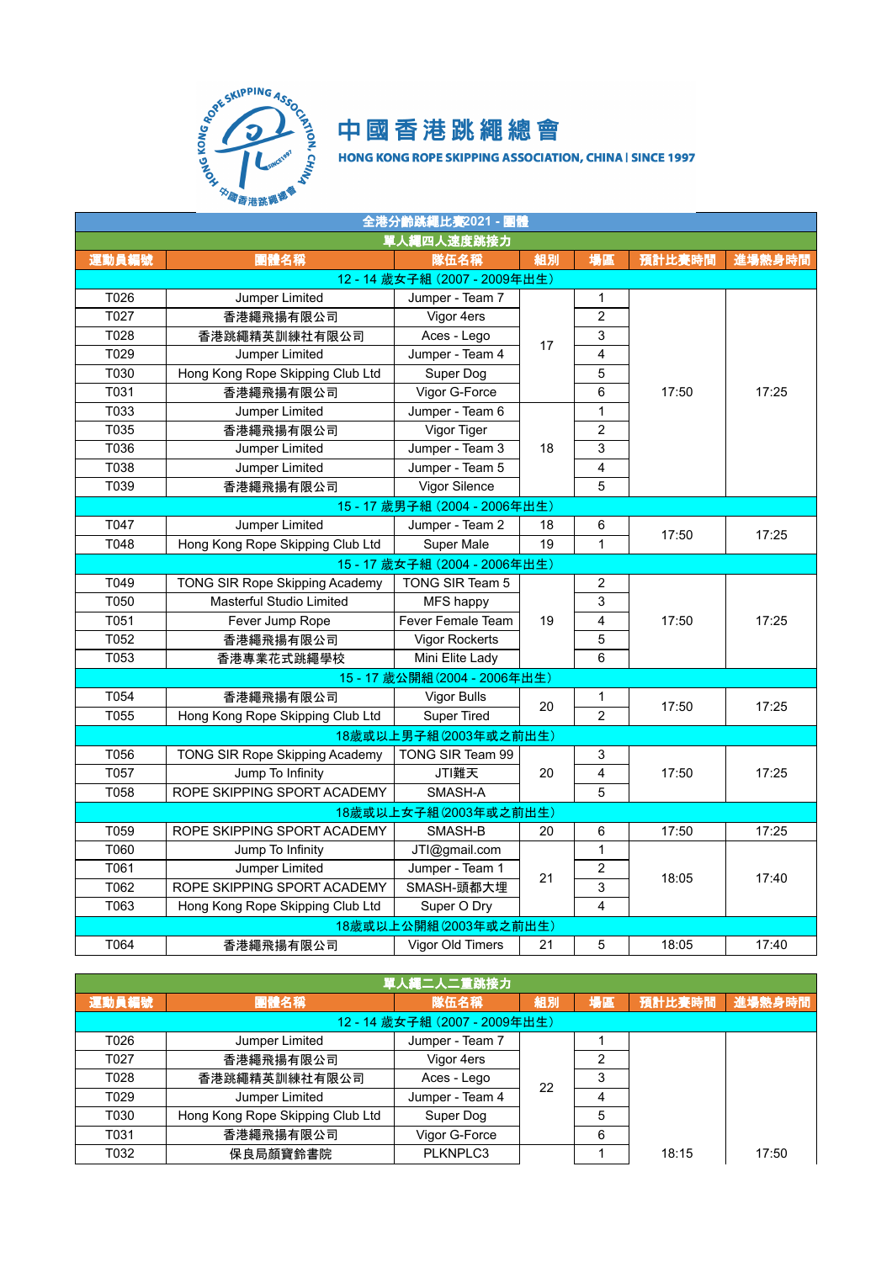

| 全港分齡跳繩比賽2021 - 團體           |                                  |                            |    |                         |        |        |  |  |
|-----------------------------|----------------------------------|----------------------------|----|-------------------------|--------|--------|--|--|
|                             |                                  | 單人繩四人速度跳接力                 |    |                         |        |        |  |  |
| 運動員編號                       | 團體名稱                             | 隊伍名稱                       | 組別 | 場區                      | 預計比賽時間 | 進場熱身時間 |  |  |
|                             |                                  | 12-14 歲女子組 (2007-2009年出生)  |    |                         |        |        |  |  |
| T026                        | Jumper Limited                   | Jumper - Team 7            |    | $\mathbf{1}$            |        |        |  |  |
| T027                        | 香港繩飛揚有限公司                        | Vigor 4ers                 |    | $\overline{2}$          |        |        |  |  |
| T028                        | 香港跳繩精英訓練社有限公司                    | Aces - Lego                | 17 | 3                       |        |        |  |  |
| T029                        | Jumper Limited                   | Jumper - Team 4            |    | $\overline{4}$          |        |        |  |  |
| T030                        | Hong Kong Rope Skipping Club Ltd | Super Dog                  |    | 5                       |        |        |  |  |
| T031                        | 香港繩飛揚有限公司                        | Vigor G-Force              |    | 6                       | 17:50  | 17:25  |  |  |
| T033                        | Jumper Limited                   | Jumper - Team 6            |    | 1                       |        |        |  |  |
| T035                        | 香港繩飛揚有限公司                        | Vigor Tiger                |    | $\overline{2}$          |        |        |  |  |
| T036                        | Jumper Limited                   | Jumper - Team 3            | 18 | $\mathsf 3$             |        |        |  |  |
| T038                        | Jumper Limited                   | Jumper - Team 5            |    | $\overline{\mathbf{4}}$ |        |        |  |  |
| T039                        | 香港繩飛揚有限公司                        | Vigor Silence              |    | $\overline{5}$          |        |        |  |  |
| 15-17 歲男子組 (2004 - 2006年出生) |                                  |                            |    |                         |        |        |  |  |
| T047                        | Jumper Limited                   | Jumper - Team 2            | 18 | 6                       |        |        |  |  |
| T048                        | Hong Kong Rope Skipping Club Ltd | Super Male                 | 19 | $\mathbf{1}$            | 17:50  | 17:25  |  |  |
| 15-17 歲女子組 (2004 - 2006年出生) |                                  |                            |    |                         |        |        |  |  |
| T049                        | TONG SIR Rope Skipping Academy   | TONG SIR Team 5            |    | $\overline{2}$          |        |        |  |  |
| T050                        | Masterful Studio Limited         | MFS happy                  |    | $\mathsf 3$             | 17:50  |        |  |  |
| T051                        | Fever Jump Rope                  | <b>Fever Female Team</b>   | 19 | 4                       |        | 17:25  |  |  |
| T052                        | 香港繩飛揚有限公司                        | Vigor Rockerts             |    | 5                       |        |        |  |  |
| T053                        | 香港專業花式跳繩學校                       | Mini Elite Lady            |    | 6                       |        |        |  |  |
|                             |                                  | 15-17 歲公開組(2004 - 2006年出生) |    |                         |        |        |  |  |
| T054                        | 香港繩飛揚有限公司                        | Vigor Bulls                | 20 | 1                       | 17:50  | 17:25  |  |  |
| T055                        | Hong Kong Rope Skipping Club Ltd | <b>Super Tired</b>         |    | $\overline{2}$          |        |        |  |  |
|                             |                                  | 18歲或以上男子組(2003年或之前出生)      |    |                         |        |        |  |  |
| T056                        | TONG SIR Rope Skipping Academy   | TONG SIR Team 99           |    | 3                       |        |        |  |  |
| T057                        | Jump To Infinity                 | JTI難天                      | 20 | $\overline{\mathbf{4}}$ | 17:50  | 17:25  |  |  |
| T058                        | ROPE SKIPPING SPORT ACADEMY      | SMASH-A                    |    | 5                       |        |        |  |  |
|                             |                                  | 18歲或以上女子組(2003年或之前出生)      |    |                         |        |        |  |  |
| T059                        | ROPE SKIPPING SPORT ACADEMY      | SMASH-B                    | 20 | 6                       | 17:50  | 17:25  |  |  |
| T060                        | Jump To Infinity                 | JTI@gmail.com              |    | $\mathbf{1}$            |        |        |  |  |
| T061                        | Jumper Limited                   | Jumper - Team 1            | 21 | $\boldsymbol{2}$        | 18:05  |        |  |  |
| T062                        | ROPE SKIPPING SPORT ACADEMY      | SMASH-頭都大埋                 |    | 3                       |        | 17:40  |  |  |
| T063                        | Hong Kong Rope Skipping Club Ltd | Super O Dry                |    | $\overline{4}$          |        |        |  |  |
|                             |                                  | 18歲或以上公開組(2003年或之前出生)      |    |                         |        |        |  |  |
| T064                        | 香港繩飛揚有限公司                        | Vigor Old Timers           | 21 | 5                       | 18:05  | 17:40  |  |  |

| 單人繩二人二重跳接力                |                                  |                 |    |    |        |        |  |  |
|---------------------------|----------------------------------|-----------------|----|----|--------|--------|--|--|
| 運動員編號                     | 團體名稱                             | 隊伍名稱            | 組別 | 場區 | 預計比賽時間 | 進場熱身時間 |  |  |
| 12-14 歲女子組 (2007-2009年出生) |                                  |                 |    |    |        |        |  |  |
| T026                      | Jumper Limited                   | Jumper - Team 7 |    |    |        |        |  |  |
| T027                      | 香港繩飛揚有限公司                        | Vigor 4ers      |    | 2  |        |        |  |  |
| T028                      | 香港跳繩精英訓練社有限公司                    | Aces - Lego     | 22 | З  |        |        |  |  |
| T029                      | Jumper Limited                   | Jumper - Team 4 |    | 4  |        |        |  |  |
| T030                      | Hong Kong Rope Skipping Club Ltd | Super Dog       |    | 5  |        |        |  |  |
| T031                      | 香港繩飛揚有限公司                        | Vigor G-Force   |    | 6  |        |        |  |  |
| T032                      | 保良局顏寶鈴書院                         | PLKNPLC3        |    |    | 18:15  | 17:50  |  |  |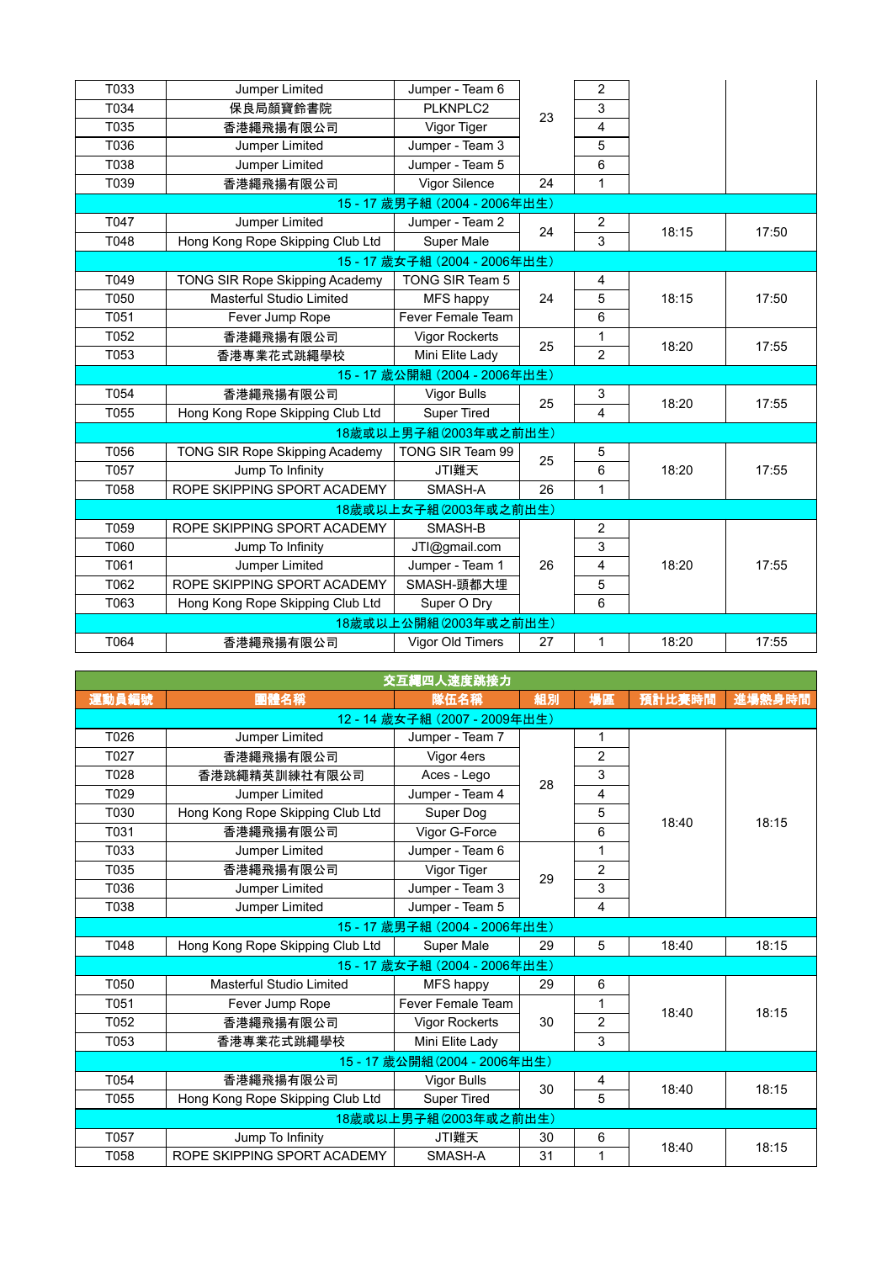| T033 | Jumper Limited                   | Jumper - Team 6             |    | $\overline{2}$ |       |       |
|------|----------------------------------|-----------------------------|----|----------------|-------|-------|
| T034 | 保良局顏寶鈴書院                         | PLKNPLC2                    | 23 | 3              |       |       |
| T035 | 香港繩飛揚有限公司                        | Vigor Tiger                 |    | 4              |       |       |
| T036 | Jumper Limited                   | Jumper - Team 3             |    | 5              |       |       |
| T038 | Jumper Limited                   | Jumper - Team 5             |    | 6              |       |       |
| T039 | 香港繩飛揚有限公司                        | Vigor Silence               | 24 | 1              |       |       |
|      |                                  | 15-17 歲男子組 (2004 - 2006年出生) |    |                |       |       |
| T047 | Jumper Limited                   | Jumper - Team 2             | 24 | $\sqrt{2}$     | 18:15 | 17:50 |
| T048 | Hong Kong Rope Skipping Club Ltd | <b>Super Male</b>           |    | 3              |       |       |
|      |                                  | 15-17 歲女子組 (2004 - 2006年出生) |    |                |       |       |
| T049 | TONG SIR Rope Skipping Academy   | TONG SIR Team 5             |    | 4              |       |       |
| T050 | Masterful Studio Limited         | MFS happy                   | 24 | 5              | 18:15 | 17:50 |
| T051 | Fever Jump Rope                  | Fever Female Team           |    | 6              |       |       |
| T052 | 香港繩飛揚有限公司                        | <b>Vigor Rockerts</b>       |    | 1              |       |       |
| T053 | 香港專業花式跳繩學校                       | Mini Elite Lady             | 25 | $\overline{2}$ | 18:20 | 17:55 |
|      |                                  | 15-17 歲公開組 (2004 - 2006年出生) |    |                |       |       |
| T054 | 香港繩飛揚有限公司                        | Vigor Bulls                 | 25 | 3              | 18:20 | 17:55 |
| T055 | Hong Kong Rope Skipping Club Ltd | <b>Super Tired</b>          |    | $\overline{4}$ |       |       |
|      |                                  | 18歲或以上男子組(2003年或之前出生)       |    |                |       |       |
| T056 | TONG SIR Rope Skipping Academy   | TONG SIR Team 99            | 25 | 5              |       |       |
| T057 | Jump To Infinity                 | JTI難天                       |    | 6              | 18:20 | 17:55 |
| T058 | ROPE SKIPPING SPORT ACADEMY      | SMASH-A                     | 26 | 1              |       |       |
|      |                                  | 18歲或以上女子組(2003年或之前出生)       |    |                |       |       |
| T059 | ROPE SKIPPING SPORT ACADEMY      | SMASH-B                     |    | $\overline{2}$ |       |       |
| T060 | Jump To Infinity                 | JTI@gmail.com               |    | 3              |       |       |
| T061 | Jumper Limited                   | Jumper - Team 1             | 26 | 4              | 18:20 | 17:55 |
| T062 | ROPE SKIPPING SPORT ACADEMY      | SMASH-頭都大埋                  |    | 5              |       |       |
| T063 | Hong Kong Rope Skipping Club Ltd | Super O Dry                 |    | 6              |       |       |
|      |                                  | 18歲或以上公開組(2003年或之前出生)       |    |                |       |       |
| T064 | 香港繩飛揚有限公司                        | Vigor Old Timers            | 27 | 1              | 18:20 | 17:55 |
|      |                                  |                             |    |                |       |       |

| 交互繩四人速度跳接力                  |                                  |                             |    |                |        |        |  |  |  |
|-----------------------------|----------------------------------|-----------------------------|----|----------------|--------|--------|--|--|--|
| 運動員編號                       | 團體名稱                             | 隊伍名稱                        | 組別 | 場區             | 預計比賽時間 | 進場熱身時間 |  |  |  |
|                             | 12-14 歲女子組 (2007-2009年出生)        |                             |    |                |        |        |  |  |  |
| T026                        | Jumper Limited                   | Jumper - Team 7             |    | 1              |        |        |  |  |  |
| T027                        | 香港繩飛揚有限公司                        | Vigor 4ers                  |    | $\overline{2}$ |        |        |  |  |  |
| T028                        | 香港跳繩精英訓練社有限公司                    | Aces - Lego                 | 28 | 3              | 18:40  |        |  |  |  |
| T029                        | Jumper Limited                   | Jumper - Team 4             |    | 4              |        |        |  |  |  |
| T030                        | Hong Kong Rope Skipping Club Ltd | Super Dog                   |    | 5              |        | 18:15  |  |  |  |
| T031                        | 香港繩飛揚有限公司                        | Vigor G-Force               |    | 6              |        |        |  |  |  |
| T033                        | Jumper Limited                   | Jumper - Team 6             |    | 1              |        |        |  |  |  |
| T035                        | 香港繩飛揚有限公司                        | Vigor Tiger                 | 29 | $\overline{2}$ |        |        |  |  |  |
| T036                        | Jumper Limited                   | Jumper - Team 3             |    | 3              |        |        |  |  |  |
| T038                        | Jumper Limited                   | Jumper - Team 5             |    | 4              |        |        |  |  |  |
| 15-17 歲男子組 (2004 - 2006年出生) |                                  |                             |    |                |        |        |  |  |  |
| T048                        | Hong Kong Rope Skipping Club Ltd | Super Male                  | 29 | 5              | 18:40  | 18:15  |  |  |  |
|                             |                                  | 15-17 歲女子組 (2004 - 2006年出生) |    |                |        |        |  |  |  |
| T050                        | Masterful Studio Limited         | MFS happy                   | 29 | 6              |        |        |  |  |  |
| T051                        | Fever Jump Rope                  | <b>Fever Female Team</b>    |    | 1              | 18:40  | 18:15  |  |  |  |
| T052                        | 香港繩飛揚有限公司                        | <b>Vigor Rockerts</b>       | 30 | $\overline{c}$ |        |        |  |  |  |
| T053                        | 香港專業花式跳繩學校                       | Mini Elite Lady             |    | 3              |        |        |  |  |  |
|                             |                                  | 15-17 歲公開組(2004 - 2006年出生)  |    |                |        |        |  |  |  |
| T054                        | 香港繩飛揚有限公司                        | Vigor Bulls                 | 30 | 4              | 18:40  | 18:15  |  |  |  |
| T055                        | Hong Kong Rope Skipping Club Ltd | <b>Super Tired</b>          |    | 5              |        |        |  |  |  |
|                             |                                  | 18歲或以上男子組(2003年或之前出生)       |    |                |        |        |  |  |  |
| T057                        | Jump To Infinity                 | JTI難天                       | 30 | 6              | 18:40  |        |  |  |  |
| T058                        | ROPE SKIPPING SPORT ACADEMY      | SMASH-A                     | 31 | 1              |        | 18:15  |  |  |  |